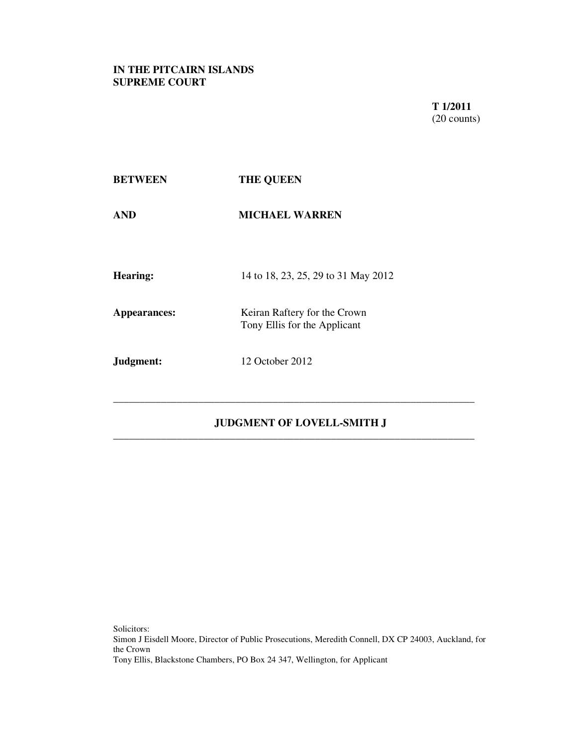## **IN THE PITCAIRN ISLANDS SUPREME COURT**

**T 1/2011** (20 counts)

| <b>BETWEEN</b>  | <b>THE QUEEN</b>                                             |
|-----------------|--------------------------------------------------------------|
| <b>AND</b>      | <b>MICHAEL WARREN</b>                                        |
| <b>Hearing:</b> | 14 to 18, 23, 25, 29 to 31 May 2012                          |
| Appearances:    | Keiran Raftery for the Crown<br>Tony Ellis for the Applicant |
| Judgment:       | 12 October 2012                                              |
|                 |                                                              |

# **JUDGMENT OF LOVELL-SMITH J**

\_\_\_\_\_\_\_\_\_\_\_\_\_\_\_\_\_\_\_\_\_\_\_\_\_\_\_\_\_\_\_\_\_\_\_\_\_\_\_\_\_\_\_\_\_\_\_\_\_\_\_\_\_\_\_\_\_\_\_\_\_\_\_\_\_\_\_\_

Solicitors: Simon J Eisdell Moore, Director of Public Prosecutions, Meredith Connell, DX CP 24003, Auckland, for the Crown Tony Ellis, Blackstone Chambers, PO Box 24 347, Wellington, for Applicant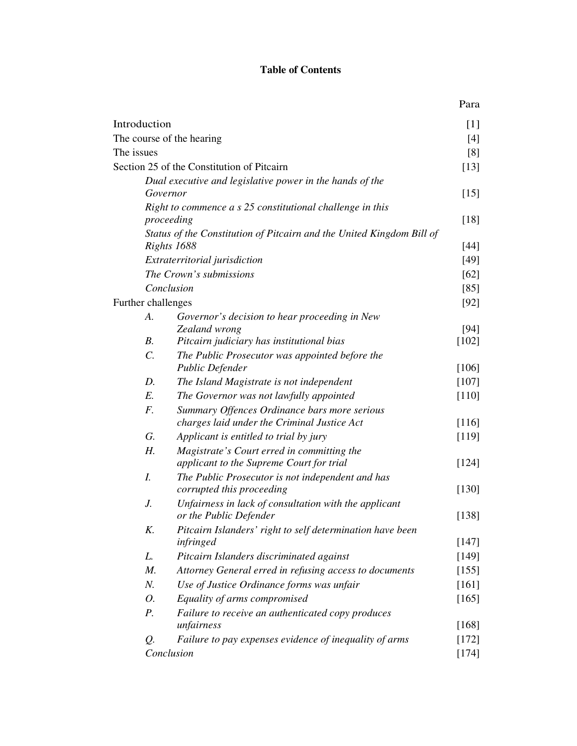# **Table of Contents**

|                           |                                                                                             | Para    |
|---------------------------|---------------------------------------------------------------------------------------------|---------|
| Introduction              |                                                                                             | $[1]$   |
| The course of the hearing |                                                                                             |         |
| The issues                |                                                                                             | [8]     |
|                           | Section 25 of the Constitution of Pitcairn                                                  | $[13]$  |
|                           | Dual executive and legislative power in the hands of the                                    |         |
|                           | Governor                                                                                    | $[15]$  |
|                           | Right to commence a s 25 constitutional challenge in this<br>proceeding                     | $[18]$  |
|                           | Status of the Constitution of Pitcairn and the United Kingdom Bill of<br>Rights 1688        | $[44]$  |
|                           | Extraterritorial jurisdiction                                                               | $[49]$  |
|                           | The Crown's submissions                                                                     | $[62]$  |
|                           | Conclusion                                                                                  | $[85]$  |
| Further challenges        |                                                                                             | $[92]$  |
| A.                        | Governor's decision to hear proceeding in New                                               |         |
|                           | Zealand wrong                                                                               | $[94]$  |
| $B$ .                     | Pitcairn judiciary has institutional bias                                                   | $[102]$ |
| $\overline{C}$ .          | The Public Prosecutor was appointed before the                                              |         |
|                           | Public Defender                                                                             | $[106]$ |
| D.                        | The Island Magistrate is not independent                                                    | $[107]$ |
| $E$ .                     | The Governor was not lawfully appointed                                                     | $[110]$ |
| $F_{\cdot}$               | Summary Offences Ordinance bars more serious<br>charges laid under the Criminal Justice Act | $[116]$ |
| G.                        | Applicant is entitled to trial by jury                                                      | [119]   |
| Н.                        | Magistrate's Court erred in committing the                                                  |         |
|                           | applicant to the Supreme Court for trial                                                    | [124]   |
| I.                        | The Public Prosecutor is not independent and has                                            |         |
|                           | corrupted this proceeding                                                                   | $[130]$ |
| J.                        | Unfairness in lack of consultation with the applicant                                       |         |
|                           | or the Public Defender                                                                      | $[138]$ |
| K.                        | Pitcairn Islanders' right to self determination have been                                   |         |
|                           | infringed                                                                                   | $[147]$ |
| L.                        | Pitcairn Islanders discriminated against                                                    | $[149]$ |
| $M_{\cdot}$               | Attorney General erred in refusing access to documents                                      | $[155]$ |
| N.                        | Use of Justice Ordinance forms was unfair                                                   | $[161]$ |
| 0.                        | Equality of arms compromised                                                                | $[165]$ |
| $P_{\cdot}$               | Failure to receive an authenticated copy produces                                           |         |
|                           | unfairness                                                                                  | $[168]$ |
| Q.                        | Failure to pay expenses evidence of inequality of arms                                      | $[172]$ |
|                           | Conclusion                                                                                  | [174]   |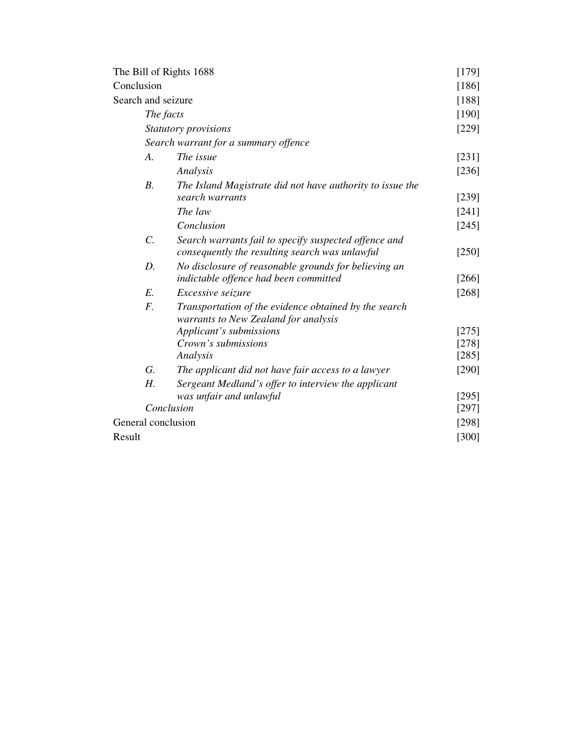| The Bill of Rights 1688 |                                                                                                         | [179]   |
|-------------------------|---------------------------------------------------------------------------------------------------------|---------|
| Conclusion              |                                                                                                         | [186]   |
| Search and seizure      |                                                                                                         | [188]   |
| The facts               |                                                                                                         | [190]   |
|                         | Statutory provisions                                                                                    | [229]   |
|                         | Search warrant for a summary offence                                                                    |         |
| А.                      | The issue                                                                                               | [231]   |
|                         | Analysis                                                                                                | [236]   |
| $B$ .                   | The Island Magistrate did not have authority to issue the<br>search warrants                            | [239]   |
|                         | The law                                                                                                 | [241]   |
|                         | Conclusion                                                                                              | [245]   |
| $\mathcal{C}$ .         | Search warrants fail to specify suspected offence and<br>consequently the resulting search was unlawful | $[250]$ |
| D.                      | No disclosure of reasonable grounds for believing an<br>indictable offence had been committed           | [266]   |
| E.                      | Excessive seizure                                                                                       | [268]   |
| $F$ .                   | Transportation of the evidence obtained by the search<br>warrants to New Zealand for analysis           |         |
|                         | Applicant's submissions                                                                                 | [275]   |
|                         | Crown's submissions                                                                                     | [278]   |
|                         | Analysis                                                                                                | $[285]$ |
| G.                      | The applicant did not have fair access to a lawyer                                                      | $[290]$ |
| H.                      | Sergeant Medland's offer to interview the applicant<br>was unfair and unlawful                          | [295]   |
|                         | Conclusion                                                                                              | $[297]$ |
| General conclusion      |                                                                                                         | [298]   |
| Result                  |                                                                                                         | [300]   |
|                         |                                                                                                         |         |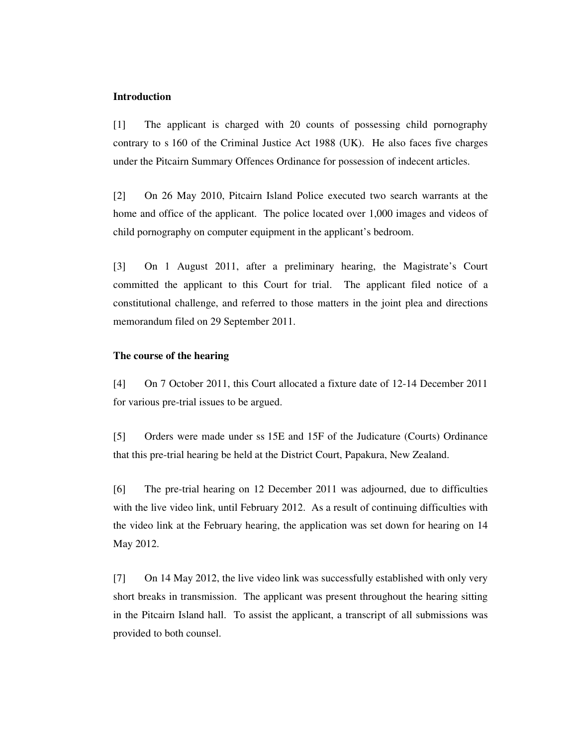#### **Introduction**

[1] The applicant is charged with 20 counts of possessing child pornography contrary to s 160 of the Criminal Justice Act 1988 (UK). He also faces five charges under the Pitcairn Summary Offences Ordinance for possession of indecent articles.

[2] On 26 May 2010, Pitcairn Island Police executed two search warrants at the home and office of the applicant. The police located over 1,000 images and videos of child pornography on computer equipment in the applicant's bedroom.

[3] On 1 August 2011, after a preliminary hearing, the Magistrate's Court committed the applicant to this Court for trial. The applicant filed notice of a constitutional challenge, and referred to those matters in the joint plea and directions memorandum filed on 29 September 2011.

## **The course of the hearing**

[4] On 7 October 2011, this Court allocated a fixture date of 12-14 December 2011 for various pre-trial issues to be argued.

[5] Orders were made under ss 15E and 15F of the Judicature (Courts) Ordinance that this pre-trial hearing be held at the District Court, Papakura, New Zealand.

[6] The pre-trial hearing on 12 December 2011 was adjourned, due to difficulties with the live video link, until February 2012. As a result of continuing difficulties with the video link at the February hearing, the application was set down for hearing on 14 May 2012.

[7] On 14 May 2012, the live video link was successfully established with only very short breaks in transmission. The applicant was present throughout the hearing sitting in the Pitcairn Island hall. To assist the applicant, a transcript of all submissions was provided to both counsel.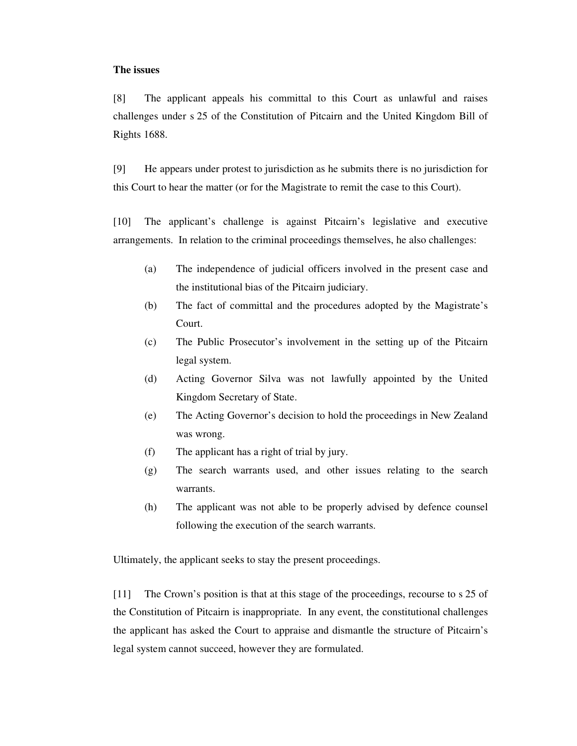## **The issues**

[8] The applicant appeals his committal to this Court as unlawful and raises challenges under s 25 of the Constitution of Pitcairn and the United Kingdom Bill of Rights 1688.

[9] He appears under protest to jurisdiction as he submits there is no jurisdiction for this Court to hear the matter (or for the Magistrate to remit the case to this Court).

[10] The applicant's challenge is against Pitcairn's legislative and executive arrangements. In relation to the criminal proceedings themselves, he also challenges:

- (a) The independence of judicial officers involved in the present case and the institutional bias of the Pitcairn judiciary.
- (b) The fact of committal and the procedures adopted by the Magistrate's Court.
- (c) The Public Prosecutor's involvement in the setting up of the Pitcairn legal system.
- (d) Acting Governor Silva was not lawfully appointed by the United Kingdom Secretary of State.
- (e) The Acting Governor's decision to hold the proceedings in New Zealand was wrong.
- (f) The applicant has a right of trial by jury.
- (g) The search warrants used, and other issues relating to the search warrants.
- (h) The applicant was not able to be properly advised by defence counsel following the execution of the search warrants.

Ultimately, the applicant seeks to stay the present proceedings.

[11] The Crown's position is that at this stage of the proceedings, recourse to s 25 of the Constitution of Pitcairn is inappropriate. In any event, the constitutional challenges the applicant has asked the Court to appraise and dismantle the structure of Pitcairn's legal system cannot succeed, however they are formulated.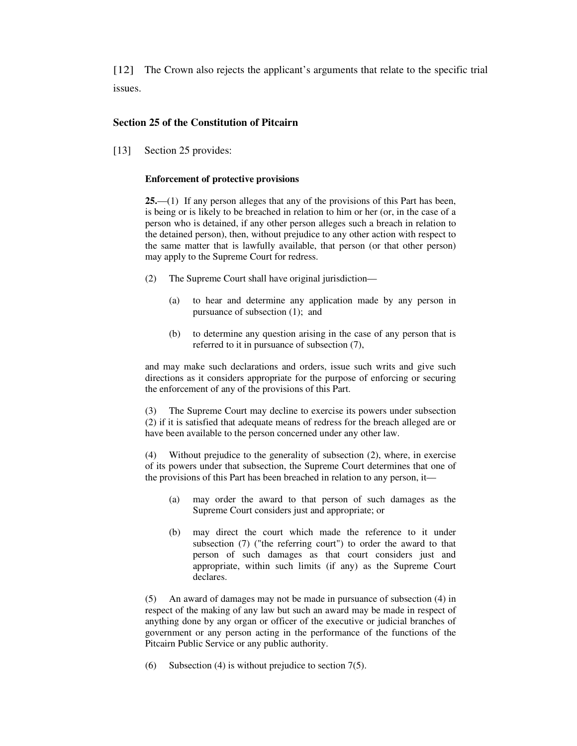[12] The Crown also rejects the applicant's arguments that relate to the specific trial issues.

## **Section 25 of the Constitution of Pitcairn**

[13] Section 25 provides:

#### **Enforcement of protective provisions**

**25.**—(1) If any person alleges that any of the provisions of this Part has been, is being or is likely to be breached in relation to him or her (or, in the case of a person who is detained, if any other person alleges such a breach in relation to the detained person), then, without prejudice to any other action with respect to the same matter that is lawfully available, that person (or that other person) may apply to the Supreme Court for redress.

- (2) The Supreme Court shall have original jurisdiction—
	- (a) to hear and determine any application made by any person in pursuance of subsection (1); and
	- (b) to determine any question arising in the case of any person that is referred to it in pursuance of subsection (7),

and may make such declarations and orders, issue such writs and give such directions as it considers appropriate for the purpose of enforcing or securing the enforcement of any of the provisions of this Part.

(3) The Supreme Court may decline to exercise its powers under subsection (2) if it is satisfied that adequate means of redress for the breach alleged are or have been available to the person concerned under any other law.

(4) Without prejudice to the generality of subsection (2), where, in exercise of its powers under that subsection, the Supreme Court determines that one of the provisions of this Part has been breached in relation to any person, it—

- (a) may order the award to that person of such damages as the Supreme Court considers just and appropriate; or
- (b) may direct the court which made the reference to it under subsection (7) ("the referring court") to order the award to that person of such damages as that court considers just and appropriate, within such limits (if any) as the Supreme Court declares.

(5) An award of damages may not be made in pursuance of subsection (4) in respect of the making of any law but such an award may be made in respect of anything done by any organ or officer of the executive or judicial branches of government or any person acting in the performance of the functions of the Pitcairn Public Service or any public authority.

(6) Subsection (4) is without prejudice to section 7(5).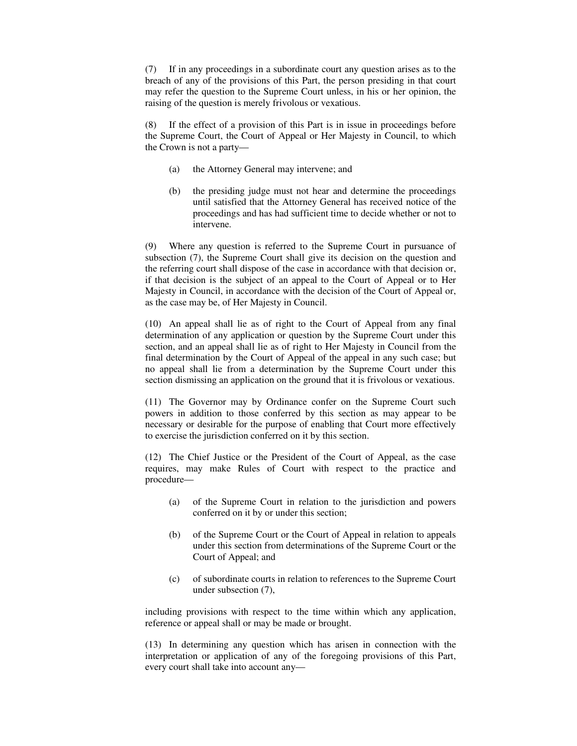(7) If in any proceedings in a subordinate court any question arises as to the breach of any of the provisions of this Part, the person presiding in that court may refer the question to the Supreme Court unless, in his or her opinion, the raising of the question is merely frivolous or vexatious.

(8) If the effect of a provision of this Part is in issue in proceedings before the Supreme Court, the Court of Appeal or Her Majesty in Council, to which the Crown is not a party—

- (a) the Attorney General may intervene; and
- (b) the presiding judge must not hear and determine the proceedings until satisfied that the Attorney General has received notice of the proceedings and has had sufficient time to decide whether or not to intervene.

(9) Where any question is referred to the Supreme Court in pursuance of subsection (7), the Supreme Court shall give its decision on the question and the referring court shall dispose of the case in accordance with that decision or, if that decision is the subject of an appeal to the Court of Appeal or to Her Majesty in Council, in accordance with the decision of the Court of Appeal or, as the case may be, of Her Majesty in Council.

(10) An appeal shall lie as of right to the Court of Appeal from any final determination of any application or question by the Supreme Court under this section, and an appeal shall lie as of right to Her Majesty in Council from the final determination by the Court of Appeal of the appeal in any such case; but no appeal shall lie from a determination by the Supreme Court under this section dismissing an application on the ground that it is frivolous or vexatious.

(11) The Governor may by Ordinance confer on the Supreme Court such powers in addition to those conferred by this section as may appear to be necessary or desirable for the purpose of enabling that Court more effectively to exercise the jurisdiction conferred on it by this section.

(12) The Chief Justice or the President of the Court of Appeal, as the case requires, may make Rules of Court with respect to the practice and procedure—

- (a) of the Supreme Court in relation to the jurisdiction and powers conferred on it by or under this section;
- (b) of the Supreme Court or the Court of Appeal in relation to appeals under this section from determinations of the Supreme Court or the Court of Appeal; and
- (c) of subordinate courts in relation to references to the Supreme Court under subsection (7),

including provisions with respect to the time within which any application, reference or appeal shall or may be made or brought.

(13) In determining any question which has arisen in connection with the interpretation or application of any of the foregoing provisions of this Part, every court shall take into account any—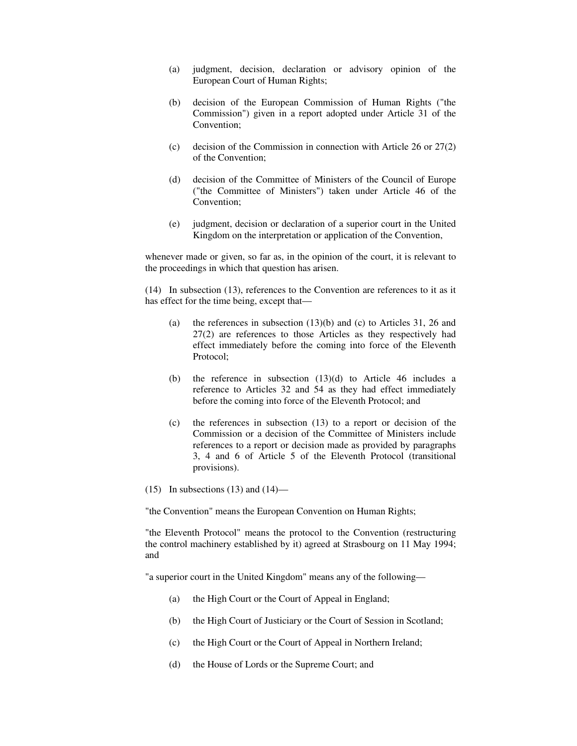- (a) judgment, decision, declaration or advisory opinion of the European Court of Human Rights;
- (b) decision of the European Commission of Human Rights ("the Commission") given in a report adopted under Article 31 of the Convention;
- (c) decision of the Commission in connection with Article 26 or 27(2) of the Convention;
- (d) decision of the Committee of Ministers of the Council of Europe ("the Committee of Ministers") taken under Article 46 of the Convention;
- (e) judgment, decision or declaration of a superior court in the United Kingdom on the interpretation or application of the Convention,

whenever made or given, so far as, in the opinion of the court, it is relevant to the proceedings in which that question has arisen.

(14) In subsection (13), references to the Convention are references to it as it has effect for the time being, except that—

- (a) the references in subsection (13)(b) and (c) to Articles 31, 26 and 27(2) are references to those Articles as they respectively had effect immediately before the coming into force of the Eleventh Protocol;
- (b) the reference in subsection (13)(d) to Article 46 includes a reference to Articles 32 and 54 as they had effect immediately before the coming into force of the Eleventh Protocol; and
- (c) the references in subsection (13) to a report or decision of the Commission or a decision of the Committee of Ministers include references to a report or decision made as provided by paragraphs 3, 4 and 6 of Article 5 of the Eleventh Protocol (transitional provisions).
- $(15)$  In subsections  $(13)$  and  $(14)$ —

"the Convention" means the European Convention on Human Rights;

"the Eleventh Protocol" means the protocol to the Convention (restructuring the control machinery established by it) agreed at Strasbourg on 11 May 1994; and

"a superior court in the United Kingdom" means any of the following—

- (a) the High Court or the Court of Appeal in England;
- (b) the High Court of Justiciary or the Court of Session in Scotland;
- (c) the High Court or the Court of Appeal in Northern Ireland;
- (d) the House of Lords or the Supreme Court; and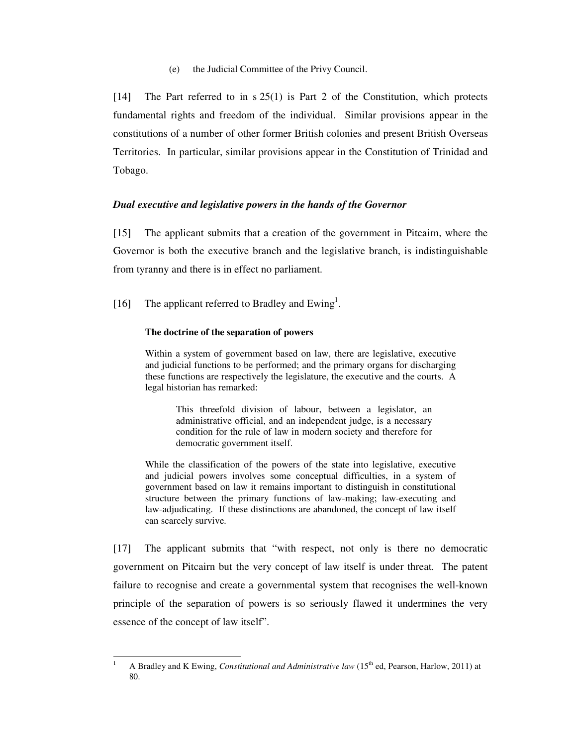(e) the Judicial Committee of the Privy Council.

[14] The Part referred to in s 25(1) is Part 2 of the Constitution, which protects fundamental rights and freedom of the individual. Similar provisions appear in the constitutions of a number of other former British colonies and present British Overseas Territories. In particular, similar provisions appear in the Constitution of Trinidad and Tobago.

#### *Dual executive and legislative powers in the hands of the Governor*

[15] The applicant submits that a creation of the government in Pitcairn, where the Governor is both the executive branch and the legislative branch, is indistinguishable from tyranny and there is in effect no parliament.

[16] The applicant referred to Bradley and Ewing<sup>1</sup>.

## **The doctrine of the separation of powers**

Within a system of government based on law, there are legislative, executive and judicial functions to be performed; and the primary organs for discharging these functions are respectively the legislature, the executive and the courts. A legal historian has remarked:

This threefold division of labour, between a legislator, an administrative official, and an independent judge, is a necessary condition for the rule of law in modern society and therefore for democratic government itself.

While the classification of the powers of the state into legislative, executive and judicial powers involves some conceptual difficulties, in a system of government based on law it remains important to distinguish in constitutional structure between the primary functions of law-making; law-executing and law-adjudicating. If these distinctions are abandoned, the concept of law itself can scarcely survive.

[17] The applicant submits that "with respect, not only is there no democratic government on Pitcairn but the very concept of law itself is under threat. The patent failure to recognise and create a governmental system that recognises the well-known principle of the separation of powers is so seriously flawed it undermines the very essence of the concept of law itself".

<sup>&</sup>lt;sup>1</sup> A Bradley and K Ewing, *Constitutional and Administrative law* (15<sup>th</sup> ed, Pearson, Harlow, 2011) at 80.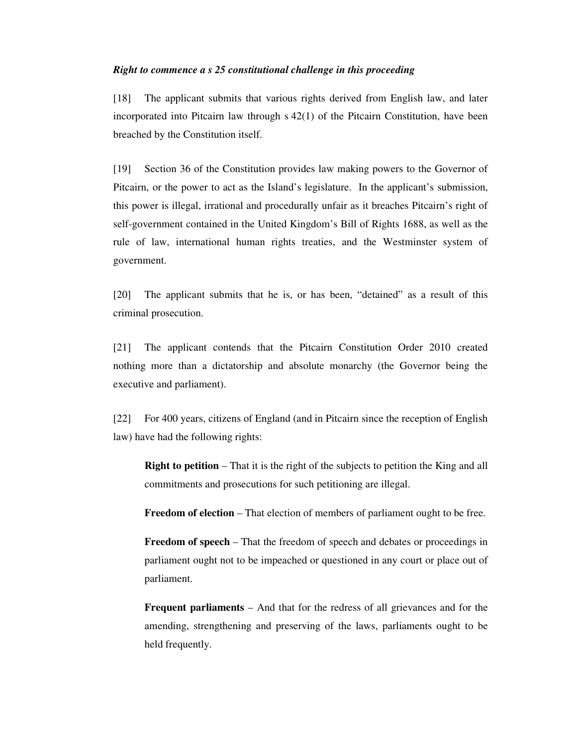#### *Right to commence a s 25 constitutional challenge in this proceeding*

[18] The applicant submits that various rights derived from English law, and later incorporated into Pitcairn law through  $s$  42(1) of the Pitcairn Constitution, have been breached by the Constitution itself.

[19] Section 36 of the Constitution provides law making powers to the Governor of Pitcairn, or the power to act as the Island's legislature. In the applicant's submission, this power is illegal, irrational and procedurally unfair as it breaches Pitcairn's right of self-government contained in the United Kingdom's Bill of Rights 1688, as well as the rule of law, international human rights treaties, and the Westminster system of government.

[20] The applicant submits that he is, or has been, "detained" as a result of this criminal prosecution.

[21] The applicant contends that the Pitcairn Constitution Order 2010 created nothing more than a dictatorship and absolute monarchy (the Governor being the executive and parliament).

[22] For 400 years, citizens of England (and in Pitcairn since the reception of English law) have had the following rights:

**Right to petition** – That it is the right of the subjects to petition the King and all commitments and prosecutions for such petitioning are illegal.

**Freedom of election** – That election of members of parliament ought to be free.

**Freedom of speech** – That the freedom of speech and debates or proceedings in parliament ought not to be impeached or questioned in any court or place out of parliament.

**Frequent parliaments** – And that for the redress of all grievances and for the amending, strengthening and preserving of the laws, parliaments ought to be held frequently.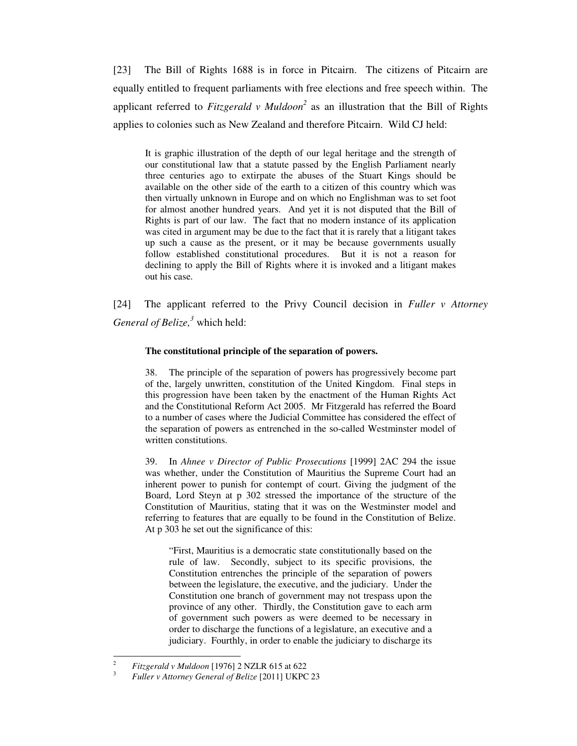[23] The Bill of Rights 1688 is in force in Pitcairn. The citizens of Pitcairn are equally entitled to frequent parliaments with free elections and free speech within. The applicant referred to *Fitzgerald v Muldoon 2* as an illustration that the Bill of Rights applies to colonies such as New Zealand and therefore Pitcairn. Wild CJ held:

It is graphic illustration of the depth of our legal heritage and the strength of our constitutional law that a statute passed by the English Parliament nearly three centuries ago to extirpate the abuses of the Stuart Kings should be available on the other side of the earth to a citizen of this country which was then virtually unknown in Europe and on which no Englishman was to set foot for almost another hundred years. And yet it is not disputed that the Bill of Rights is part of our law. The fact that no modern instance of its application was cited in argument may be due to the fact that it is rarely that a litigant takes up such a cause as the present, or it may be because governments usually follow established constitutional procedures. But it is not a reason for declining to apply the Bill of Rights where it is invoked and a litigant makes out his case.

[24] The applicant referred to the Privy Council decision in *Fuller v Attorney General of Belize, 3* which held:

#### **The constitutional principle of the separation of powers.**

38. The principle of the separation of powers has progressively become part of the, largely unwritten, constitution of the United Kingdom. Final steps in this progression have been taken by the enactment of the Human Rights Act and the Constitutional Reform Act 2005. Mr Fitzgerald has referred the Board to a number of cases where the Judicial Committee has considered the effect of the separation of powers as entrenched in the so-called Westminster model of written constitutions.

39. In *Ahnee v Director of Public Prosecutions* [1999] 2AC 294 the issue was whether, under the Constitution of Mauritius the Supreme Court had an inherent power to punish for contempt of court. Giving the judgment of the Board, Lord Steyn at p 302 stressed the importance of the structure of the Constitution of Mauritius, stating that it was on the Westminster model and referring to features that are equally to be found in the Constitution of Belize. At p 303 he set out the significance of this:

"First, Mauritius is a democratic state constitutionally based on the rule of law. Secondly, subject to its specific provisions, the Constitution entrenches the principle of the separation of powers between the legislature, the executive, and the judiciary. Under the Constitution one branch of government may not trespass upon the province of any other. Thirdly, the Constitution gave to each arm of government such powers as were deemed to be necessary in order to discharge the functions of a legislature, an executive and a judiciary. Fourthly, in order to enable the judiciary to discharge its

<sup>2</sup> *Fitzgerald v Muldoon* [1976] 2 NZLR 615 at 622

<sup>3</sup> *Fuller v Attorney General of Belize* [2011] UKPC 23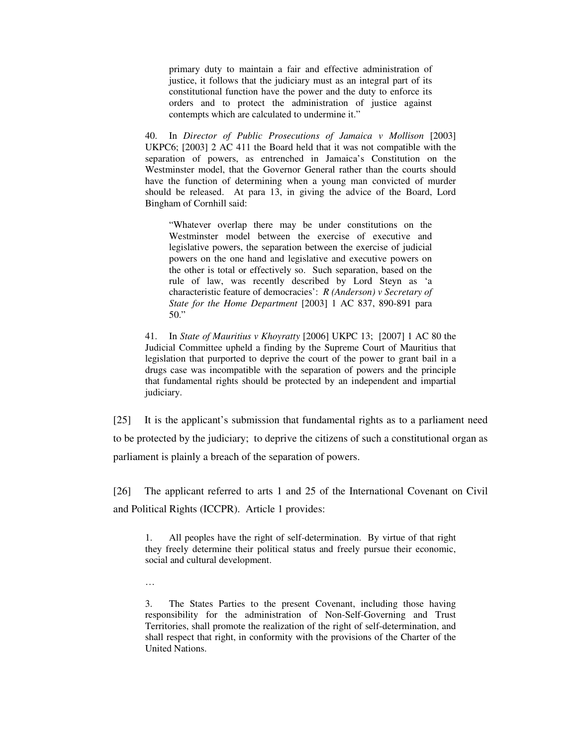primary duty to maintain a fair and effective administration of justice, it follows that the judiciary must as an integral part of its constitutional function have the power and the duty to enforce its orders and to protect the administration of justice against contempts which are calculated to undermine it."

40. In *Director of Public Prosecutions of Jamaica v Mollison* [2003] UKPC6; [2003] 2 AC 411 the Board held that it was not compatible with the separation of powers, as entrenched in Jamaica's Constitution on the Westminster model, that the Governor General rather than the courts should have the function of determining when a young man convicted of murder should be released. At para 13, in giving the advice of the Board, Lord Bingham of Cornhill said:

"Whatever overlap there may be under constitutions on the Westminster model between the exercise of executive and legislative powers, the separation between the exercise of judicial powers on the one hand and legislative and executive powers on the other is total or effectively so. Such separation, based on the rule of law, was recently described by Lord Steyn as 'a characteristic feature of democracies': *R (Anderson) v Secretary of State for the Home Department* [2003] 1 AC 837, 890-891 para 50."

41. In *State of Mauritius v Khoyratty* [2006] UKPC 13; [2007] 1 AC 80 the Judicial Committee upheld a finding by the Supreme Court of Mauritius that legislation that purported to deprive the court of the power to grant bail in a drugs case was incompatible with the separation of powers and the principle that fundamental rights should be protected by an independent and impartial judiciary.

[25] It is the applicant's submission that fundamental rights as to a parliament need to be protected by the judiciary; to deprive the citizens of such a constitutional organ as parliament is plainly a breach of the separation of powers.

[26] The applicant referred to arts 1 and 25 of the International Covenant on Civil and Political Rights (ICCPR). Article 1 provides:

1. All peoples have the right of self-determination. By virtue of that right they freely determine their political status and freely pursue their economic, social and cultural development.

…

3. The States Parties to the present Covenant, including those having responsibility for the administration of Non-Self-Governing and Trust Territories, shall promote the realization of the right of self-determination, and shall respect that right, in conformity with the provisions of the Charter of the United Nations.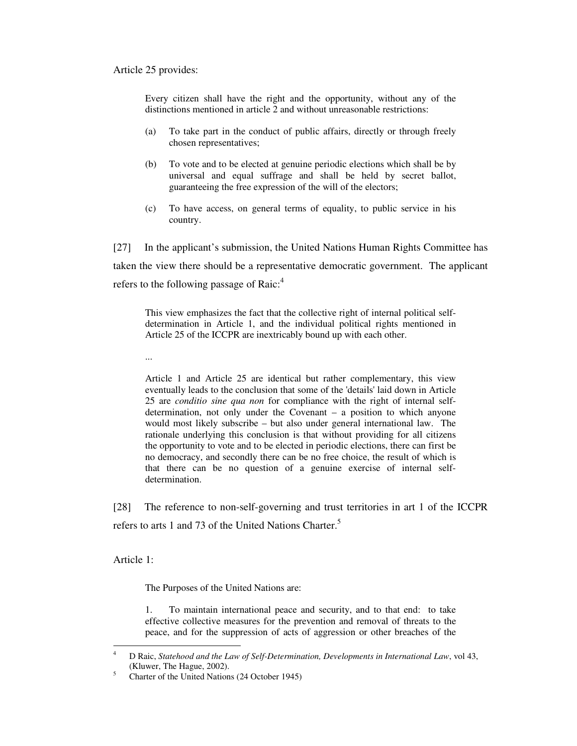## Article 25 provides:

Every citizen shall have the right and the opportunity, without any of the distinctions mentioned in article 2 and without unreasonable restrictions:

- (a) To take part in the conduct of public affairs, directly or through freely chosen representatives;
- (b) To vote and to be elected at genuine periodic elections which shall be by universal and equal suffrage and shall be held by secret ballot, guaranteeing the free expression of the will of the electors;
- (c) To have access, on general terms of equality, to public service in his country.

[27] In the applicant's submission, the United Nations Human Rights Committee has taken the view there should be a representative democratic government. The applicant refers to the following passage of Raic:<sup>4</sup>

This view emphasizes the fact that the collective right of internal political selfdetermination in Article 1, and the individual political rights mentioned in Article 25 of the ICCPR are inextricably bound up with each other.

...

Article 1 and Article 25 are identical but rather complementary, this view eventually leads to the conclusion that some of the 'details'laid down in Article 25 are *conditio sine qua non* for compliance with the right of internal selfdetermination, not only under the Covenant – a position to which anyone would most likely subscribe – but also under general international law. The rationale underlying this conclusion is that without providing for all citizens the opportunity to vote and to be elected in periodic elections, there can first be no democracy, and secondly there can be no free choice, the result of which is that there can be no question of a genuine exercise of internal selfdetermination.

[28] The reference to non-self-governing and trust territories in art 1 of the ICCPR refers to arts 1 and 73 of the United Nations Charter.<sup>5</sup>

Article 1:

The Purposes of the United Nations are:

1. To maintain international peace and security, and to that end: to take effective collective measures for the prevention and removal of threats to the peace, and for the suppression of acts of aggression or other breaches of the

<sup>4</sup> D Raic, *Statehood and the Law of Self-Determination, Developments in International Law*, vol 43, (Kluwer, The Hague, 2002).

 $5$  Charter of the United Nations (24 October 1945)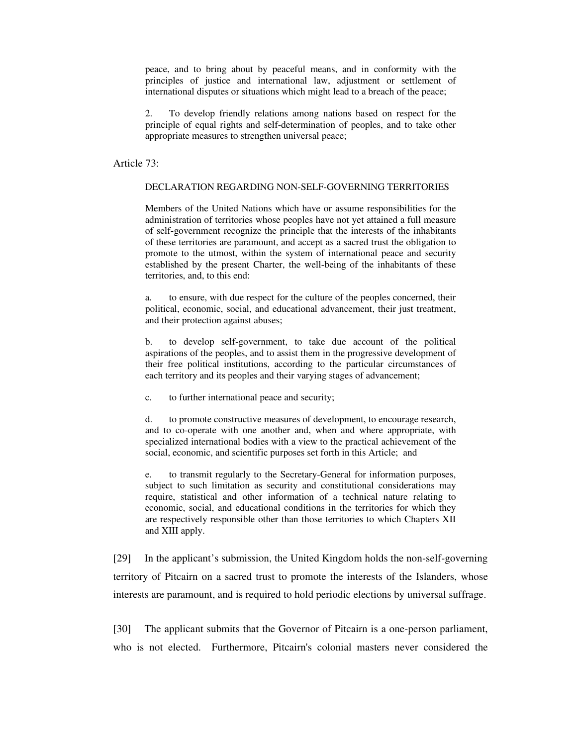peace, and to bring about by peaceful means, and in conformity with the principles of justice and international law, adjustment or settlement of international disputes or situations which might lead to a breach of the peace;

2. To develop friendly relations among nations based on respect for the principle of equal rights and self-determination of peoples, and to take other appropriate measures to strengthen universal peace;

Article 73:

#### DECLARATION REGARDING NON-SELF-GOVERNING TERRITORIES

Members of the United Nations which have or assume responsibilities for the administration of territories whose peoples have not yet attained a full measure of self-government recognize the principle that the interests of the inhabitants of these territories are paramount, and accept as a sacred trust the obligation to promote to the utmost, within the system of international peace and security established by the present Charter, the well-being of the inhabitants of these territories, and, to this end:

a. to ensure, with due respect for the culture of the peoples concerned, their political, economic, social, and educational advancement, their just treatment, and their protection against abuses;

b. to develop self-government, to take due account of the political aspirations of the peoples, and to assist them in the progressive development of their free political institutions, according to the particular circumstances of each territory and its peoples and their varying stages of advancement;

c. to further international peace and security;

d. to promote constructive measures of development, to encourage research, and to co-operate with one another and, when and where appropriate, with specialized international bodies with a view to the practical achievement of the social, economic, and scientific purposes set forth in this Article; and

e. to transmit regularly to the Secretary-General for information purposes, subject to such limitation as security and constitutional considerations may require, statistical and other information of a technical nature relating to economic, social, and educational conditions in the territories for which they are respectively responsible other than those territories to which Chapters XII and XIII apply.

[29] In the applicant's submission, the United Kingdom holds the non-self-governing territory of Pitcairn on a sacred trust to promote the interests of the Islanders, whose interests are paramount, and is required to hold periodic elections by universal suffrage.

[30] The applicant submits that the Governor of Pitcairn is a one-person parliament, who is not elected. Furthermore, Pitcairn's colonial masters never considered the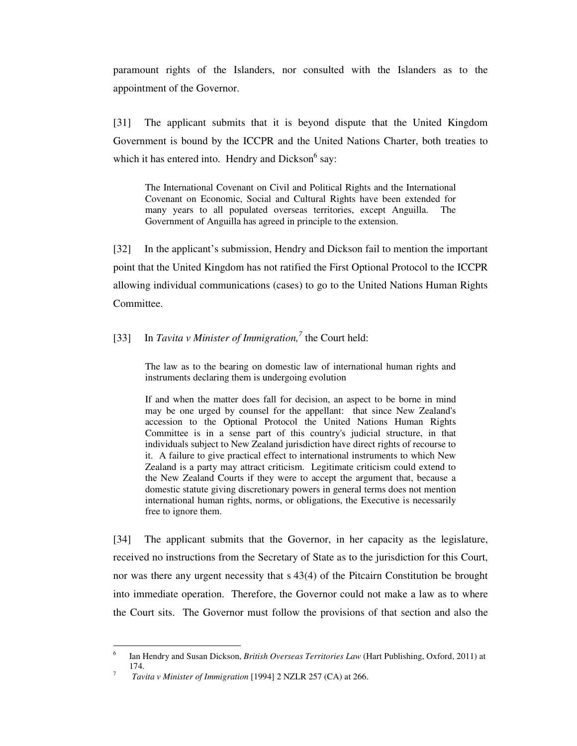paramount rights of the Islanders, nor consulted with the Islanders as to the appointment of the Governor.

[31] The applicant submits that it is beyond dispute that the United Kingdom Government is bound by the ICCPR and the United Nations Charter, both treaties to which it has entered into. Hendry and Dickson<sup>6</sup> say:

The International Covenant on Civil and Political Rights and the International Covenant on Economic, Social and Cultural Rights have been extended for many years to all populated overseas territories, except Anguilla. The Government of Anguilla has agreed in principle to the extension.

[32] In the applicant's submission, Hendry and Dickson fail to mention the important point that the United Kingdom has not ratified the First Optional Protocol to the ICCPR allowing individual communications (cases) to go to the United Nations Human Rights Committee.

## [33] In *Tavita v Minister of Immigration, 7* the Court held:

The law as to the bearing on domestic law of international human rights and instruments declaring them is undergoing evolution

If and when the matter does fall for decision, an aspect to be borne in mind may be one urged by counsel for the appellant: that since New Zealand's accession to the Optional Protocol the United Nations Human Rights Committee is in a sense part of this country's judicial structure, in that individuals subject to New Zealand jurisdiction have direct rights of recourse to it. A failure to give practical effect to international instruments to which New Zealand is a party may attract criticism. Legitimate criticism could extend to the New Zealand Courts if they were to accept the argument that, because a domestic statute giving discretionary powers in general terms does not mention international human rights, norms, or obligations, the Executive is necessarily free to ignore them.

[34] The applicant submits that the Governor, in her capacity as the legislature, received no instructions from the Secretary of State as to the jurisdiction for this Court, nor was there any urgent necessity that s 43(4) of the Pitcairn Constitution be brought into immediate operation. Therefore, the Governor could not make a law as to where the Court sits. The Governor must follow the provisions of that section and also the

<sup>6</sup> Ian Hendry and Susan Dickson, *British Overseas Territories Law* (Hart Publishing, Oxford, 2011) at 174. 7

*Tavita v Minister of Immigration* [1994] 2 NZLR 257 (CA) at 266.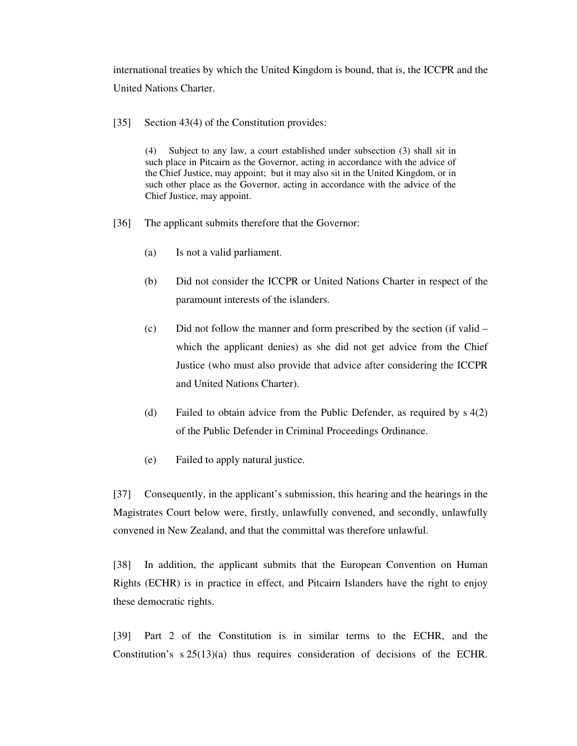international treaties by which the United Kingdom is bound, that is, the ICCPR and the United Nations Charter.

[35] Section 43(4) of the Constitution provides:

(4) Subject to any law, a court established under subsection (3) shall sit in such place in Pitcairn as the Governor, acting in accordance with the advice of the Chief Justice, may appoint; but it may also sit in the United Kingdom, or in such other place as the Governor, acting in accordance with the advice of the Chief Justice, may appoint.

- [36] The applicant submits therefore that the Governor:
	- (a) Is not a valid parliament.
	- (b) Did not consider the ICCPR or United Nations Charter in respect of the paramount interests of the islanders.
	- (c) Did not follow the manner and form prescribed by the section (if valid which the applicant denies) as she did not get advice from the Chief Justice (who must also provide that advice after considering the ICCPR and United Nations Charter).
	- (d) Failed to obtain advice from the Public Defender, as required by s 4(2) of the Public Defender in Criminal Proceedings Ordinance.
	- (e) Failed to apply natural justice.

[37] Consequently, in the applicant's submission, this hearing and the hearings in the Magistrates Court below were, firstly, unlawfully convened, and secondly, unlawfully convened in New Zealand, and that the committal was therefore unlawful.

[38] In addition, the applicant submits that the European Convention on Human Rights (ECHR) is in practice in effect, and Pitcairn Islanders have the right to enjoy these democratic rights.

[39] Part 2 of the Constitution is in similar terms to the ECHR, and the Constitution's s 25(13)(a) thus requires consideration of decisions of the ECHR.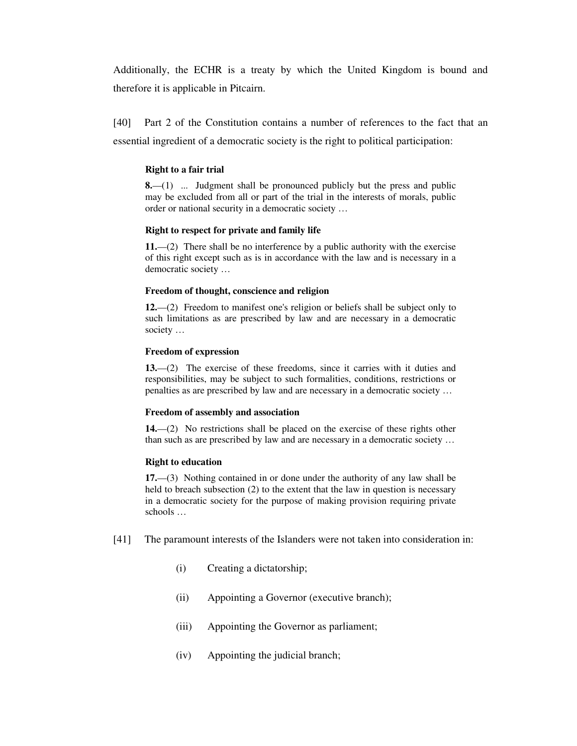Additionally, the ECHR is a treaty by which the United Kingdom is bound and therefore it is applicable in Pitcairn.

[40] Part 2 of the Constitution contains a number of references to the fact that an essential ingredient of a democratic society is the right to political participation:

#### **Right to a fair trial**

**8.**—(1) ... Judgment shall be pronounced publicly but the press and public may be excluded from all or part of the trial in the interests of morals, public order or national security in a democratic society …

#### **Right to respect for private and family life**

**11.**—(2) There shall be no interference by a public authority with the exercise of this right except such as is in accordance with the law and is necessary in a democratic society …

#### **Freedom of thought, conscience and religion**

**12.**—(2) Freedom to manifest one's religion or beliefs shall be subject only to such limitations as are prescribed by law and are necessary in a democratic society …

#### **Freedom of expression**

**13.**—(2) The exercise of these freedoms, since it carries with it duties and responsibilities, may be subject to such formalities, conditions, restrictions or penalties as are prescribed by law and are necessary in a democratic society …

#### **Freedom of assembly and association**

**14.**—(2) No restrictions shall be placed on the exercise of these rights other than such as are prescribed by law and are necessary in a democratic society …

#### **Right to education**

**17.**—(3) Nothing contained in or done under the authority of any law shall be held to breach subsection (2) to the extent that the law in question is necessary in a democratic society for the purpose of making provision requiring private schools …

- [41] The paramount interests of the Islanders were not taken into consideration in:
	- (i) Creating a dictatorship;
	- (ii) Appointing a Governor (executive branch);
	- (iii) Appointing the Governor as parliament;
	- (iv) Appointing the judicial branch;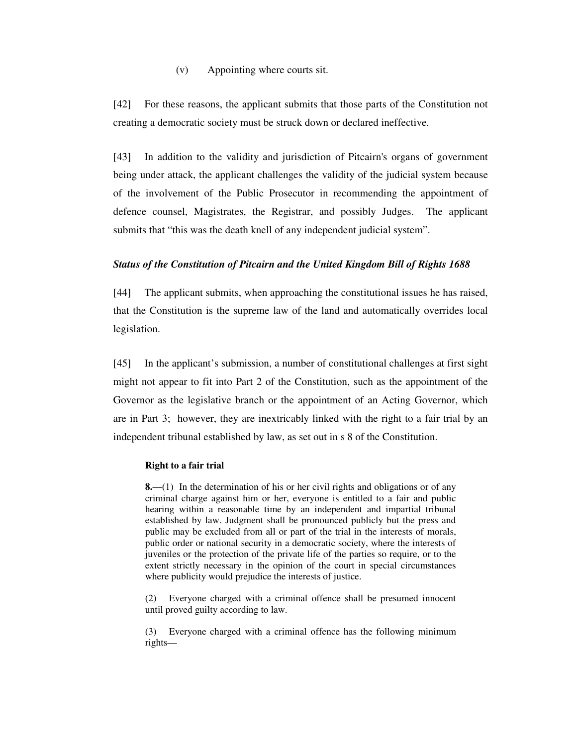#### (v) Appointing where courts sit.

[42] For these reasons, the applicant submits that those parts of the Constitution not creating a democratic society must be struck down or declared ineffective.

[43] In addition to the validity and jurisdiction of Pitcairn's organs of government being under attack, the applicant challenges the validity of the judicial system because of the involvement of the Public Prosecutor in recommending the appointment of defence counsel, Magistrates, the Registrar, and possibly Judges. The applicant submits that "this was the death knell of any independent judicial system".

#### *Status of the Constitution of Pitcairn and the United Kingdom Bill of Rights 1688*

[44] The applicant submits, when approaching the constitutional issues he has raised, that the Constitution is the supreme law of the land and automatically overrides local legislation.

[45] In the applicant's submission, a number of constitutional challenges at first sight might not appear to fit into Part 2 of the Constitution, such as the appointment of the Governor as the legislative branch or the appointment of an Acting Governor, which are in Part 3; however, they are inextricably linked with the right to a fair trial by an independent tribunal established by law, as set out in s 8 of the Constitution.

#### **Right to a fair trial**

**8.**—(1) In the determination of his or her civil rights and obligations or of any criminal charge against him or her, everyone is entitled to a fair and public hearing within a reasonable time by an independent and impartial tribunal established by law. Judgment shall be pronounced publicly but the press and public may be excluded from all or part of the trial in the interests of morals, public order or national security in a democratic society, where the interests of juveniles or the protection of the private life of the parties so require, or to the extent strictly necessary in the opinion of the court in special circumstances where publicity would prejudice the interests of justice.

(2) Everyone charged with a criminal offence shall be presumed innocent until proved guilty according to law.

(3) Everyone charged with a criminal offence has the following minimum rights—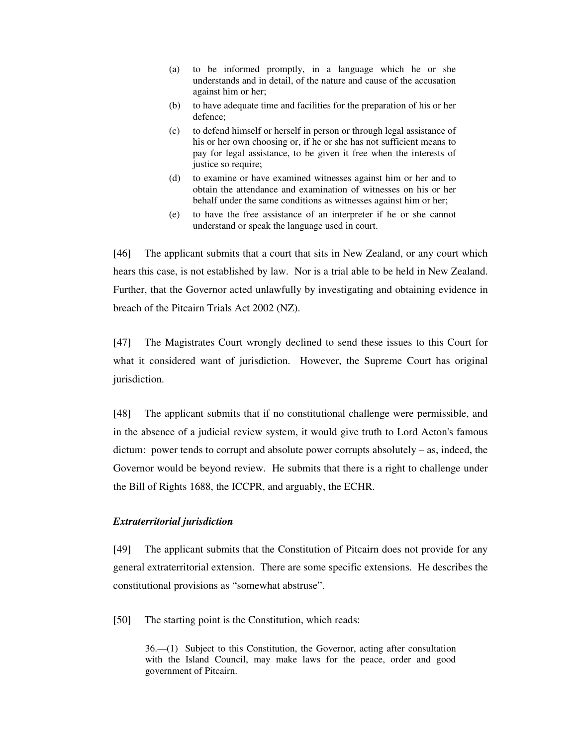- (a) to be informed promptly, in a language which he or she understands and in detail, of the nature and cause of the accusation against him or her;
- (b) to have adequate time and facilities for the preparation of his or her defence;
- (c) to defend himself or herself in person or through legal assistance of his or her own choosing or, if he or she has not sufficient means to pay for legal assistance, to be given it free when the interests of justice so require;
- (d) to examine or have examined witnesses against him or her and to obtain the attendance and examination of witnesses on his or her behalf under the same conditions as witnesses against him or her;
- (e) to have the free assistance of an interpreter if he or she cannot understand or speak the language used in court.

[46] The applicant submits that a court that sits in New Zealand, or any court which hears this case, is not established by law. Nor is a trial able to be held in New Zealand. Further, that the Governor acted unlawfully by investigating and obtaining evidence in breach of the Pitcairn Trials Act 2002 (NZ).

[47] The Magistrates Court wrongly declined to send these issues to this Court for what it considered want of jurisdiction. However, the Supreme Court has original jurisdiction.

[48] The applicant submits that if no constitutional challenge were permissible, and in the absence of a judicial review system, it would give truth to Lord Acton's famous dictum: power tends to corrupt and absolute power corrupts absolutely – as, indeed, the Governor would be beyond review. He submits that there is a right to challenge under the Bill of Rights 1688, the ICCPR, and arguably, the ECHR.

## *Extraterritorial jurisdiction*

[49] The applicant submits that the Constitution of Pitcairn does not provide for any general extraterritorial extension. There are some specific extensions. He describes the constitutional provisions as "somewhat abstruse".

[50] The starting point is the Constitution, which reads:

36.—(1) Subject to this Constitution, the Governor, acting after consultation with the Island Council, may make laws for the peace, order and good government of Pitcairn.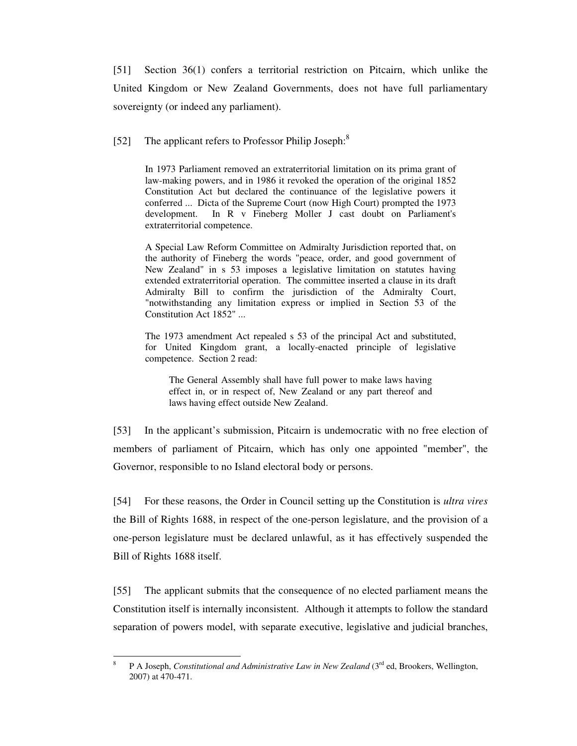[51] Section 36(1) confers a territorial restriction on Pitcairn, which unlike the United Kingdom or New Zealand Governments, does not have full parliamentary sovereignty (or indeed any parliament).

[52] The applicant refers to Professor Philip Joseph:<sup>8</sup>

In 1973 Parliament removed an extraterritorial limitation on its prima grant of law-making powers, and in 1986 it revoked the operation of the original 1852 Constitution Act but declared the continuance of the legislative powers it conferred ... Dicta of the Supreme Court (now High Court) prompted the 1973 development. In R v Fineberg Moller J cast doubt on Parliament's extraterritorial competence.

A Special Law Reform Committee on Admiralty Jurisdiction reported that, on the authority of Fineberg the words "peace, order, and good government of New Zealand" in s 53 imposes a legislative limitation on statutes having extended extraterritorial operation. The committee inserted a clause in its draft Admiralty Bill to confirm the jurisdiction of the Admiralty Court, "notwithstanding any limitation express or implied in Section 53 of the Constitution Act 1852" ...

The 1973 amendment Act repealed s 53 of the principal Act and substituted, for United Kingdom grant, a locally-enacted principle of legislative competence. Section 2 read:

The General Assembly shall have full power to make laws having effect in, or in respect of, New Zealand or any part thereof and laws having effect outside New Zealand.

[53] In the applicant's submission, Pitcairn is undemocratic with no free election of members of parliament of Pitcairn, which has only one appointed "member", the Governor, responsible to no Island electoral body or persons.

[54] For these reasons, the Order in Council setting up the Constitution is *ultra vires* the Bill of Rights 1688, in respect of the one-person legislature, and the provision of a one-person legislature must be declared unlawful, as it has effectively suspended the Bill of Rights 1688 itself.

[55] The applicant submits that the consequence of no elected parliament means the Constitution itself is internally inconsistent. Although it attempts to follow the standard separation of powers model, with separate executive, legislative and judicial branches,

<sup>8</sup> P A Joseph, *Constitutional and Administrative Law in New Zealand* (3<sup>rd</sup> ed, Brookers, Wellington, 2007) at 470-471.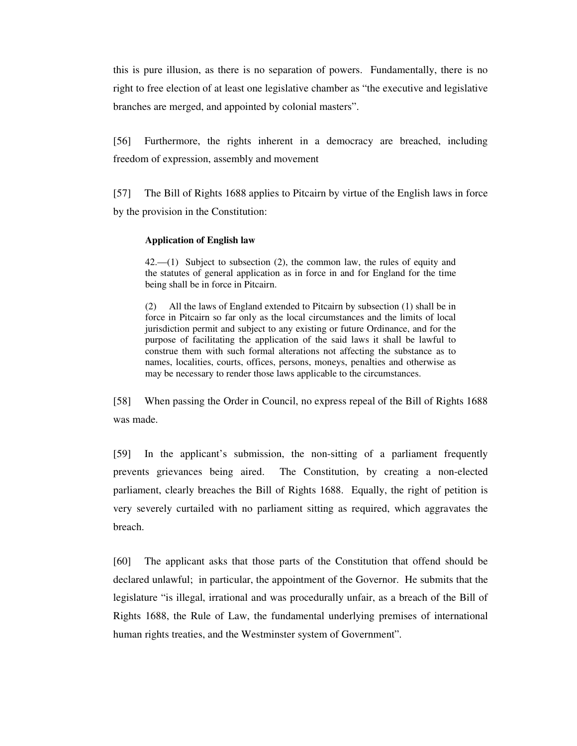this is pure illusion, as there is no separation of powers. Fundamentally, there is no right to free election of at least one legislative chamber as "the executive and legislative branches are merged, and appointed by colonial masters".

[56] Furthermore, the rights inherent in a democracy are breached, including freedom of expression, assembly and movement

[57] The Bill of Rights 1688 applies to Pitcairn by virtue of the English laws in force by the provision in the Constitution:

#### **Application of English law**

42.—(1) Subject to subsection (2), the common law, the rules of equity and the statutes of general application as in force in and for England for the time being shall be in force in Pitcairn.

(2) All the laws of England extended to Pitcairn by subsection (1) shall be in force in Pitcairn so far only as the local circumstances and the limits of local jurisdiction permit and subject to any existing or future Ordinance, and for the purpose of facilitating the application of the said laws it shall be lawful to construe them with such formal alterations not affecting the substance as to names, localities, courts, offices, persons, moneys, penalties and otherwise as may be necessary to render those laws applicable to the circumstances.

[58] When passing the Order in Council, no express repeal of the Bill of Rights 1688 was made.

[59] In the applicant's submission, the non-sitting of a parliament frequently prevents grievances being aired. The Constitution, by creating a non-elected parliament, clearly breaches the Bill of Rights 1688. Equally, the right of petition is very severely curtailed with no parliament sitting as required, which aggravates the breach.

[60] The applicant asks that those parts of the Constitution that offend should be declared unlawful; in particular, the appointment of the Governor. He submits that the legislature "is illegal, irrational and was procedurally unfair, as a breach of the Bill of Rights 1688, the Rule of Law, the fundamental underlying premises of international human rights treaties, and the Westminster system of Government".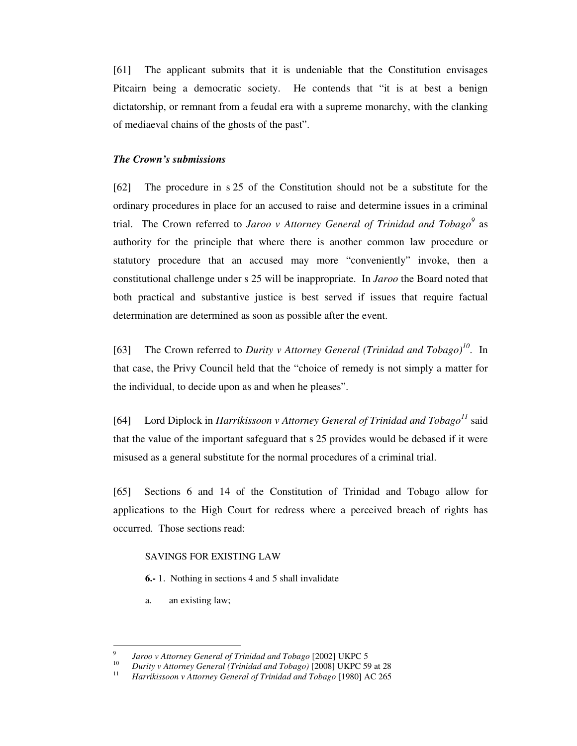[61] The applicant submits that it is undeniable that the Constitution envisages Pitcairn being a democratic society. He contends that "it is at best a benign dictatorship, or remnant from a feudal era with a supreme monarchy, with the clanking of mediaeval chains of the ghosts of the past".

#### *The Crown's submissions*

[62] The procedure in s 25 of the Constitution should not be a substitute for the ordinary procedures in place for an accused to raise and determine issues in a criminal trial. The Crown referred to *Jaroo v Attorney General of Trinidad and Tobago 9* as authority for the principle that where there is another common law procedure or statutory procedure that an accused may more "conveniently" invoke, then a constitutional challenge under s 25 will be inappropriate. In *Jaroo* the Board noted that both practical and substantive justice is best served if issues that require factual determination are determined as soon as possible after the event.

[63] The Crown referred to *Durity v Attorney General (Trinidad and Tobago) 10* . In that case, the Privy Council held that the "choice of remedy is not simply a matter for the individual, to decide upon as and when he pleases".

[64] Lord Diplock in *Harrikissoon v Attorney General of Trinidad and Tobago 11* said that the value of the important safeguard that s 25 provides would be debased if it were misused as a general substitute for the normal procedures of a criminal trial.

[65] Sections 6 and 14 of the Constitution of Trinidad and Tobago allow for applications to the High Court for redress where a perceived breach of rights has occurred. Those sections read:

#### SAVINGS FOR EXISTING LAW

- **6.-** 1. Nothing in sections 4 and 5 shall invalidate
- a. an existing law;

<sup>9</sup> *Jaroo v Attorney General of Trinidad and Tobago* [2002] UKPC 5

<sup>10</sup> *Durity v Attorney General (Trinidad and Tobago)* [2008] UKPC 59 at 28

<sup>11</sup> *Harrikissoon v Attorney General of Trinidad and Tobago* [1980] AC 265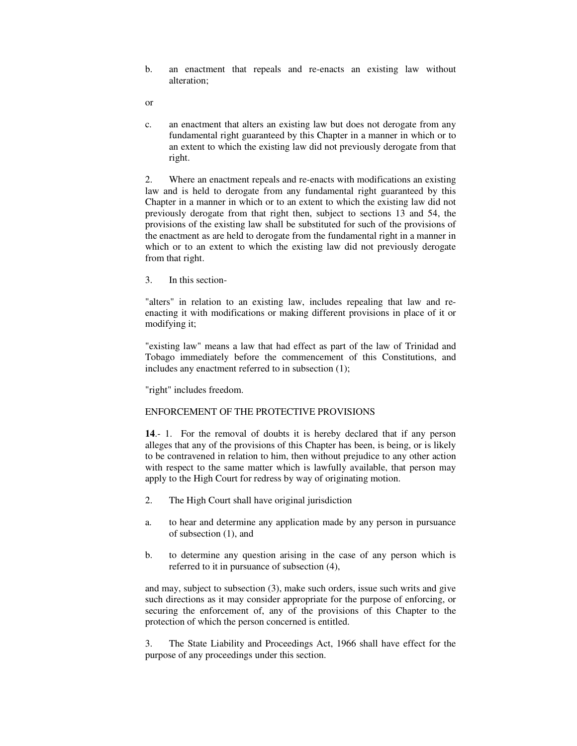- b. an enactment that repeals and re-enacts an existing law without alteration;
- or
- c. an enactment that alters an existing law but does not derogate from any fundamental right guaranteed by this Chapter in a manner in which or to an extent to which the existing law did not previously derogate from that right.

2. Where an enactment repeals and re-enacts with modifications an existing law and is held to derogate from any fundamental right guaranteed by this Chapter in a manner in which or to an extent to which the existing law did not previously derogate from that right then, subject to sections 13 and 54, the provisions of the existing law shall be substituted for such of the provisions of the enactment as are held to derogate from the fundamental right in a manner in which or to an extent to which the existing law did not previously derogate from that right.

3. In this section-

"alters" in relation to an existing law, includes repealing that law and reenacting it with modifications or making different provisions in place of it or modifying it;

"existing law" means a law that had effect as part of the law of Trinidad and Tobago immediately before the commencement of this Constitutions, and includes any enactment referred to in subsection (1);

"right" includes freedom.

## ENFORCEMENT OF THE PROTECTIVE PROVISIONS

**14**.- 1. For the removal of doubts it is hereby declared that if any person alleges that any of the provisions of this Chapter has been, is being, or is likely to be contravened in relation to him, then without prejudice to any other action with respect to the same matter which is lawfully available, that person may apply to the High Court for redress by way of originating motion.

- 2. The High Court shall have original jurisdiction
- a. to hear and determine any application made by any person in pursuance of subsection (1), and
- b. to determine any question arising in the case of any person which is referred to it in pursuance of subsection (4),

and may, subject to subsection (3), make such orders, issue such writs and give such directions as it may consider appropriate for the purpose of enforcing, or securing the enforcement of, any of the provisions of this Chapter to the protection of which the person concerned is entitled.

3. The State Liability and Proceedings Act, 1966 shall have effect for the purpose of any proceedings under this section.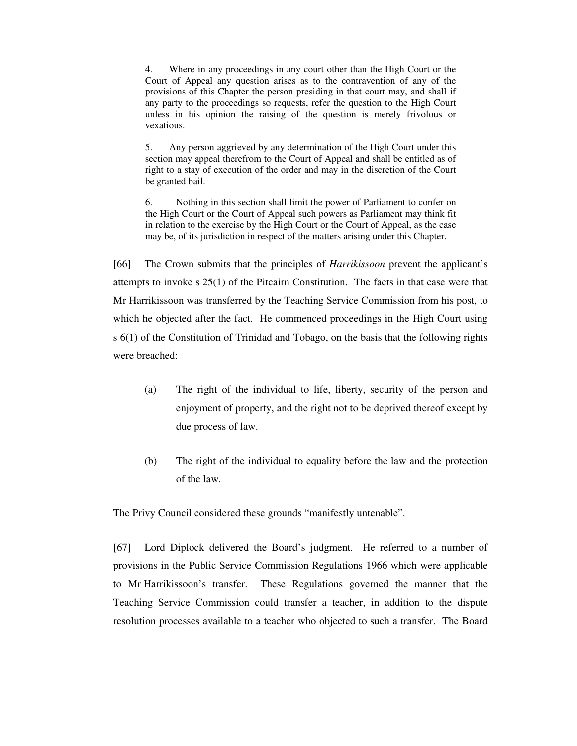4. Where in any proceedings in any court other than the High Court or the Court of Appeal any question arises as to the contravention of any of the provisions of this Chapter the person presiding in that court may, and shall if any party to the proceedings so requests, refer the question to the High Court unless in his opinion the raising of the question is merely frivolous or vexatious.

5. Any person aggrieved by any determination of the High Court under this section may appeal therefrom to the Court of Appeal and shall be entitled as of right to a stay of execution of the order and may in the discretion of the Court be granted bail.

6. Nothing in this section shall limit the power of Parliament to confer on the High Court or the Court of Appeal such powers as Parliament may think fit in relation to the exercise by the High Court or the Court of Appeal, as the case may be, of its jurisdiction in respect of the matters arising under this Chapter.

[66] The Crown submits that the principles of *Harrikissoon* prevent the applicant's attempts to invoke s 25(1) of the Pitcairn Constitution. The facts in that case were that Mr Harrikissoon was transferred by the Teaching Service Commission from his post, to which he objected after the fact. He commenced proceedings in the High Court using s 6(1) of the Constitution of Trinidad and Tobago, on the basis that the following rights were breached:

- (a) The right of the individual to life, liberty, security of the person and enjoyment of property, and the right not to be deprived thereof except by due process of law.
- (b) The right of the individual to equality before the law and the protection of the law.

The Privy Council considered these grounds "manifestly untenable".

[67] Lord Diplock delivered the Board's judgment. He referred to a number of provisions in the Public Service Commission Regulations 1966 which were applicable to Mr Harrikissoon's transfer. These Regulations governed the manner that the Teaching Service Commission could transfer a teacher, in addition to the dispute resolution processes available to a teacher who objected to such a transfer. The Board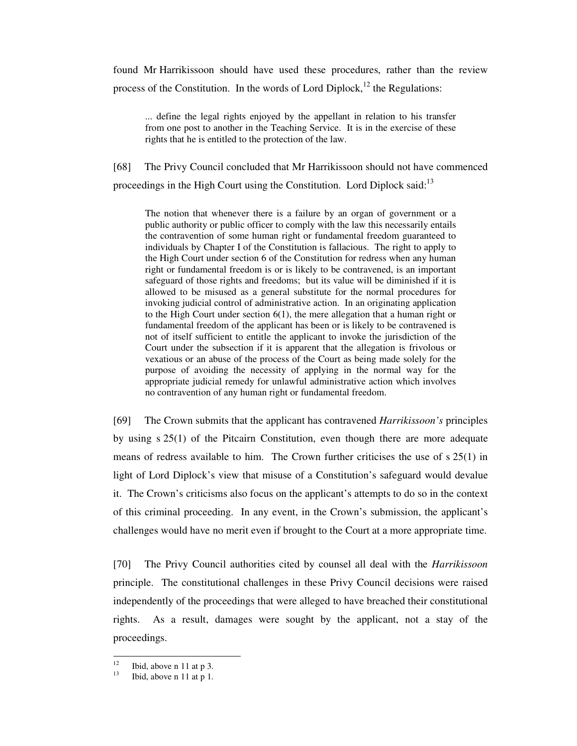found Mr Harrikissoon should have used these procedures, rather than the review process of the Constitution. In the words of Lord Diplock, $^{12}$  the Regulations:

... define the legal rights enjoyed by the appellant in relation to his transfer from one post to another in the Teaching Service. It is in the exercise of these rights that he is entitled to the protection of the law.

[68] The Privy Council concluded that Mr Harrikissoon should not have commenced proceedings in the High Court using the Constitution. Lord Diplock said:<sup>13</sup>

The notion that whenever there is a failure by an organ of government or a public authority or public officer to comply with the law this necessarily entails the contravention of some human right or fundamental freedom guaranteed to individuals by Chapter I of the Constitution is fallacious. The right to apply to the High Court under section 6 of the Constitution for redress when any human right or fundamental freedom is or is likely to be contravened, is an important safeguard of those rights and freedoms; but its value will be diminished if it is allowed to be misused as a general substitute for the normal procedures for invoking judicial control of administrative action. In an originating application to the High Court under section 6(1), the mere allegation that a human right or fundamental freedom of the applicant has been or is likely to be contravened is not of itself sufficient to entitle the applicant to invoke the jurisdiction of the Court under the subsection if it is apparent that the allegation is frivolous or vexatious or an abuse of the process of the Court as being made solely for the purpose of avoiding the necessity of applying in the normal way for the appropriate judicial remedy for unlawful administrative action which involves no contravention of any human right or fundamental freedom.

[69] The Crown submits that the applicant has contravened *Harrikissoon's* principles by using s 25(1) of the Pitcairn Constitution, even though there are more adequate means of redress available to him. The Crown further criticises the use of s 25(1) in light of Lord Diplock's view that misuse of a Constitution's safeguard would devalue it. The Crown's criticisms also focus on the applicant's attempts to do so in the context of this criminal proceeding. In any event, in the Crown's submission, the applicant's challenges would have no merit even if brought to the Court at a more appropriate time.

[70] The Privy Council authorities cited by counsel all deal with the *Harrikissoon* principle. The constitutional challenges in these Privy Council decisions were raised independently of the proceedings that were alleged to have breached their constitutional rights. As a result, damages were sought by the applicant, not a stay of the proceedings.

<sup>12</sup> Ibid, above n 11 at p 3.

<sup>13</sup> Ibid, above n 11 at p 1.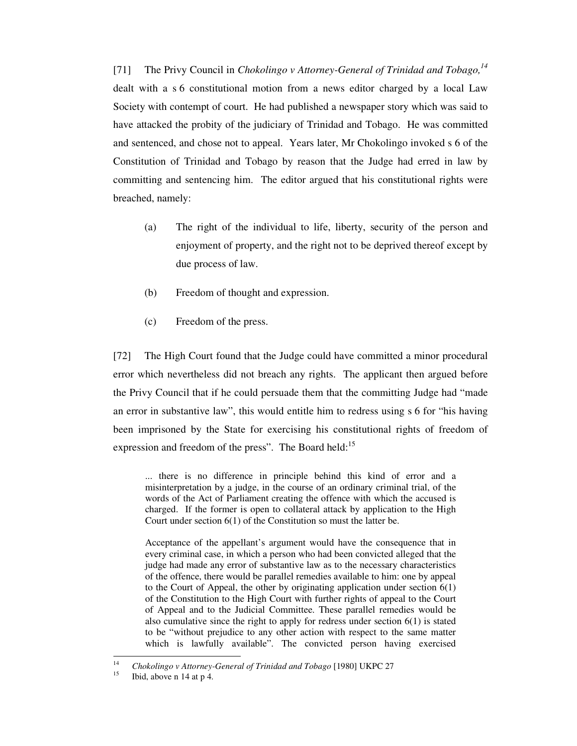[71] The Privy Council in *Chokolingo v Attorney-General of Trinidad and Tobago, 14* dealt with a s 6 constitutional motion from a news editor charged by a local Law Society with contempt of court. He had published a newspaper story which was said to have attacked the probity of the judiciary of Trinidad and Tobago. He was committed and sentenced, and chose not to appeal. Years later, Mr Chokolingo invoked s 6 of the Constitution of Trinidad and Tobago by reason that the Judge had erred in law by committing and sentencing him. The editor argued that his constitutional rights were breached, namely:

- (a) The right of the individual to life, liberty, security of the person and enjoyment of property, and the right not to be deprived thereof except by due process of law.
- (b) Freedom of thought and expression.
- (c) Freedom of the press.

[72] The High Court found that the Judge could have committed a minor procedural error which nevertheless did not breach any rights. The applicant then argued before the Privy Council that if he could persuade them that the committing Judge had "made an error in substantive law", this would entitle him to redress using s 6 for "his having been imprisoned by the State for exercising his constitutional rights of freedom of expression and freedom of the press". The Board held:<sup>15</sup>

... there is no difference in principle behind this kind of error and a misinterpretation by a judge, in the course of an ordinary criminal trial, of the words of the Act of Parliament creating the offence with which the accused is charged. If the former is open to collateral attack by application to the High Court under section 6(1) of the Constitution so must the latter be.

Acceptance of the appellant's argument would have the consequence that in every criminal case, in which a person who had been convicted alleged that the judge had made any error of substantive law as to the necessary characteristics of the offence, there would be parallel remedies available to him: one by appeal to the Court of Appeal, the other by originating application under section 6(1) of the Constitution to the High Court with further rights of appeal to the Court of Appeal and to the Judicial Committee. These parallel remedies would be also cumulative since the right to apply for redress under section 6(1) is stated to be "without prejudice to any other action with respect to the same matter which is lawfully available". The convicted person having exercised

<sup>14</sup> *Chokolingo v Attorney-General of Trinidad and Tobago* [1980] UKPC 27

<sup>15</sup> Ibid, above n 14 at p 4.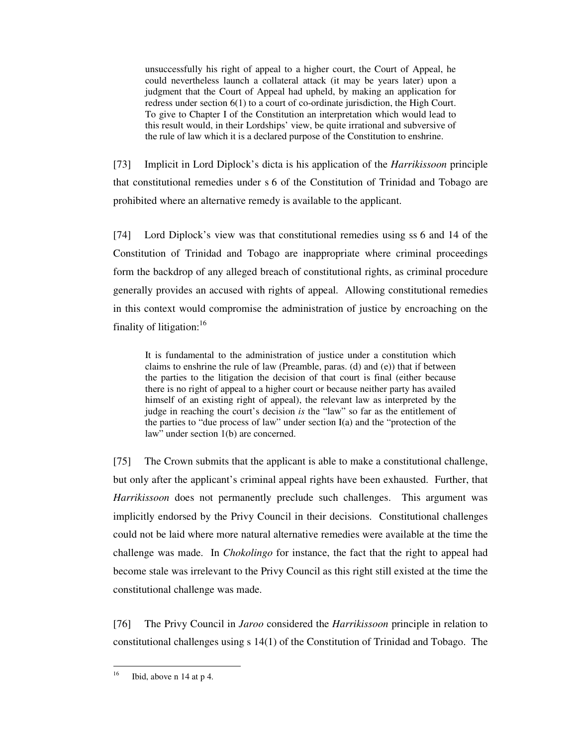unsuccessfully his right of appeal to a higher court, the Court of Appeal, he could nevertheless launch a collateral attack (it may be years later) upon a judgment that the Court of Appeal had upheld, by making an application for redress under section 6(1) to a court of co-ordinate jurisdiction, the High Court. To give to Chapter I of the Constitution an interpretation which would lead to this result would, in their Lordships' view, be quite irrational and subversive of the rule of law which it is a declared purpose of the Constitution to enshrine.

[73] Implicit in Lord Diplock's dicta is his application of the *Harrikissoon* principle that constitutional remedies under s 6 of the Constitution of Trinidad and Tobago are prohibited where an alternative remedy is available to the applicant.

[74] Lord Diplock's view was that constitutional remedies using ss 6 and 14 of the Constitution of Trinidad and Tobago are inappropriate where criminal proceedings form the backdrop of any alleged breach of constitutional rights, as criminal procedure generally provides an accused with rights of appeal. Allowing constitutional remedies in this context would compromise the administration of justice by encroaching on the finality of litigation:<sup>16</sup>

It is fundamental to the administration of justice under a constitution which claims to enshrine the rule of law (Preamble, paras. (d) and (e)) that if between the parties to the litigation the decision of that court is final (either because there is no right of appeal to a higher court or because neither party has availed himself of an existing right of appeal), the relevant law as interpreted by the judge in reaching the court's decision *is* the "law" so far as the entitlement of the parties to "due process of law" under section I(a) and the "protection of the law" under section 1(b) are concerned.

[75] The Crown submits that the applicant is able to make a constitutional challenge, but only after the applicant's criminal appeal rights have been exhausted. Further, that *Harrikissoon* does not permanently preclude such challenges. This argument was implicitly endorsed by the Privy Council in their decisions. Constitutional challenges could not be laid where more natural alternative remedies were available at the time the challenge was made. In *Chokolingo* for instance, the fact that the right to appeal had become stale was irrelevant to the Privy Council as this right still existed at the time the constitutional challenge was made.

[76] The Privy Council in *Jaroo* considered the *Harrikissoon* principle in relation to constitutional challenges using s 14(1) of the Constitution of Trinidad and Tobago. The

<sup>16</sup> Ibid, above n 14 at p 4.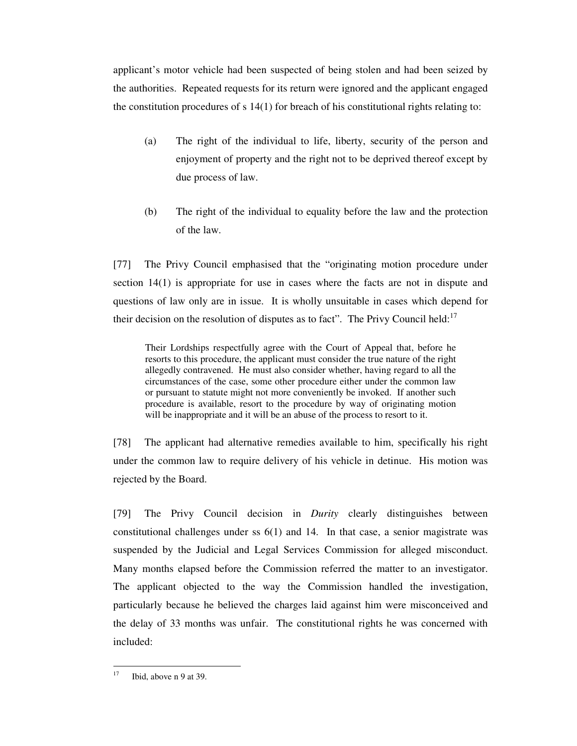applicant's motor vehicle had been suspected of being stolen and had been seized by the authorities. Repeated requests for its return were ignored and the applicant engaged the constitution procedures of  $s$  14(1) for breach of his constitutional rights relating to:

- (a) The right of the individual to life, liberty, security of the person and enjoyment of property and the right not to be deprived thereof except by due process of law.
- (b) The right of the individual to equality before the law and the protection of the law.

[77] The Privy Council emphasised that the "originating motion procedure under section 14(1) is appropriate for use in cases where the facts are not in dispute and questions of law only are in issue. It is wholly unsuitable in cases which depend for their decision on the resolution of disputes as to fact". The Privy Council held:<sup>17</sup>

Their Lordships respectfully agree with the Court of Appeal that, before he resorts to this procedure, the applicant must consider the true nature of the right allegedly contravened. He must also consider whether, having regard to all the circumstances of the case, some other procedure either under the common law or pursuant to statute might not more conveniently be invoked. If another such procedure is available, resort to the procedure by way of originating motion will be inappropriate and it will be an abuse of the process to resort to it.

[78] The applicant had alternative remedies available to him, specifically his right under the common law to require delivery of his vehicle in detinue. His motion was rejected by the Board.

[79] The Privy Council decision in *Durity* clearly distinguishes between constitutional challenges under ss  $6(1)$  and 14. In that case, a senior magistrate was suspended by the Judicial and Legal Services Commission for alleged misconduct. Many months elapsed before the Commission referred the matter to an investigator. The applicant objected to the way the Commission handled the investigation, particularly because he believed the charges laid against him were misconceived and the delay of 33 months was unfair. The constitutional rights he was concerned with included:

<sup>17</sup> Ibid, above n 9 at 39.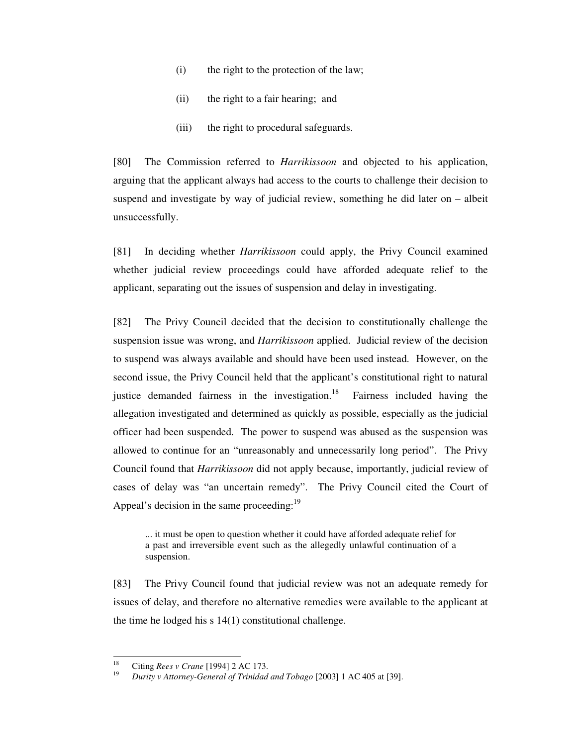- (i) the right to the protection of the law;
- (ii) the right to a fair hearing; and
- (iii) the right to procedural safeguards.

[80] The Commission referred to *Harrikissoon* and objected to his application, arguing that the applicant always had access to the courts to challenge their decision to suspend and investigate by way of judicial review, something he did later on – albeit unsuccessfully.

[81] In deciding whether *Harrikissoon* could apply, the Privy Council examined whether judicial review proceedings could have afforded adequate relief to the applicant, separating out the issues of suspension and delay in investigating.

[82] The Privy Council decided that the decision to constitutionally challenge the suspension issue was wrong, and *Harrikissoon* applied. Judicial review of the decision to suspend was always available and should have been used instead. However, on the second issue, the Privy Council held that the applicant's constitutional right to natural justice demanded fairness in the investigation.<sup>18</sup> Fairness included having the allegation investigated and determined as quickly as possible, especially as the judicial officer had been suspended. The power to suspend was abused as the suspension was allowed to continue for an "unreasonably and unnecessarily long period". The Privy Council found that *Harrikissoon* did not apply because, importantly, judicial review of cases of delay was "an uncertain remedy". The Privy Council cited the Court of Appeal's decision in the same proceeding:<sup>19</sup>

... it must be open to question whether it could have afforded adequate relief for a past and irreversible event such as the allegedly unlawful continuation of a suspension.

[83] The Privy Council found that judicial review was not an adequate remedy for issues of delay, and therefore no alternative remedies were available to the applicant at the time he lodged his s 14(1) constitutional challenge.

<sup>18</sup> Citing *Rees v Crane* [1994] 2 AC 173.

<sup>19</sup> *Durity v Attorney-General of Trinidad and Tobago* [2003] 1 AC 405 at [39].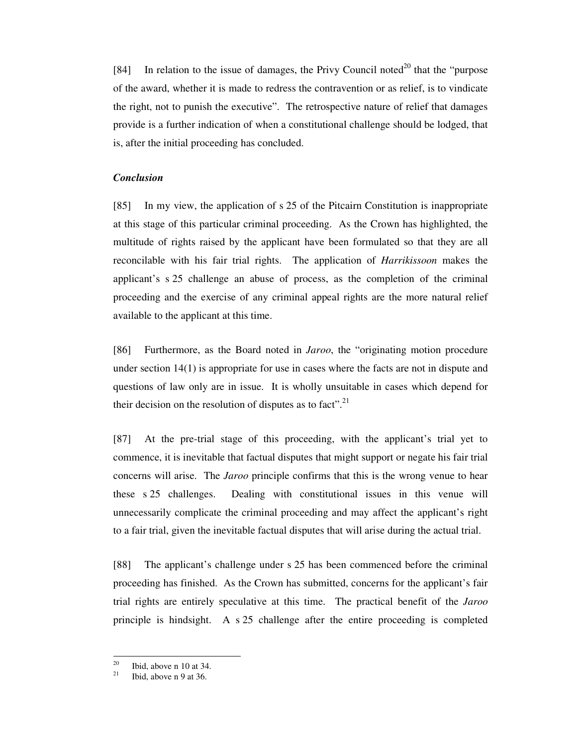[84] In relation to the issue of damages, the Privy Council noted<sup>20</sup> that the "purpose" of the award, whether it is made to redress the contravention or as relief, is to vindicate the right, not to punish the executive". The retrospective nature of relief that damages provide is a further indication of when a constitutional challenge should be lodged, that is, after the initial proceeding has concluded.

#### *Conclusion*

[85] In my view, the application of s 25 of the Pitcairn Constitution is inappropriate at this stage of this particular criminal proceeding. As the Crown has highlighted, the multitude of rights raised by the applicant have been formulated so that they are all reconcilable with his fair trial rights. The application of *Harrikissoon* makes the applicant's s 25 challenge an abuse of process, as the completion of the criminal proceeding and the exercise of any criminal appeal rights are the more natural relief available to the applicant at this time.

[86] Furthermore, as the Board noted in *Jaroo*, the "originating motion procedure under section 14(1) is appropriate for use in cases where the facts are not in dispute and questions of law only are in issue. It is wholly unsuitable in cases which depend for their decision on the resolution of disputes as to fact".<sup>21</sup>

[87] At the pre-trial stage of this proceeding, with the applicant's trial yet to commence, it is inevitable that factual disputes that might support or negate his fair trial concerns will arise. The *Jaroo* principle confirms that this is the wrong venue to hear these s 25 challenges. Dealing with constitutional issues in this venue will unnecessarily complicate the criminal proceeding and may affect the applicant's right to a fair trial, given the inevitable factual disputes that will arise during the actual trial.

[88] The applicant's challenge under s 25 has been commenced before the criminal proceeding has finished. As the Crown has submitted, concerns for the applicant's fair trial rights are entirely speculative at this time. The practical benefit of the *Jaroo* principle is hindsight. A s 25 challenge after the entire proceeding is completed

<sup>20</sup> Ibid, above n 10 at 34.

<sup>21</sup> Ibid, above n 9 at 36.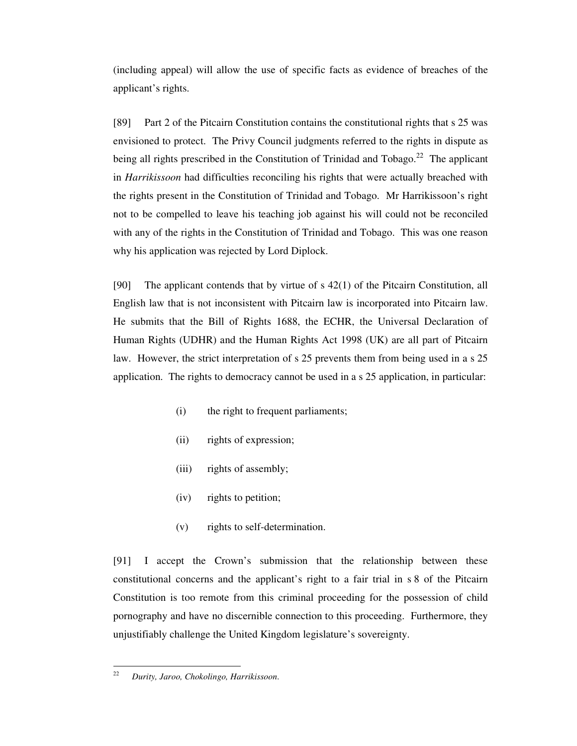(including appeal) will allow the use of specific facts as evidence of breaches of the applicant's rights.

[89] Part 2 of the Pitcairn Constitution contains the constitutional rights that s 25 was envisioned to protect. The Privy Council judgments referred to the rights in dispute as being all rights prescribed in the Constitution of Trinidad and Tobago.<sup>22</sup> The applicant in *Harrikissoon* had difficulties reconciling his rights that were actually breached with the rights present in the Constitution of Trinidad and Tobago. Mr Harrikissoon's right not to be compelled to leave his teaching job against his will could not be reconciled with any of the rights in the Constitution of Trinidad and Tobago. This was one reason why his application was rejected by Lord Diplock.

[90] The applicant contends that by virtue of s 42(1) of the Pitcairn Constitution, all English law that is not inconsistent with Pitcairn law is incorporated into Pitcairn law. He submits that the Bill of Rights 1688, the ECHR, the Universal Declaration of Human Rights (UDHR) and the Human Rights Act 1998 (UK) are all part of Pitcairn law. However, the strict interpretation of s 25 prevents them from being used in a s 25 application. The rights to democracy cannot be used in a s 25 application, in particular:

- (i) the right to frequent parliaments;
- (ii) rights of expression;
- (iii) rights of assembly;
- (iv) rights to petition;
- (v) rights to self-determination.

[91] I accept the Crown's submission that the relationship between these constitutional concerns and the applicant's right to a fair trial in s 8 of the Pitcairn Constitution is too remote from this criminal proceeding for the possession of child pornography and have no discernible connection to this proceeding. Furthermore, they unjustifiably challenge the United Kingdom legislature's sovereignty.

<sup>22</sup> *Durity, Jaroo, Chokolingo, Harrikissoon*.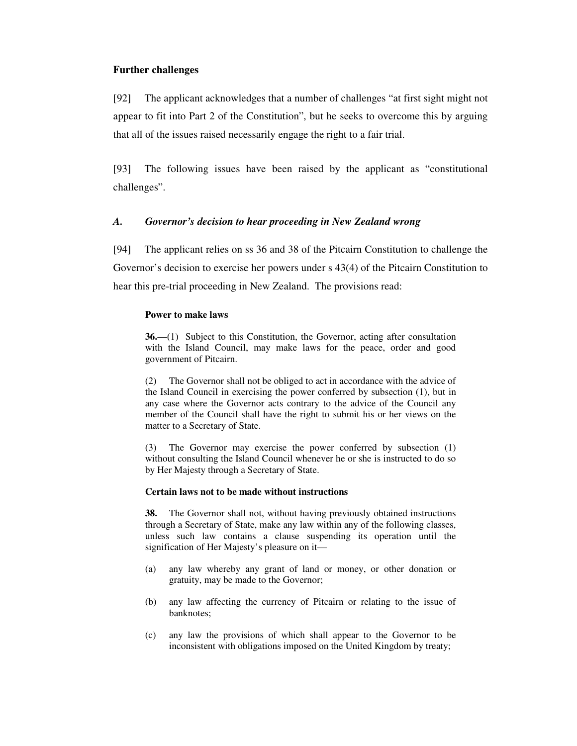## **Further challenges**

[92] The applicant acknowledges that a number of challenges "at first sight might not appear to fit into Part 2 of the Constitution", but he seeks to overcome this by arguing that all of the issues raised necessarily engage the right to a fair trial.

[93] The following issues have been raised by the applicant as "constitutional challenges".

## *A. Governor's decision to hear proceeding in New Zealand wrong*

[94] The applicant relies on ss 36 and 38 of the Pitcairn Constitution to challenge the Governor's decision to exercise her powers under s 43(4) of the Pitcairn Constitution to hear this pre-trial proceeding in New Zealand. The provisions read:

#### **Power to make laws**

**36.**—(1) Subject to this Constitution, the Governor, acting after consultation with the Island Council, may make laws for the peace, order and good government of Pitcairn.

(2) The Governor shall not be obliged to act in accordance with the advice of the Island Council in exercising the power conferred by subsection (1), but in any case where the Governor acts contrary to the advice of the Council any member of the Council shall have the right to submit his or her views on the matter to a Secretary of State.

(3) The Governor may exercise the power conferred by subsection (1) without consulting the Island Council whenever he or she is instructed to do so by Her Majesty through a Secretary of State.

#### **Certain laws not to be made without instructions**

**38.** The Governor shall not, without having previously obtained instructions through a Secretary of State, make any law within any of the following classes, unless such law contains a clause suspending its operation until the signification of Her Majesty's pleasure on it—

- (a) any law whereby any grant of land or money, or other donation or gratuity, may be made to the Governor;
- (b) any law affecting the currency of Pitcairn or relating to the issue of banknotes;
- (c) any law the provisions of which shall appear to the Governor to be inconsistent with obligations imposed on the United Kingdom by treaty;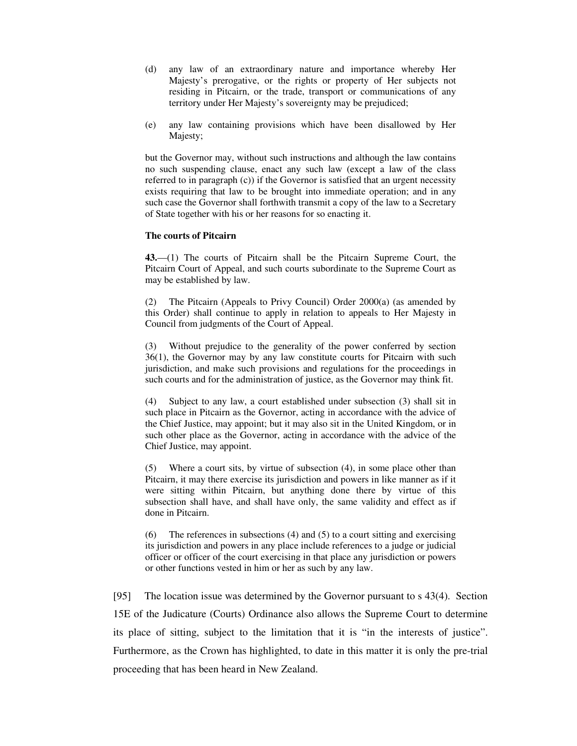- (d) any law of an extraordinary nature and importance whereby Her Majesty's prerogative, or the rights or property of Her subjects not residing in Pitcairn, or the trade, transport or communications of any territory under Her Majesty's sovereignty may be prejudiced;
- (e) any law containing provisions which have been disallowed by Her Majesty;

but the Governor may, without such instructions and although the law contains no such suspending clause, enact any such law (except a law of the class referred to in paragraph (c)) if the Governor is satisfied that an urgent necessity exists requiring that law to be brought into immediate operation; and in any such case the Governor shall forthwith transmit a copy of the law to a Secretary of State together with his or her reasons for so enacting it.

#### **The courts of Pitcairn**

**43.**—(1) The courts of Pitcairn shall be the Pitcairn Supreme Court, the Pitcairn Court of Appeal, and such courts subordinate to the Supreme Court as may be established by law.

(2) The Pitcairn (Appeals to Privy Council) Order 2000(a) (as amended by this Order) shall continue to apply in relation to appeals to Her Majesty in Council from judgments of the Court of Appeal.

(3) Without prejudice to the generality of the power conferred by section 36(1), the Governor may by any law constitute courts for Pitcairn with such jurisdiction, and make such provisions and regulations for the proceedings in such courts and for the administration of justice, as the Governor may think fit.

(4) Subject to any law, a court established under subsection (3) shall sit in such place in Pitcairn as the Governor, acting in accordance with the advice of the Chief Justice, may appoint; but it may also sit in the United Kingdom, or in such other place as the Governor, acting in accordance with the advice of the Chief Justice, may appoint.

(5) Where a court sits, by virtue of subsection (4), in some place other than Pitcairn, it may there exercise its jurisdiction and powers in like manner as if it were sitting within Pitcairn, but anything done there by virtue of this subsection shall have, and shall have only, the same validity and effect as if done in Pitcairn.

(6) The references in subsections (4) and (5) to a court sitting and exercising its jurisdiction and powers in any place include references to a judge or judicial officer or officer of the court exercising in that place any jurisdiction or powers or other functions vested in him or her as such by any law.

[95] The location issue was determined by the Governor pursuant to s 43(4). Section 15E of the Judicature (Courts) Ordinance also allows the Supreme Court to determine its place of sitting, subject to the limitation that it is "in the interests of justice". Furthermore, as the Crown has highlighted, to date in this matter it is only the pre-trial proceeding that has been heard in New Zealand.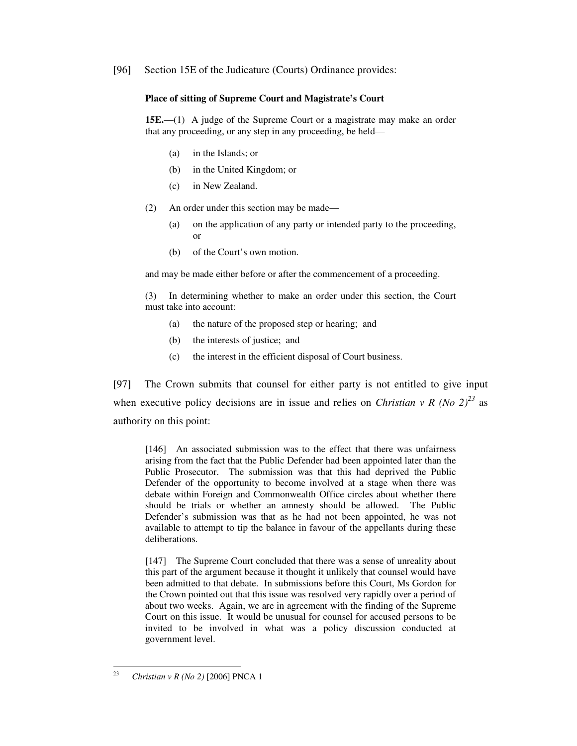[96] Section 15E of the Judicature (Courts) Ordinance provides:

#### **Place of sitting of Supreme Court and Magistrate's Court**

**15E.**—(1) A judge of the Supreme Court or a magistrate may make an order that any proceeding, or any step in any proceeding, be held—

- (a) in the Islands; or
- (b) in the United Kingdom; or
- (c) in New Zealand.
- (2) An order under this section may be made—
	- (a) on the application of any party or intended party to the proceeding, or
	- (b) of the Court's own motion.

and may be made either before or after the commencement of a proceeding.

(3) In determining whether to make an order under this section, the Court must take into account:

- (a) the nature of the proposed step or hearing; and
- (b) the interests of justice; and
- (c) the interest in the efficient disposal of Court business.

[97] The Crown submits that counsel for either party is not entitled to give input when executive policy decisions are in issue and relies on *Christian*  $v R (No 2)<sup>23</sup>$  as authority on this point:

[146] An associated submission was to the effect that there was unfairness arising from the fact that the Public Defender had been appointed later than the Public Prosecutor. The submission was that this had deprived the Public Defender of the opportunity to become involved at a stage when there was debate within Foreign and Commonwealth Office circles about whether there should be trials or whether an amnesty should be allowed. The Public Defender's submission was that as he had not been appointed, he was not available to attempt to tip the balance in favour of the appellants during these deliberations.

[147] The Supreme Court concluded that there was a sense of unreality about this part of the argument because it thought it unlikely that counsel would have been admitted to that debate. In submissions before this Court, Ms Gordon for the Crown pointed out that this issue was resolved very rapidly over a period of about two weeks. Again, we are in agreement with the finding of the Supreme Court on this issue. It would be unusual for counsel for accused persons to be invited to be involved in what was a policy discussion conducted at government level.

<sup>23</sup> *Christian v R (No 2)* [2006] PNCA 1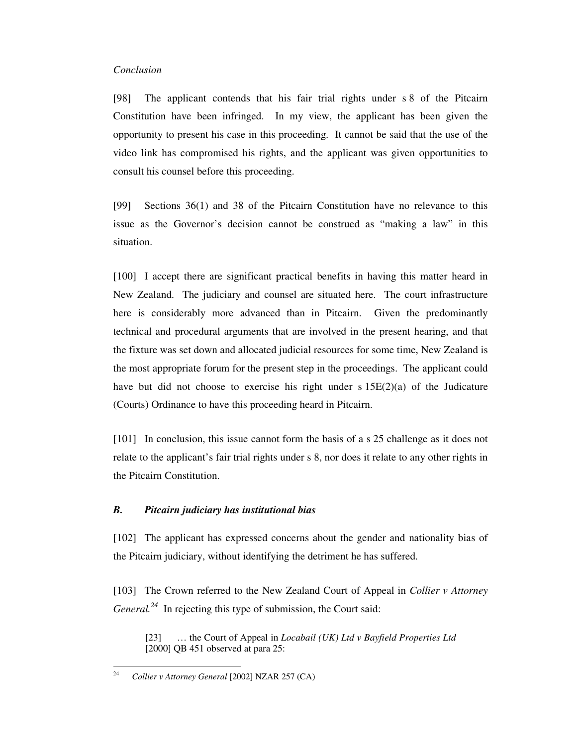## *Conclusion*

[98] The applicant contends that his fair trial rights under s 8 of the Pitcairn Constitution have been infringed. In my view, the applicant has been given the opportunity to present his case in this proceeding. It cannot be said that the use of the video link has compromised his rights, and the applicant was given opportunities to consult his counsel before this proceeding.

[99] Sections 36(1) and 38 of the Pitcairn Constitution have no relevance to this issue as the Governor's decision cannot be construed as "making a law" in this situation.

[100] I accept there are significant practical benefits in having this matter heard in New Zealand. The judiciary and counsel are situated here. The court infrastructure here is considerably more advanced than in Pitcairn. Given the predominantly technical and procedural arguments that are involved in the present hearing, and that the fixture was set down and allocated judicial resources for some time, New Zealand is the most appropriate forum for the present step in the proceedings. The applicant could have but did not choose to exercise his right under  $s 15E(2)(a)$  of the Judicature (Courts) Ordinance to have this proceeding heard in Pitcairn.

[101] In conclusion, this issue cannot form the basis of a s 25 challenge as it does not relate to the applicant's fair trial rights under s 8, nor does it relate to any other rights in the Pitcairn Constitution.

## *B. Pitcairn judiciary has institutional bias*

[102] The applicant has expressed concerns about the gender and nationality bias of the Pitcairn judiciary, without identifying the detriment he has suffered.

[103] The Crown referred to the New Zealand Court of Appeal in *Collier v Attorney General. 24* In rejecting this type of submission, the Court said:

[23] … the Court of Appeal in *Locabail (UK) Ltd v Bayfield Properties Ltd* [2000] QB 451 observed at para 25:

<sup>24</sup> *Collier v Attorney General* [2002] NZAR 257 (CA)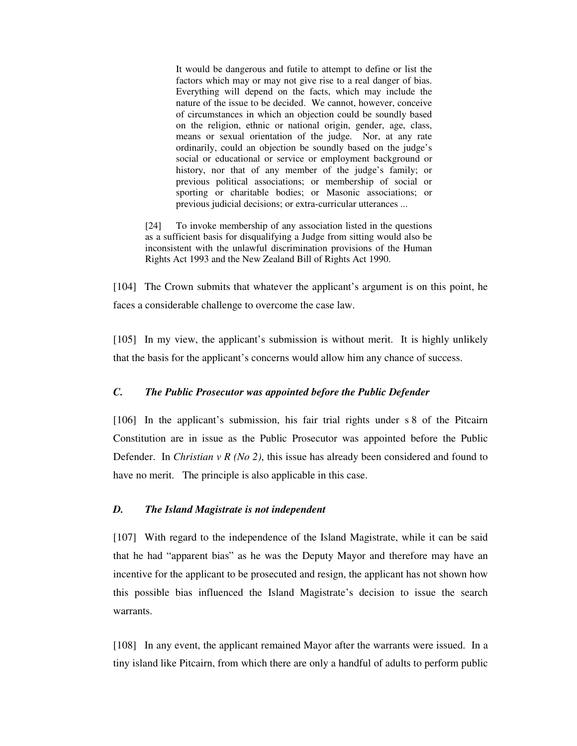It would be dangerous and futile to attempt to define or list the factors which may or may not give rise to a real danger of bias. Everything will depend on the facts, which may include the nature of the issue to be decided. We cannot, however, conceive of circumstances in which an objection could be soundly based on the religion, ethnic or national origin, gender, age, class, means or sexual orientation of the judge. Nor, at any rate ordinarily, could an objection be soundly based on the judge's social or educational or service or employment background or history, nor that of any member of the judge's family; or previous political associations; or membership of social or sporting or charitable bodies; or Masonic associations; or previous judicial decisions; or extra-curricular utterances ...

[24] To invoke membership of any association listed in the questions as a sufficient basis for disqualifying a Judge from sitting would also be inconsistent with the unlawful discrimination provisions of the Human Rights Act 1993 and the New Zealand Bill of Rights Act 1990.

[104] The Crown submits that whatever the applicant's argument is on this point, he faces a considerable challenge to overcome the case law.

[105] In my view, the applicant's submission is without merit. It is highly unlikely that the basis for the applicant's concerns would allow him any chance of success.

## *C. The Public Prosecutor was appointed before the Public Defender*

[106] In the applicant's submission, his fair trial rights under s 8 of the Pitcairn Constitution are in issue as the Public Prosecutor was appointed before the Public Defender. In *Christian*  $\nu R$  *(No 2)*, this issue has already been considered and found to have no merit. The principle is also applicable in this case.

## *D. The Island Magistrate is not independent*

[107] With regard to the independence of the Island Magistrate, while it can be said that he had "apparent bias" as he was the Deputy Mayor and therefore may have an incentive for the applicant to be prosecuted and resign, the applicant has not shown how this possible bias influenced the Island Magistrate's decision to issue the search warrants.

[108] In any event, the applicant remained Mayor after the warrants were issued. In a tiny island like Pitcairn, from which there are only a handful of adults to perform public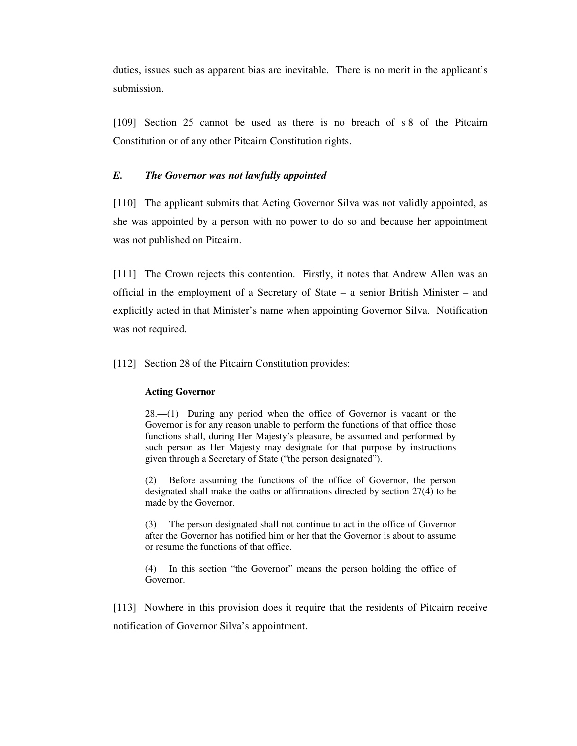duties, issues such as apparent bias are inevitable. There is no merit in the applicant's submission.

[109] Section 25 cannot be used as there is no breach of s 8 of the Pitcairn Constitution or of any other Pitcairn Constitution rights.

## *E. The Governor was not lawfully appointed*

[110] The applicant submits that Acting Governor Silva was not validly appointed, as she was appointed by a person with no power to do so and because her appointment was not published on Pitcairn.

[111] The Crown rejects this contention. Firstly, it notes that Andrew Allen was an official in the employment of a Secretary of State – a senior British Minister – and explicitly acted in that Minister's name when appointing Governor Silva. Notification was not required.

[112] Section 28 of the Pitcairn Constitution provides:

## **Acting Governor**

28.—(1) During any period when the office of Governor is vacant or the Governor is for any reason unable to perform the functions of that office those functions shall, during Her Majesty's pleasure, be assumed and performed by such person as Her Majesty may designate for that purpose by instructions given through a Secretary of State ("the person designated").

(2) Before assuming the functions of the office of Governor, the person designated shall make the oaths or affirmations directed by section 27(4) to be made by the Governor.

(3) The person designated shall not continue to act in the office of Governor after the Governor has notified him or her that the Governor is about to assume or resume the functions of that office.

(4) In this section "the Governor" means the person holding the office of Governor.

[113] Nowhere in this provision does it require that the residents of Pitcairn receive notification of Governor Silva's appointment.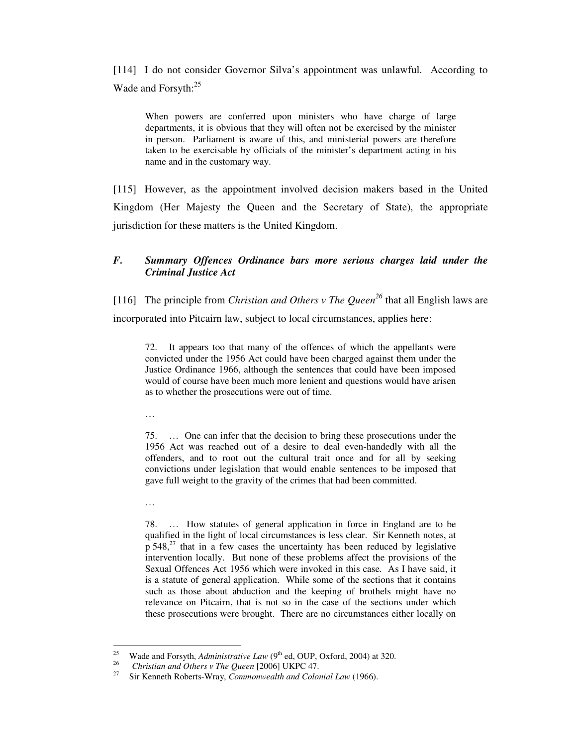[114] I do not consider Governor Silva's appointment was unlawful. According to Wade and Forsyth:<sup>25</sup>

When powers are conferred upon ministers who have charge of large departments, it is obvious that they will often not be exercised by the minister in person. Parliament is aware of this, and ministerial powers are therefore taken to be exercisable by officials of the minister's department acting in his name and in the customary way.

[115] However, as the appointment involved decision makers based in the United Kingdom (Her Majesty the Queen and the Secretary of State), the appropriate jurisdiction for these matters is the United Kingdom.

## *F. Summary Offences Ordinance bars more serious charges laid under the Criminal Justice Act*

[116] The principle from *Christian and Others v The Queen 26* that all English laws are incorporated into Pitcairn law, subject to local circumstances, applies here:

72. It appears too that many of the offences of which the appellants were convicted under the 1956 Act could have been charged against them under the Justice Ordinance 1966, although the sentences that could have been imposed would of course have been much more lenient and questions would have arisen as to whether the prosecutions were out of time.

…

75. … One can infer that the decision to bring these prosecutions under the 1956 Act was reached out of a desire to deal even-handedly with all the offenders, and to root out the cultural trait once and for all by seeking convictions under legislation that would enable sentences to be imposed that gave full weight to the gravity of the crimes that had been committed.

…

78. … How statutes of general application in force in England are to be qualified in the light of local circumstances is less clear. Sir Kenneth notes, at  $p 548<sup>27</sup>$  that in a few cases the uncertainty has been reduced by legislative intervention locally. But none of these problems affect the provisions of the Sexual Offences Act 1956 which were invoked in this case. As I have said, it is a statute of general application. While some of the sections that it contains such as those about abduction and the keeping of brothels might have no relevance on Pitcairn, that is not so in the case of the sections under which these prosecutions were brought. There are no circumstances either locally on

<sup>&</sup>lt;sup>25</sup> Wade and Forsyth, *Administrative Law* ( $9<sup>th</sup>$  ed, OUP, Oxford, 2004) at 320.

<sup>26</sup> *Christian and Others v The Queen* [2006] UKPC 47.

<sup>27</sup> Sir Kenneth Roberts-Wray, *Commonwealth and Colonial Law* (1966).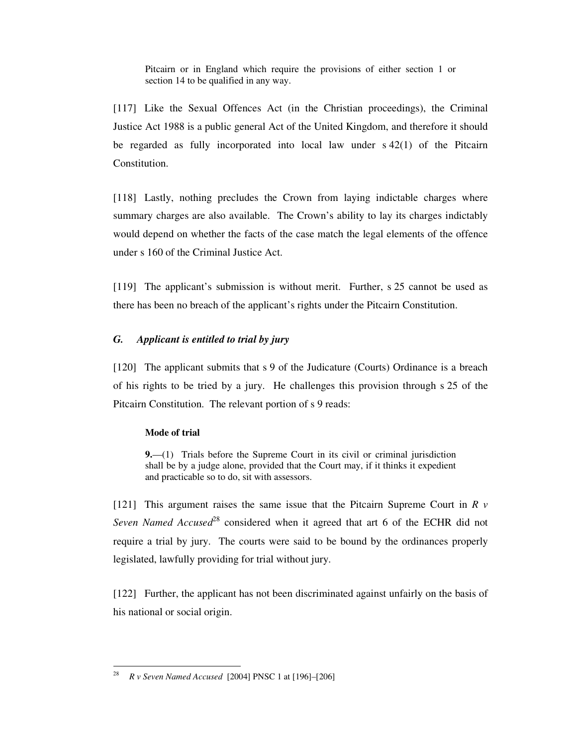Pitcairn or in England which require the provisions of either section 1 or section 14 to be qualified in any way.

[117] Like the Sexual Offences Act (in the Christian proceedings), the Criminal Justice Act 1988 is a public general Act of the United Kingdom, and therefore it should be regarded as fully incorporated into local law under  $s\ 42(1)$  of the Pitcairn Constitution.

[118] Lastly, nothing precludes the Crown from laying indictable charges where summary charges are also available. The Crown's ability to lay its charges indictably would depend on whether the facts of the case match the legal elements of the offence under s 160 of the Criminal Justice Act.

[119] The applicant's submission is without merit. Further, s 25 cannot be used as there has been no breach of the applicant's rights under the Pitcairn Constitution.

## *G. Applicant is entitled to trial by jury*

[120] The applicant submits that s 9 of the Judicature (Courts) Ordinance is a breach of his rights to be tried by a jury. He challenges this provision through s 25 of the Pitcairn Constitution. The relevant portion of s 9 reads:

### **Mode of trial**

**9.**—(1) Trials before the Supreme Court in its civil or criminal jurisdiction shall be by a judge alone, provided that the Court may, if it thinks it expedient and practicable so to do, sit with assessors.

[121] This argument raises the same issue that the Pitcairn Supreme Court in *R v* Seven Named Accused<sup>28</sup> considered when it agreed that art 6 of the ECHR did not require a trial by jury. The courts were said to be bound by the ordinances properly legislated, lawfully providing for trial without jury.

[122] Further, the applicant has not been discriminated against unfairly on the basis of his national or social origin.

<sup>28</sup> *R v Seven Named Accused* [2004] PNSC 1 at [196]–[206]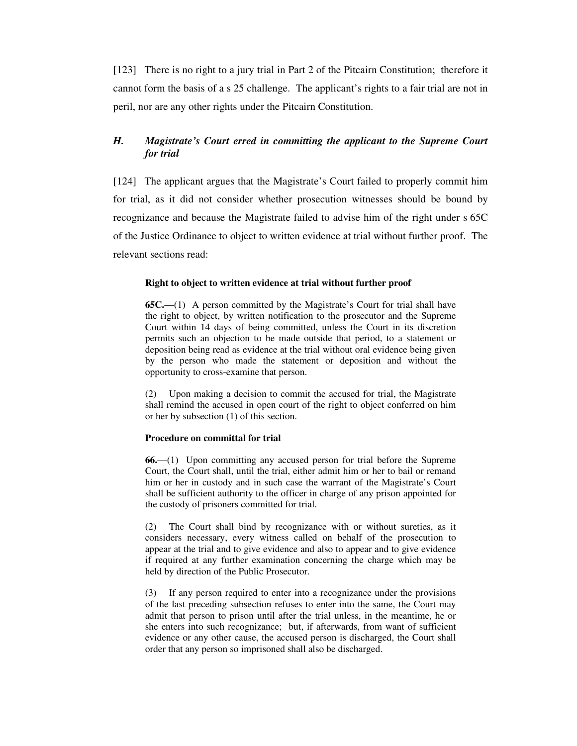[123] There is no right to a jury trial in Part 2 of the Pitcairn Constitution; therefore it cannot form the basis of a s 25 challenge. The applicant's rights to a fair trial are not in peril, nor are any other rights under the Pitcairn Constitution.

# *H. Magistrate's Court erred in committing the applicant to the Supreme Court for trial*

[124] The applicant argues that the Magistrate's Court failed to properly commit him for trial, as it did not consider whether prosecution witnesses should be bound by recognizance and because the Magistrate failed to advise him of the right under s 65C of the Justice Ordinance to object to written evidence at trial without further proof. The relevant sections read:

#### **Right to object to written evidence at trial without further proof**

**65C.**—(1) A person committed by the Magistrate's Court for trial shall have the right to object, by written notification to the prosecutor and the Supreme Court within 14 days of being committed, unless the Court in its discretion permits such an objection to be made outside that period, to a statement or deposition being read as evidence at the trial without oral evidence being given by the person who made the statement or deposition and without the opportunity to cross-examine that person.

(2) Upon making a decision to commit the accused for trial, the Magistrate shall remind the accused in open court of the right to object conferred on him or her by subsection (1) of this section.

#### **Procedure on committal for trial**

**66.**—(1) Upon committing any accused person for trial before the Supreme Court, the Court shall, until the trial, either admit him or her to bail or remand him or her in custody and in such case the warrant of the Magistrate's Court shall be sufficient authority to the officer in charge of any prison appointed for the custody of prisoners committed for trial.

(2) The Court shall bind by recognizance with or without sureties, as it considers necessary, every witness called on behalf of the prosecution to appear at the trial and to give evidence and also to appear and to give evidence if required at any further examination concerning the charge which may be held by direction of the Public Prosecutor.

(3) If any person required to enter into a recognizance under the provisions of the last preceding subsection refuses to enter into the same, the Court may admit that person to prison until after the trial unless, in the meantime, he or she enters into such recognizance; but, if afterwards, from want of sufficient evidence or any other cause, the accused person is discharged, the Court shall order that any person so imprisoned shall also be discharged.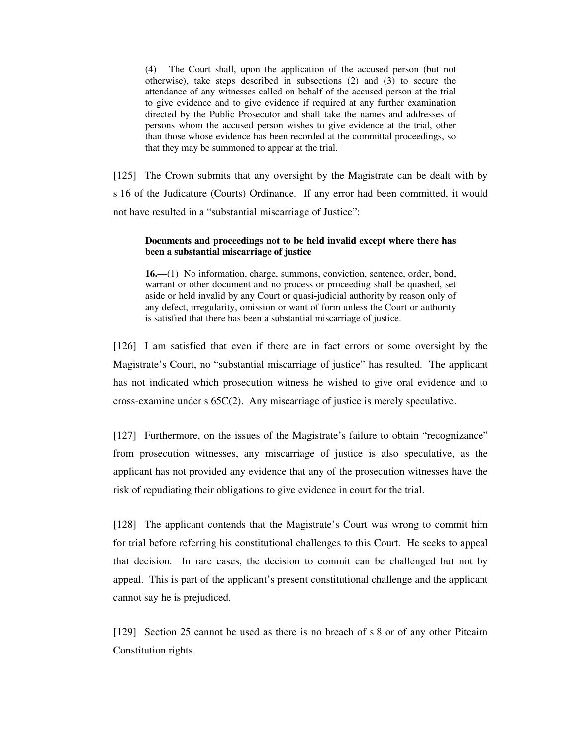(4) The Court shall, upon the application of the accused person (but not otherwise), take steps described in subsections (2) and (3) to secure the attendance of any witnesses called on behalf of the accused person at the trial to give evidence and to give evidence if required at any further examination directed by the Public Prosecutor and shall take the names and addresses of persons whom the accused person wishes to give evidence at the trial, other than those whose evidence has been recorded at the committal proceedings, so that they may be summoned to appear at the trial.

[125] The Crown submits that any oversight by the Magistrate can be dealt with by s 16 of the Judicature (Courts) Ordinance. If any error had been committed, it would not have resulted in a "substantial miscarriage of Justice":

#### **Documents and proceedings not to be held invalid except where there has been a substantial miscarriage of justice**

**16.**—(1) No information, charge, summons, conviction, sentence, order, bond, warrant or other document and no process or proceeding shall be quashed, set aside or held invalid by any Court or quasi-judicial authority by reason only of any defect, irregularity, omission or want of form unless the Court or authority is satisfied that there has been a substantial miscarriage of justice.

[126] I am satisfied that even if there are in fact errors or some oversight by the Magistrate's Court, no "substantial miscarriage of justice" has resulted. The applicant has not indicated which prosecution witness he wished to give oral evidence and to cross-examine under s 65C(2). Any miscarriage of justice is merely speculative.

[127] Furthermore, on the issues of the Magistrate's failure to obtain "recognizance" from prosecution witnesses, any miscarriage of justice is also speculative, as the applicant has not provided any evidence that any of the prosecution witnesses have the risk of repudiating their obligations to give evidence in court for the trial.

[128] The applicant contends that the Magistrate's Court was wrong to commit him for trial before referring his constitutional challenges to this Court. He seeks to appeal that decision. In rare cases, the decision to commit can be challenged but not by appeal. This is part of the applicant's present constitutional challenge and the applicant cannot say he is prejudiced.

[129] Section 25 cannot be used as there is no breach of s 8 or of any other Pitcairn Constitution rights.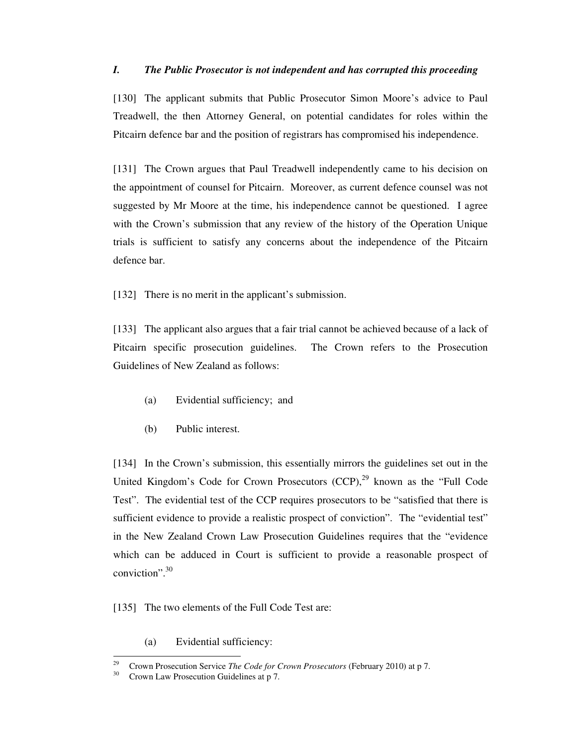## *I. The Public Prosecutor is not independent and has corrupted this proceeding*

[130] The applicant submits that Public Prosecutor Simon Moore's advice to Paul Treadwell, the then Attorney General, on potential candidates for roles within the Pitcairn defence bar and the position of registrars has compromised his independence.

[131] The Crown argues that Paul Treadwell independently came to his decision on the appointment of counsel for Pitcairn. Moreover, as current defence counsel was not suggested by Mr Moore at the time, his independence cannot be questioned. I agree with the Crown's submission that any review of the history of the Operation Unique trials is sufficient to satisfy any concerns about the independence of the Pitcairn defence bar.

[132] There is no merit in the applicant's submission.

[133] The applicant also argues that a fair trial cannot be achieved because of a lack of Pitcairn specific prosecution guidelines. The Crown refers to the Prosecution Guidelines of New Zealand as follows:

- (a) Evidential sufficiency; and
- (b) Public interest.

[134] In the Crown's submission, this essentially mirrors the guidelines set out in the United Kingdom's Code for Crown Prosecutors (CCP),<sup>29</sup> known as the "Full Code Test". The evidential test of the CCP requires prosecutors to be "satisfied that there is sufficient evidence to provide a realistic prospect of conviction". The "evidential test" in the New Zealand Crown Law Prosecution Guidelines requires that the "evidence which can be adduced in Court is sufficient to provide a reasonable prospect of conviction". 30

[135] The two elements of the Full Code Test are:

(a) Evidential sufficiency:

<sup>29</sup> Crown Prosecution Service *The Code for Crown Prosecutors* (February 2010) at p 7.

<sup>30</sup> Crown Law Prosecution Guidelines at p 7.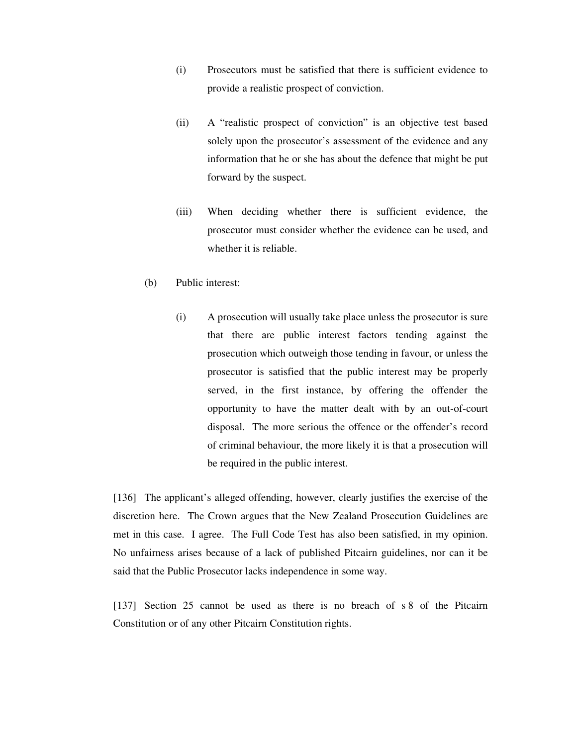- (i) Prosecutors must be satisfied that there is sufficient evidence to provide a realistic prospect of conviction.
- (ii) A "realistic prospect of conviction" is an objective test based solely upon the prosecutor's assessment of the evidence and any information that he or she has about the defence that might be put forward by the suspect.
- (iii) When deciding whether there is sufficient evidence, the prosecutor must consider whether the evidence can be used, and whether it is reliable.
- (b) Public interest:
	- (i) A prosecution will usually take place unless the prosecutor is sure that there are public interest factors tending against the prosecution which outweigh those tending in favour, or unless the prosecutor is satisfied that the public interest may be properly served, in the first instance, by offering the offender the opportunity to have the matter dealt with by an out-of-court disposal. The more serious the offence or the offender's record of criminal behaviour, the more likely it is that a prosecution will be required in the public interest.

[136] The applicant's alleged offending, however, clearly justifies the exercise of the discretion here. The Crown argues that the New Zealand Prosecution Guidelines are met in this case. I agree. The Full Code Test has also been satisfied, in my opinion. No unfairness arises because of a lack of published Pitcairn guidelines, nor can it be said that the Public Prosecutor lacks independence in some way.

[137] Section 25 cannot be used as there is no breach of s 8 of the Pitcairn Constitution or of any other Pitcairn Constitution rights.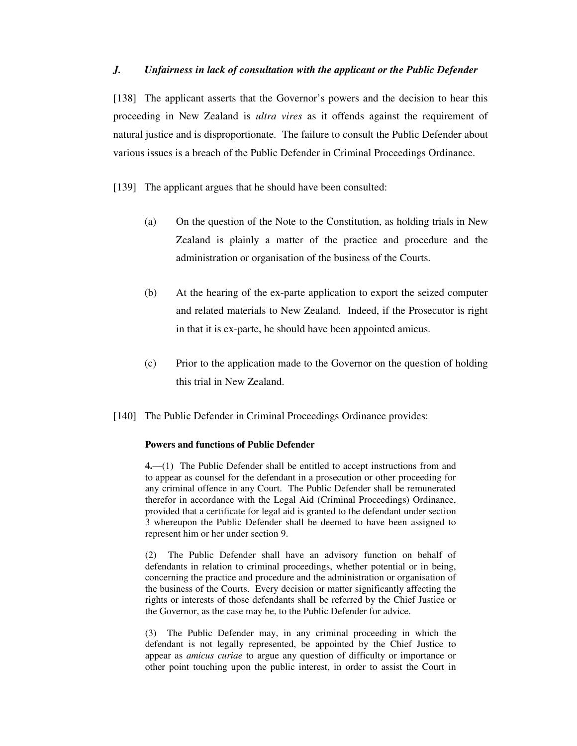### *J. Unfairness in lack of consultation with the applicant or the Public Defender*

[138] The applicant asserts that the Governor's powers and the decision to hear this proceeding in New Zealand is *ultra vires* as it offends against the requirement of natural justice and is disproportionate. The failure to consult the Public Defender about various issues is a breach of the Public Defender in Criminal Proceedings Ordinance.

- [139] The applicant argues that he should have been consulted:
	- (a) On the question of the Note to the Constitution, as holding trials in New Zealand is plainly a matter of the practice and procedure and the administration or organisation of the business of the Courts.
	- (b) At the hearing of the ex-parte application to export the seized computer and related materials to New Zealand. Indeed, if the Prosecutor is right in that it is ex-parte, he should have been appointed amicus.
	- (c) Prior to the application made to the Governor on the question of holding this trial in New Zealand.
- [140] The Public Defender in Criminal Proceedings Ordinance provides:

#### **Powers and functions of Public Defender**

**4.**—(1) The Public Defender shall be entitled to accept instructions from and to appear as counsel for the defendant in a prosecution or other proceeding for any criminal offence in any Court. The Public Defender shall be remunerated therefor in accordance with the Legal Aid (Criminal Proceedings) Ordinance, provided that a certificate for legal aid is granted to the defendant under section 3 whereupon the Public Defender shall be deemed to have been assigned to represent him or her under section 9.

(2) The Public Defender shall have an advisory function on behalf of defendants in relation to criminal proceedings, whether potential or in being, concerning the practice and procedure and the administration or organisation of the business of the Courts. Every decision or matter significantly affecting the rights or interests of those defendants shall be referred by the Chief Justice or the Governor, as the case may be, to the Public Defender for advice.

(3) The Public Defender may, in any criminal proceeding in which the defendant is not legally represented, be appointed by the Chief Justice to appear as *amicus curiae* to argue any question of difficulty or importance or other point touching upon the public interest, in order to assist the Court in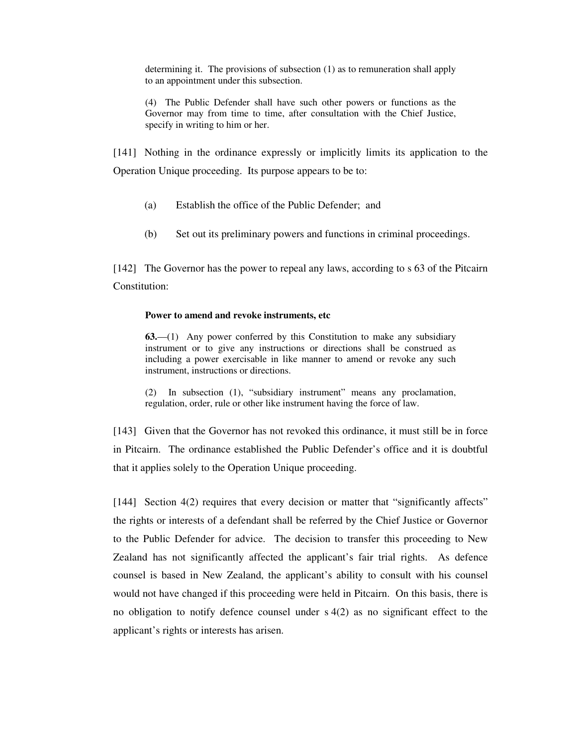determining it. The provisions of subsection (1) as to remuneration shall apply to an appointment under this subsection.

(4) The Public Defender shall have such other powers or functions as the Governor may from time to time, after consultation with the Chief Justice, specify in writing to him or her.

[141] Nothing in the ordinance expressly or implicitly limits its application to the Operation Unique proceeding. Its purpose appears to be to:

- (a) Establish the office of the Public Defender; and
- (b) Set out its preliminary powers and functions in criminal proceedings.

[142] The Governor has the power to repeal any laws, according to s 63 of the Pitcairn Constitution:

#### **Power to amend and revoke instruments, etc**

**63.**—(1) Any power conferred by this Constitution to make any subsidiary instrument or to give any instructions or directions shall be construed as including a power exercisable in like manner to amend or revoke any such instrument, instructions or directions.

(2) In subsection (1), "subsidiary instrument" means any proclamation, regulation, order, rule or other like instrument having the force of law.

[143] Given that the Governor has not revoked this ordinance, it must still be in force in Pitcairn. The ordinance established the Public Defender's office and it is doubtful that it applies solely to the Operation Unique proceeding.

[144] Section 4(2) requires that every decision or matter that "significantly affects" the rights or interests of a defendant shall be referred by the Chief Justice or Governor to the Public Defender for advice. The decision to transfer this proceeding to New Zealand has not significantly affected the applicant's fair trial rights. As defence counsel is based in New Zealand, the applicant's ability to consult with his counsel would not have changed if this proceeding were held in Pitcairn. On this basis, there is no obligation to notify defence counsel under  $s(4(2))$  as no significant effect to the applicant's rights or interests has arisen.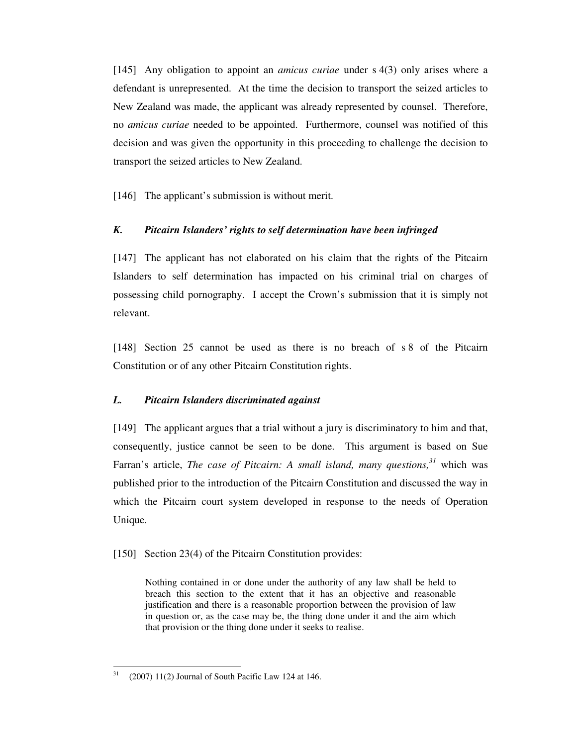[145] Any obligation to appoint an *amicus curiae* under s 4(3) only arises where a defendant is unrepresented. At the time the decision to transport the seized articles to New Zealand was made, the applicant was already represented by counsel. Therefore, no *amicus curiae* needed to be appointed. Furthermore, counsel was notified of this decision and was given the opportunity in this proceeding to challenge the decision to transport the seized articles to New Zealand.

[146] The applicant's submission is without merit.

## *K. Pitcairn Islanders' rights to self determination have been infringed*

[147] The applicant has not elaborated on his claim that the rights of the Pitcairn Islanders to self determination has impacted on his criminal trial on charges of possessing child pornography. I accept the Crown's submission that it is simply not relevant.

[148] Section 25 cannot be used as there is no breach of s 8 of the Pitcairn Constitution or of any other Pitcairn Constitution rights.

## *L. Pitcairn Islanders discriminated against*

[149] The applicant argues that a trial without a jury is discriminatory to him and that, consequently, justice cannot be seen to be done. This argument is based on Sue Farran's article, *The case of Pitcairn: A small island, many questions, 31* which was published prior to the introduction of the Pitcairn Constitution and discussed the way in which the Pitcairn court system developed in response to the needs of Operation Unique.

[150] Section 23(4) of the Pitcairn Constitution provides:

Nothing contained in or done under the authority of any law shall be held to breach this section to the extent that it has an objective and reasonable justification and there is a reasonable proportion between the provision of law in question or, as the case may be, the thing done under it and the aim which that provision or the thing done under it seeks to realise.

<sup>31</sup> (2007) 11(2) Journal of South Pacific Law 124 at 146.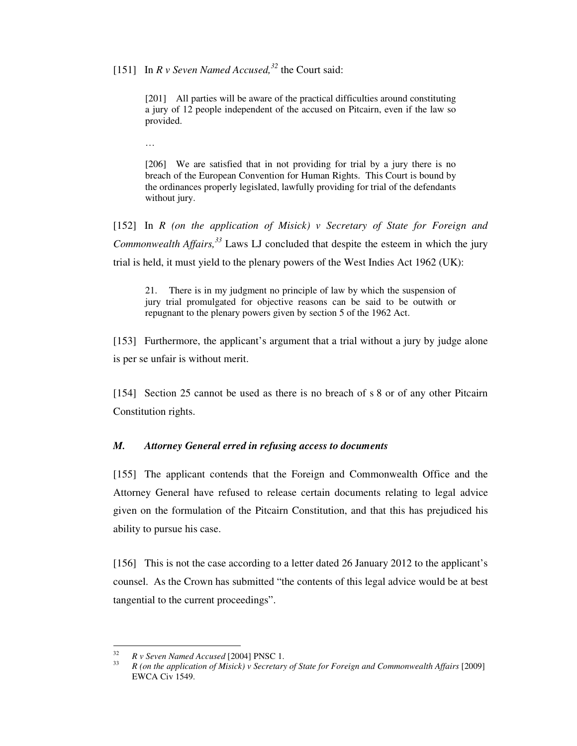[151] In *R v Seven Named Accused, 32* the Court said:

[201] All parties will be aware of the practical difficulties around constituting a jury of 12 people independent of the accused on Pitcairn, even if the law so provided.

…

[206] We are satisfied that in not providing for trial by a jury there is no breach of the European Convention for Human Rights. This Court is bound by the ordinances properly legislated, lawfully providing for trial of the defendants without jury.

[152] In *R (on the application of Misick) v Secretary of State for Foreign and Commonwealth Affairs, <sup>33</sup>* Laws LJ concluded that despite the esteem in which the jury trial is held, it must yield to the plenary powers of the West Indies Act 1962 (UK):

21. There is in my judgment no principle of law by which the suspension of jury trial promulgated for objective reasons can be said to be outwith or repugnant to the plenary powers given by section 5 of the 1962 Act.

[153] Furthermore, the applicant's argument that a trial without a jury by judge alone is per se unfair is without merit.

[154] Section 25 cannot be used as there is no breach of s 8 or of any other Pitcairn Constitution rights.

## *M. Attorney General erred in refusing access to documents*

[155] The applicant contends that the Foreign and Commonwealth Office and the Attorney General have refused to release certain documents relating to legal advice given on the formulation of the Pitcairn Constitution, and that this has prejudiced his ability to pursue his case.

[156] This is not the case according to a letter dated 26 January 2012 to the applicant's counsel. As the Crown has submitted "the contents of this legal advice would be at best tangential to the current proceedings".

<sup>32</sup> *R v Seven Named Accused* [2004] PNSC 1.

<sup>33</sup> *R (on the application of Misick) v Secretary of State for Foreign and Commonwealth Affairs* [2009] EWCA Civ 1549.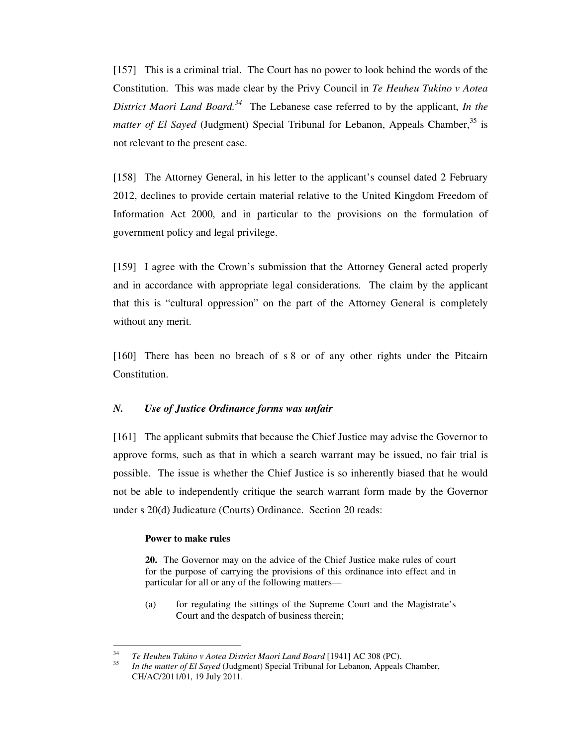[157] This is a criminal trial. The Court has no power to look behind the words of the Constitution. This was made clear by the Privy Council in *Te Heuheu Tukino v Aotea District Maori Land Board. <sup>34</sup>* The Lebanese case referred to by the applicant, *In the matter of El Sayed* (Judgment) Special Tribunal for Lebanon, Appeals Chamber, 35 is not relevant to the present case.

[158] The Attorney General, in his letter to the applicant's counsel dated 2 February 2012, declines to provide certain material relative to the United Kingdom Freedom of Information Act 2000, and in particular to the provisions on the formulation of government policy and legal privilege.

[159] I agree with the Crown's submission that the Attorney General acted properly and in accordance with appropriate legal considerations. The claim by the applicant that this is "cultural oppression" on the part of the Attorney General is completely without any merit.

[160] There has been no breach of s 8 or of any other rights under the Pitcairn Constitution.

### *N. Use of Justice Ordinance forms was unfair*

[161] The applicant submits that because the Chief Justice may advise the Governor to approve forms, such as that in which a search warrant may be issued, no fair trial is possible. The issue is whether the Chief Justice is so inherently biased that he would not be able to independently critique the search warrant form made by the Governor under s 20(d) Judicature (Courts) Ordinance. Section 20 reads:

### **Power to make rules**

**20.** The Governor may on the advice of the Chief Justice make rules of court for the purpose of carrying the provisions of this ordinance into effect and in particular for all or any of the following matters—

(a) for regulating the sittings of the Supreme Court and the Magistrate's Court and the despatch of business therein;

<sup>34</sup> *Te Heuheu Tukino v Aotea District Maori Land Board* [1941] AC 308 (PC).

<sup>35</sup> *In the matter of El Sayed* (Judgment) Special Tribunal for Lebanon, Appeals Chamber, CH/AC/2011/01, 19 July 2011.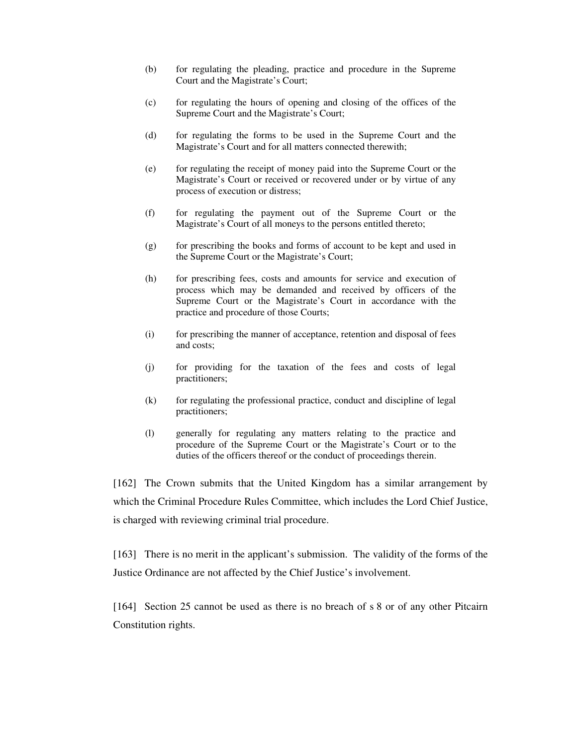- (b) for regulating the pleading, practice and procedure in the Supreme Court and the Magistrate's Court;
- (c) for regulating the hours of opening and closing of the offices of the Supreme Court and the Magistrate's Court;
- (d) for regulating the forms to be used in the Supreme Court and the Magistrate's Court and for all matters connected therewith;
- (e) for regulating the receipt of money paid into the Supreme Court or the Magistrate's Court or received or recovered under or by virtue of any process of execution or distress;
- (f) for regulating the payment out of the Supreme Court or the Magistrate's Court of all moneys to the persons entitled thereto;
- (g) for prescribing the books and forms of account to be kept and used in the Supreme Court or the Magistrate's Court;
- (h) for prescribing fees, costs and amounts for service and execution of process which may be demanded and received by officers of the Supreme Court or the Magistrate's Court in accordance with the practice and procedure of those Courts;
- (i) for prescribing the manner of acceptance, retention and disposal of fees and costs;
- (j) for providing for the taxation of the fees and costs of legal practitioners;
- (k) for regulating the professional practice, conduct and discipline of legal practitioners;
- (l) generally for regulating any matters relating to the practice and procedure of the Supreme Court or the Magistrate's Court or to the duties of the officers thereof or the conduct of proceedings therein.

[162] The Crown submits that the United Kingdom has a similar arrangement by which the Criminal Procedure Rules Committee, which includes the Lord Chief Justice, is charged with reviewing criminal trial procedure.

[163] There is no merit in the applicant's submission. The validity of the forms of the Justice Ordinance are not affected by the Chief Justice's involvement.

[164] Section 25 cannot be used as there is no breach of s 8 or of any other Pitcairn Constitution rights.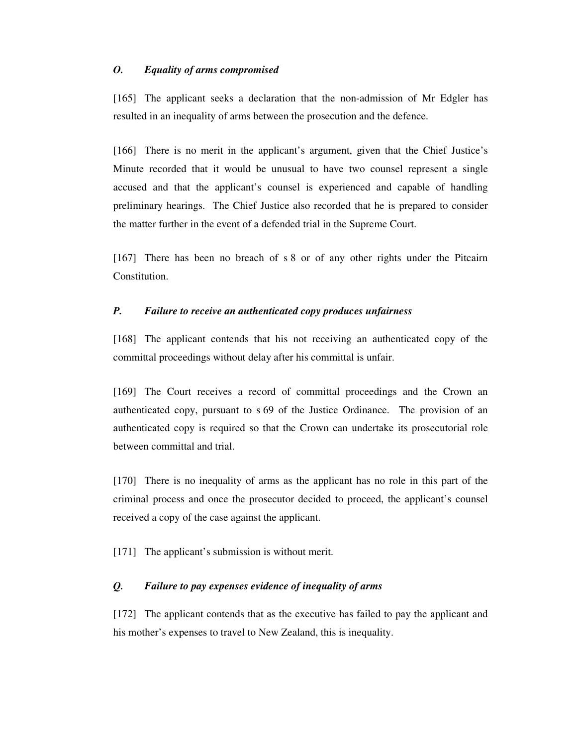### *O. Equality of arms compromised*

[165] The applicant seeks a declaration that the non-admission of Mr Edgler has resulted in an inequality of arms between the prosecution and the defence.

[166] There is no merit in the applicant's argument, given that the Chief Justice's Minute recorded that it would be unusual to have two counsel represent a single accused and that the applicant's counsel is experienced and capable of handling preliminary hearings. The Chief Justice also recorded that he is prepared to consider the matter further in the event of a defended trial in the Supreme Court.

[167] There has been no breach of s 8 or of any other rights under the Pitcairn Constitution.

### *P. Failure to receive an authenticated copy produces unfairness*

[168] The applicant contends that his not receiving an authenticated copy of the committal proceedings without delay after his committal is unfair.

[169] The Court receives a record of committal proceedings and the Crown an authenticated copy, pursuant to s 69 of the Justice Ordinance. The provision of an authenticated copy is required so that the Crown can undertake its prosecutorial role between committal and trial.

[170] There is no inequality of arms as the applicant has no role in this part of the criminal process and once the prosecutor decided to proceed, the applicant's counsel received a copy of the case against the applicant.

[171] The applicant's submission is without merit.

### *Q. Failure to pay expenses evidence of inequality of arms*

[172] The applicant contends that as the executive has failed to pay the applicant and his mother's expenses to travel to New Zealand, this is inequality.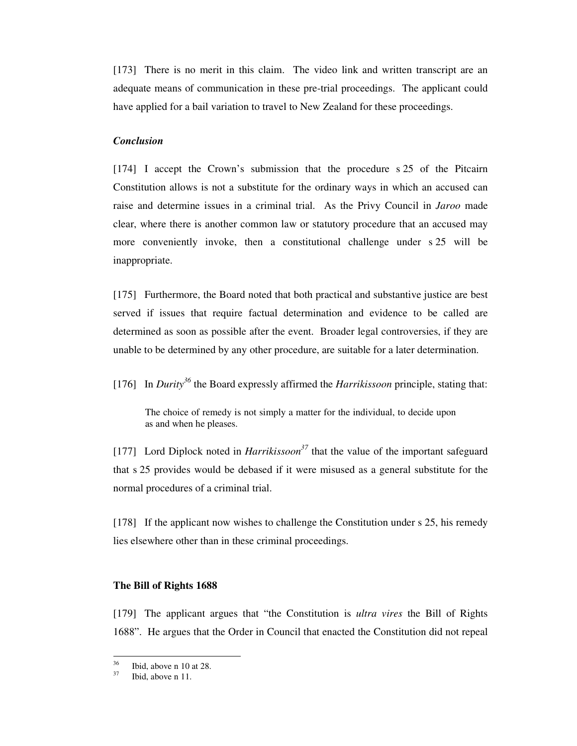[173] There is no merit in this claim. The video link and written transcript are an adequate means of communication in these pre-trial proceedings. The applicant could have applied for a bail variation to travel to New Zealand for these proceedings.

#### *Conclusion*

[174] I accept the Crown's submission that the procedure s 25 of the Pitcairn Constitution allows is not a substitute for the ordinary ways in which an accused can raise and determine issues in a criminal trial. As the Privy Council in *Jaroo* made clear, where there is another common law or statutory procedure that an accused may more conveniently invoke, then a constitutional challenge under s 25 will be inappropriate.

[175] Furthermore, the Board noted that both practical and substantive justice are best served if issues that require factual determination and evidence to be called are determined as soon as possible after the event. Broader legal controversies, if they are unable to be determined by any other procedure, are suitable for a later determination.

[176] In *Durity*<sup>36</sup> the Board expressly affirmed the *Harrikissoon* principle, stating that:

The choice of remedy is not simply a matter for the individual, to decide upon as and when he pleases.

[177] Lord Diplock noted in *Harrikissoon*<sup>37</sup> that the value of the important safeguard that s 25 provides would be debased if it were misused as a general substitute for the normal procedures of a criminal trial.

[178] If the applicant now wishes to challenge the Constitution under s 25, his remedy lies elsewhere other than in these criminal proceedings.

### **The Bill of Rights 1688**

[179] The applicant argues that "the Constitution is *ultra vires* the Bill of Rights 1688". He argues that the Order in Council that enacted the Constitution did not repeal

<sup>36</sup> Ibid, above n 10 at 28.

<sup>37</sup> Ibid, above n 11.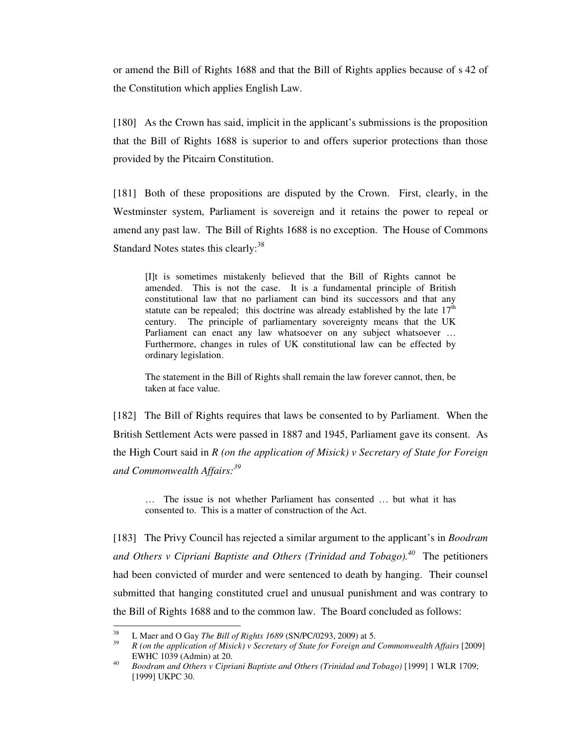or amend the Bill of Rights 1688 and that the Bill of Rights applies because of s 42 of the Constitution which applies English Law.

[180] As the Crown has said, implicit in the applicant's submissions is the proposition that the Bill of Rights 1688 is superior to and offers superior protections than those provided by the Pitcairn Constitution.

[181] Both of these propositions are disputed by the Crown. First, clearly, in the Westminster system, Parliament is sovereign and it retains the power to repeal or amend any past law. The Bill of Rights 1688 is no exception. The House of Commons Standard Notes states this clearly:<sup>38</sup>

[I]t is sometimes mistakenly believed that the Bill of Rights cannot be amended. This is not the case. It is a fundamental principle of British constitutional law that no parliament can bind its successors and that any statute can be repealed; this doctrine was already established by the late  $17<sup>th</sup>$ century. The principle of parliamentary sovereignty means that the UK Parliament can enact any law whatsoever on any subject whatsoever ... Furthermore, changes in rules of UK constitutional law can be effected by ordinary legislation.

The statement in the Bill of Rights shall remain the law forever cannot, then, be taken at face value.

[182] The Bill of Rights requires that laws be consented to by Parliament. When the British Settlement Acts were passed in 1887 and 1945, Parliament gave its consent. As the High Court said in *R (on the application of Misick) v Secretary of State for Foreign and Commonwealth Affairs: 39*

… The issue is not whether Parliament has consented … but what it has consented to. This is a matter of construction of the Act.

[183] The Privy Council has rejected a similar argument to the applicant's in *Boodram and Others v Cipriani Baptiste and Others (Trinidad and Tobago). <sup>40</sup>* The petitioners had been convicted of murder and were sentenced to death by hanging. Their counsel submitted that hanging constituted cruel and unusual punishment and was contrary to the Bill of Rights 1688 and to the common law. The Board concluded as follows:

<sup>38</sup> L Maer and O Gay *The Bill of Rights 1689* (SN/PC/0293, 2009) at 5.

<sup>39</sup> *R (on the application of Misick) v Secretary of State for Foreign and Commonwealth Affairs* [2009] EWHC 1039 (Admin) at 20.

<sup>40</sup> *Boodram and Others v Cipriani Baptiste and Others (Trinidad and Tobago)* [1999] 1 WLR 1709; [1999] UKPC 30.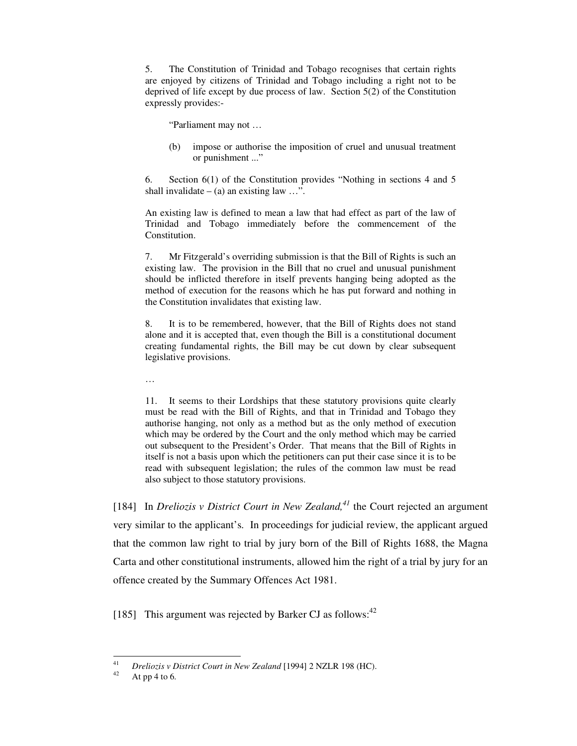5. The Constitution of Trinidad and Tobago recognises that certain rights are enjoyed by citizens of Trinidad and Tobago including a right not to be deprived of life except by due process of law. Section 5(2) of the Constitution expressly provides:-

"Parliament may not …

(b) impose or authorise the imposition of cruel and unusual treatment or punishment ..."

6. Section 6(1) of the Constitution provides "Nothing in sections 4 and 5 shall invalidate  $-$  (a) an existing law ...".

An existing law is defined to mean a law that had effect as part of the law of Trinidad and Tobago immediately before the commencement of the Constitution.

7. Mr Fitzgerald's overriding submission is that the Bill of Rights is such an existing law. The provision in the Bill that no cruel and unusual punishment should be inflicted therefore in itself prevents hanging being adopted as the method of execution for the reasons which he has put forward and nothing in the Constitution invalidates that existing law.

8. It is to be remembered, however, that the Bill of Rights does not stand alone and it is accepted that, even though the Bill is a constitutional document creating fundamental rights, the Bill may be cut down by clear subsequent legislative provisions.

…

11. It seems to their Lordships that these statutory provisions quite clearly must be read with the Bill of Rights, and that in Trinidad and Tobago they authorise hanging, not only as a method but as the only method of execution which may be ordered by the Court and the only method which may be carried out subsequent to the President's Order. That means that the Bill of Rights in itself is not a basis upon which the petitioners can put their case since it is to be read with subsequent legislation; the rules of the common law must be read also subject to those statutory provisions.

[184] In *Dreliozis v District Court in New Zealand, 41* the Court rejected an argument very similar to the applicant's. In proceedings for judicial review, the applicant argued that the common law right to trial by jury born of the Bill of Rights 1688, the Magna Carta and other constitutional instruments, allowed him the right of a trial by jury for an offence created by the Summary Offences Act 1981.

[185] This argument was rejected by Barker CJ as follows: $42$ 

<sup>41</sup> *Dreliozis v District Court in New Zealand* [1994] 2 NZLR 198 (HC).

At pp 4 to 6.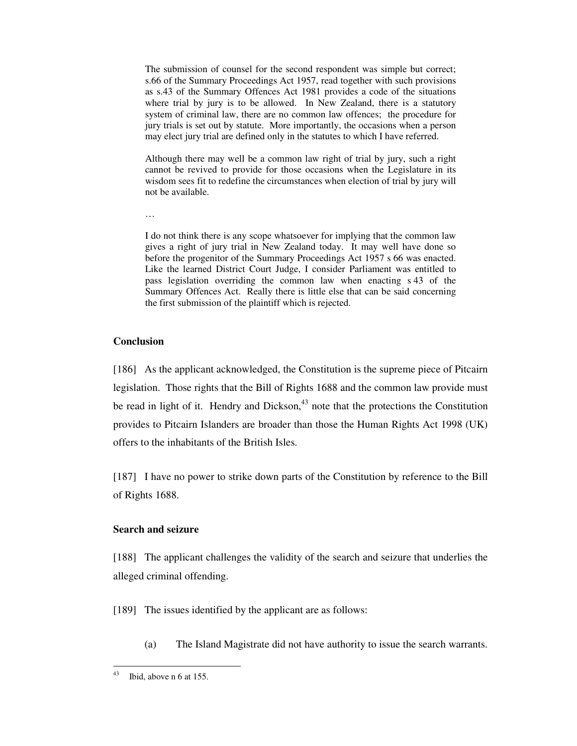The submission of counsel for the second respondent was simple but correct; s.66 of the Summary Proceedings Act 1957, read together with such provisions as s.43 of the Summary Offences Act 1981 provides a code of the situations where trial by jury is to be allowed. In New Zealand, there is a statutory system of criminal law, there are no common law offences; the procedure for jury trials is set out by statute. More importantly, the occasions when a person may elect jury trial are defined only in the statutes to which I have referred.

Although there may well be a common law right of trial by jury, such a right cannot be revived to provide for those occasions when the Legislature in its wisdom sees fit to redefine the circumstances when election of trial by jury will not be available.

…

I do not think there is any scope whatsoever for implying that the common law gives a right of jury trial in New Zealand today. It may well have done so before the progenitor of the Summary Proceedings Act 1957 s 66 was enacted. Like the learned District Court Judge, I consider Parliament was entitled to pass legislation overriding the common law when enacting s 43 of the Summary Offences Act. Really there is little else that can be said concerning the first submission of the plaintiff which is rejected.

## **Conclusion**

[186] As the applicant acknowledged, the Constitution is the supreme piece of Pitcairn legislation. Those rights that the Bill of Rights 1688 and the common law provide must be read in light of it. Hendry and Dickson,<sup>43</sup> note that the protections the Constitution provides to Pitcairn Islanders are broader than those the Human Rights Act 1998 (UK) offers to the inhabitants of the British Isles.

[187] I have no power to strike down parts of the Constitution by reference to the Bill of Rights 1688.

#### **Search and seizure**

[188] The applicant challenges the validity of the search and seizure that underlies the alleged criminal offending.

[189] The issues identified by the applicant are as follows:

(a) The Island Magistrate did not have authority to issue the search warrants.

<sup>43</sup> Ibid, above n 6 at 155.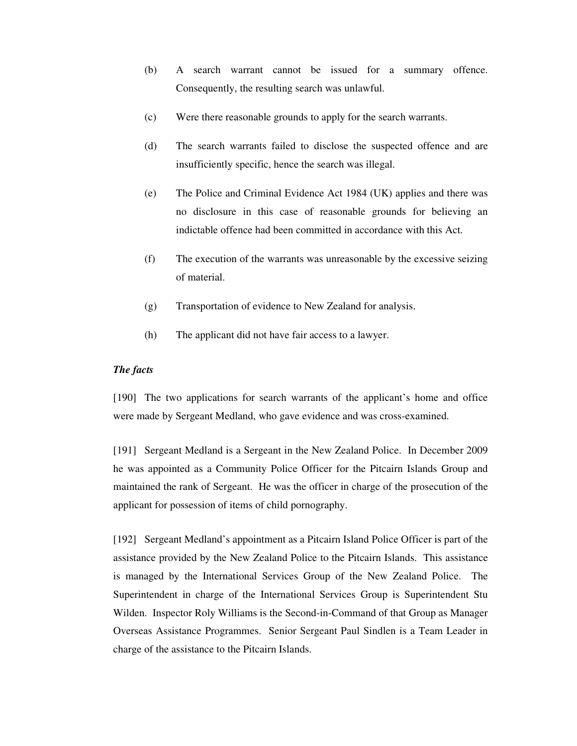- (b) A search warrant cannot be issued for a summary offence. Consequently, the resulting search was unlawful.
- (c) Were there reasonable grounds to apply for the search warrants.
- (d) The search warrants failed to disclose the suspected offence and are insufficiently specific, hence the search was illegal.
- (e) The Police and Criminal Evidence Act 1984 (UK) applies and there was no disclosure in this case of reasonable grounds for believing an indictable offence had been committed in accordance with this Act.
- (f) The execution of the warrants was unreasonable by the excessive seizing of material.
- (g) Transportation of evidence to New Zealand for analysis.
- (h) The applicant did not have fair access to a lawyer.

## *The facts*

[190] The two applications for search warrants of the applicant's home and office were made by Sergeant Medland, who gave evidence and was cross-examined.

[191] Sergeant Medland is a Sergeant in the New Zealand Police. In December 2009 he was appointed as a Community Police Officer for the Pitcairn Islands Group and maintained the rank of Sergeant. He was the officer in charge of the prosecution of the applicant for possession of items of child pornography.

[192] Sergeant Medland's appointment as a Pitcairn Island Police Officer is part of the assistance provided by the New Zealand Police to the Pitcairn Islands. This assistance is managed by the International Services Group of the New Zealand Police. The Superintendent in charge of the International Services Group is Superintendent Stu Wilden. Inspector Roly Williams is the Second-in-Command of that Group as Manager Overseas Assistance Programmes. Senior Sergeant Paul Sindlen is a Team Leader in charge of the assistance to the Pitcairn Islands.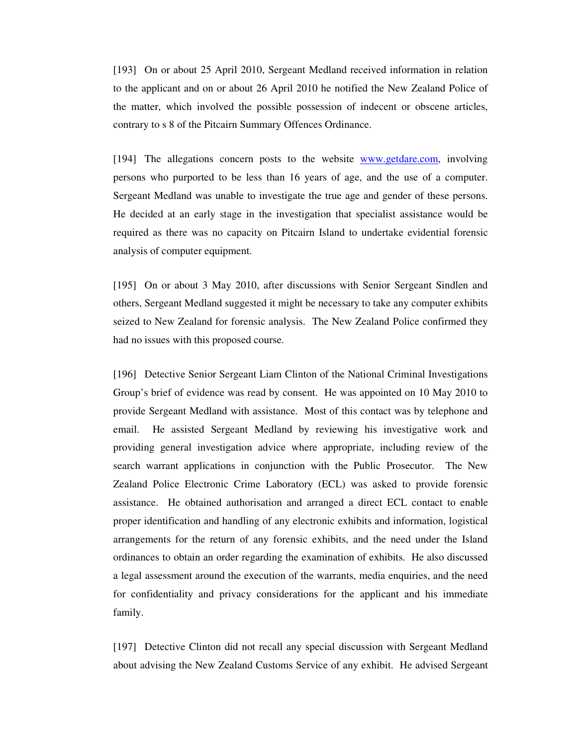[193] On or about 25 April 2010, Sergeant Medland received information in relation to the applicant and on or about 26 April 2010 he notified the New Zealand Police of the matter, which involved the possible possession of indecent or obscene articles, contrary to s 8 of the Pitcairn Summary Offences Ordinance.

[194] The allegations concern posts to the website www.getdare.com, involving persons who purported to be less than 16 years of age, and the use of a computer. Sergeant Medland was unable to investigate the true age and gender of these persons. He decided at an early stage in the investigation that specialist assistance would be required as there was no capacity on Pitcairn Island to undertake evidential forensic analysis of computer equipment.

[195] On or about 3 May 2010, after discussions with Senior Sergeant Sindlen and others, Sergeant Medland suggested it might be necessary to take any computer exhibits seized to New Zealand for forensic analysis. The New Zealand Police confirmed they had no issues with this proposed course.

[196] Detective Senior Sergeant Liam Clinton of the National Criminal Investigations Group's brief of evidence was read by consent. He was appointed on 10 May 2010 to provide Sergeant Medland with assistance. Most of this contact was by telephone and email. He assisted Sergeant Medland by reviewing his investigative work and providing general investigation advice where appropriate, including review of the search warrant applications in conjunction with the Public Prosecutor. The New Zealand Police Electronic Crime Laboratory (ECL) was asked to provide forensic assistance. He obtained authorisation and arranged a direct ECL contact to enable proper identification and handling of any electronic exhibits and information, logistical arrangements for the return of any forensic exhibits, and the need under the Island ordinances to obtain an order regarding the examination of exhibits. He also discussed a legal assessment around the execution of the warrants, media enquiries, and the need for confidentiality and privacy considerations for the applicant and his immediate family.

[197] Detective Clinton did not recall any special discussion with Sergeant Medland about advising the New Zealand Customs Service of any exhibit. He advised Sergeant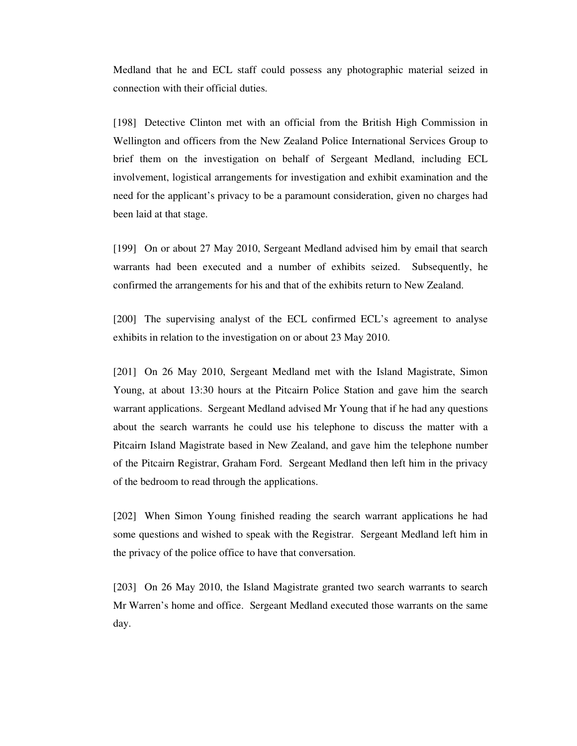Medland that he and ECL staff could possess any photographic material seized in connection with their official duties.

[198] Detective Clinton met with an official from the British High Commission in Wellington and officers from the New Zealand Police International Services Group to brief them on the investigation on behalf of Sergeant Medland, including ECL involvement, logistical arrangements for investigation and exhibit examination and the need for the applicant's privacy to be a paramount consideration, given no charges had been laid at that stage.

[199] On or about 27 May 2010, Sergeant Medland advised him by email that search warrants had been executed and a number of exhibits seized. Subsequently, he confirmed the arrangements for his and that of the exhibits return to New Zealand.

[200] The supervising analyst of the ECL confirmed ECL's agreement to analyse exhibits in relation to the investigation on or about 23 May 2010.

[201] On 26 May 2010, Sergeant Medland met with the Island Magistrate, Simon Young, at about 13:30 hours at the Pitcairn Police Station and gave him the search warrant applications. Sergeant Medland advised Mr Young that if he had any questions about the search warrants he could use his telephone to discuss the matter with a Pitcairn Island Magistrate based in New Zealand, and gave him the telephone number of the Pitcairn Registrar, Graham Ford. Sergeant Medland then left him in the privacy of the bedroom to read through the applications.

[202] When Simon Young finished reading the search warrant applications he had some questions and wished to speak with the Registrar. Sergeant Medland left him in the privacy of the police office to have that conversation.

[203] On 26 May 2010, the Island Magistrate granted two search warrants to search Mr Warren's home and office. Sergeant Medland executed those warrants on the same day.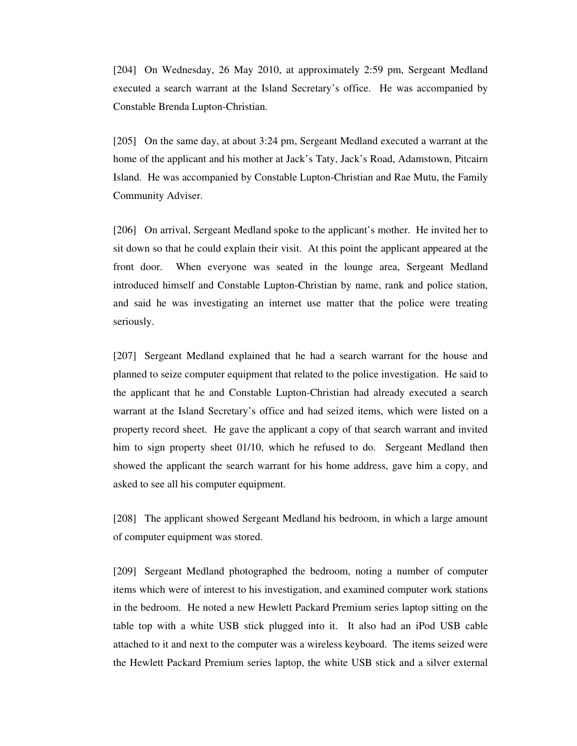[204] On Wednesday, 26 May 2010, at approximately 2:59 pm, Sergeant Medland executed a search warrant at the Island Secretary's office. He was accompanied by Constable Brenda Lupton-Christian.

[205] On the same day, at about 3:24 pm, Sergeant Medland executed a warrant at the home of the applicant and his mother at Jack's Taty, Jack's Road, Adamstown, Pitcairn Island. He was accompanied by Constable Lupton-Christian and Rae Mutu, the Family Community Adviser.

[206] On arrival, Sergeant Medland spoke to the applicant's mother. He invited her to sit down so that he could explain their visit. At this point the applicant appeared at the front door. When everyone was seated in the lounge area, Sergeant Medland introduced himself and Constable Lupton-Christian by name, rank and police station, and said he was investigating an internet use matter that the police were treating seriously.

[207] Sergeant Medland explained that he had a search warrant for the house and planned to seize computer equipment that related to the police investigation. He said to the applicant that he and Constable Lupton-Christian had already executed a search warrant at the Island Secretary's office and had seized items, which were listed on a property record sheet. He gave the applicant a copy of that search warrant and invited him to sign property sheet 01/10, which he refused to do. Sergeant Medland then showed the applicant the search warrant for his home address, gave him a copy, and asked to see all his computer equipment.

[208] The applicant showed Sergeant Medland his bedroom, in which a large amount of computer equipment was stored.

[209] Sergeant Medland photographed the bedroom, noting a number of computer items which were of interest to his investigation, and examined computer work stations in the bedroom. He noted a new Hewlett Packard Premium series laptop sitting on the table top with a white USB stick plugged into it. It also had an iPod USB cable attached to it and next to the computer was a wireless keyboard. The items seized were the Hewlett Packard Premium series laptop, the white USB stick and a silver external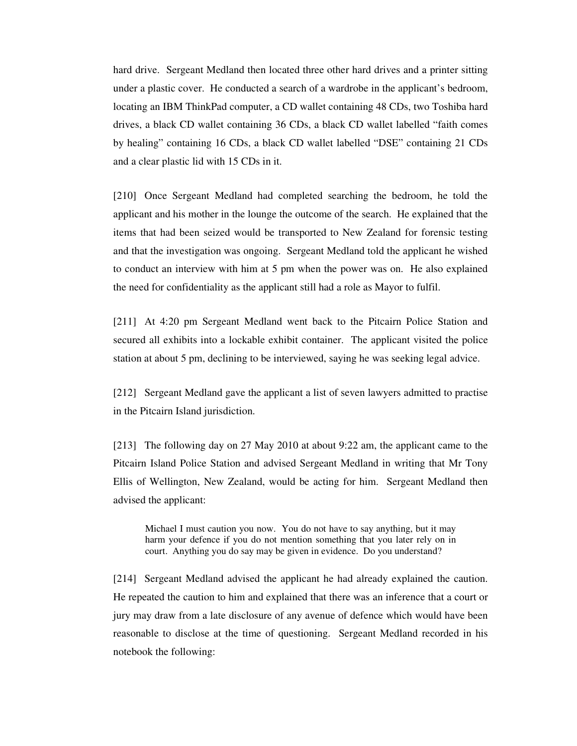hard drive. Sergeant Medland then located three other hard drives and a printer sitting under a plastic cover. He conducted a search of a wardrobe in the applicant's bedroom, locating an IBM ThinkPad computer, a CD wallet containing 48 CDs, two Toshiba hard drives, a black CD wallet containing 36 CDs, a black CD wallet labelled "faith comes by healing" containing 16 CDs, a black CD wallet labelled "DSE" containing 21 CDs and a clear plastic lid with 15 CDs in it.

[210] Once Sergeant Medland had completed searching the bedroom, he told the applicant and his mother in the lounge the outcome of the search. He explained that the items that had been seized would be transported to New Zealand for forensic testing and that the investigation was ongoing. Sergeant Medland told the applicant he wished to conduct an interview with him at 5 pm when the power was on. He also explained the need for confidentiality as the applicant still had a role as Mayor to fulfil.

[211] At 4:20 pm Sergeant Medland went back to the Pitcairn Police Station and secured all exhibits into a lockable exhibit container. The applicant visited the police station at about 5 pm, declining to be interviewed, saying he was seeking legal advice.

[212] Sergeant Medland gave the applicant a list of seven lawyers admitted to practise in the Pitcairn Island jurisdiction.

[213] The following day on 27 May 2010 at about 9:22 am, the applicant came to the Pitcairn Island Police Station and advised Sergeant Medland in writing that Mr Tony Ellis of Wellington, New Zealand, would be acting for him. Sergeant Medland then advised the applicant:

Michael I must caution you now. You do not have to say anything, but it may harm your defence if you do not mention something that you later rely on in court. Anything you do say may be given in evidence. Do you understand?

[214] Sergeant Medland advised the applicant he had already explained the caution. He repeated the caution to him and explained that there was an inference that a court or jury may draw from a late disclosure of any avenue of defence which would have been reasonable to disclose at the time of questioning. Sergeant Medland recorded in his notebook the following: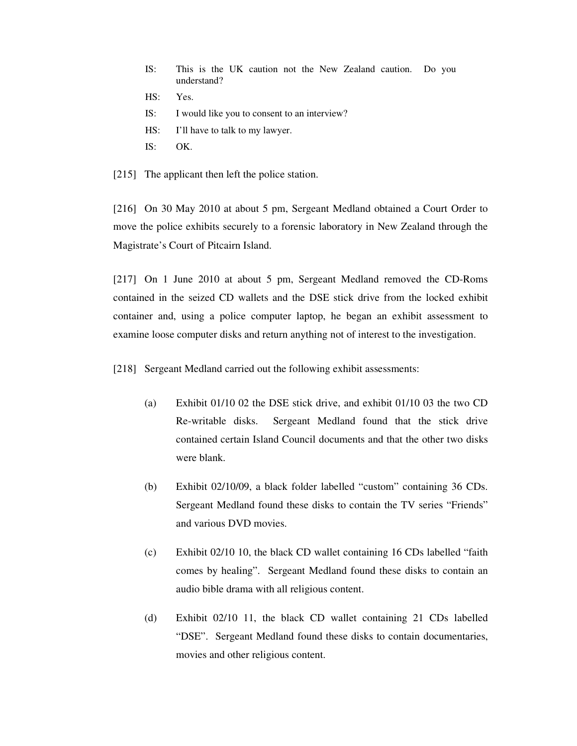- IS: This is the UK caution not the New Zealand caution. Do you understand?
- HS: Yes.
- IS: I would like you to consent to an interview?
- HS: I'll have to talk to my lawyer.
- IS: OK.
- [215] The applicant then left the police station.

[216] On 30 May 2010 at about 5 pm, Sergeant Medland obtained a Court Order to move the police exhibits securely to a forensic laboratory in New Zealand through the Magistrate's Court of Pitcairn Island.

[217] On 1 June 2010 at about 5 pm, Sergeant Medland removed the CD-Roms contained in the seized CD wallets and the DSE stick drive from the locked exhibit container and, using a police computer laptop, he began an exhibit assessment to examine loose computer disks and return anything not of interest to the investigation.

[218] Sergeant Medland carried out the following exhibit assessments:

- (a) Exhibit 01/10 02 the DSE stick drive, and exhibit 01/10 03 the two CD Re-writable disks. Sergeant Medland found that the stick drive contained certain Island Council documents and that the other two disks were blank.
- (b) Exhibit 02/10/09, a black folder labelled "custom" containing 36 CDs. Sergeant Medland found these disks to contain the TV series "Friends" and various DVD movies.
- (c) Exhibit 02/10 10, the black CD wallet containing 16 CDs labelled "faith comes by healing". Sergeant Medland found these disks to contain an audio bible drama with all religious content.
- (d) Exhibit 02/10 11, the black CD wallet containing 21 CDs labelled "DSE". Sergeant Medland found these disks to contain documentaries, movies and other religious content.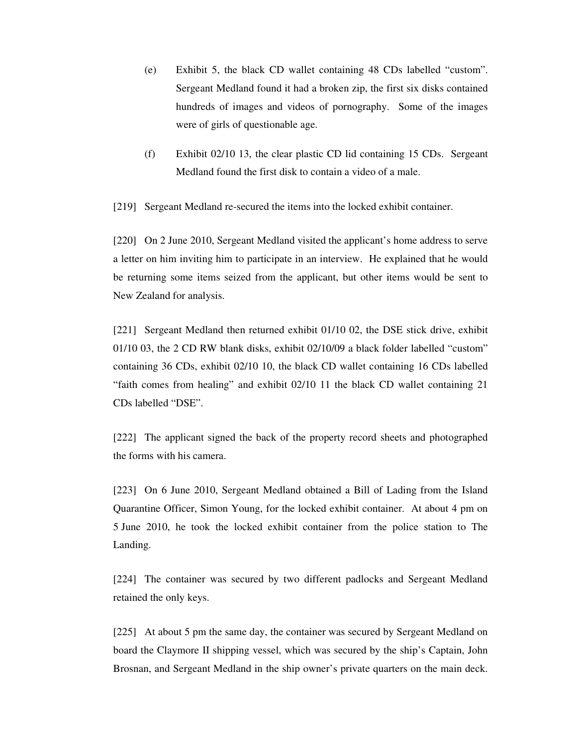- (e) Exhibit 5, the black CD wallet containing 48 CDs labelled "custom". Sergeant Medland found it had a broken zip, the first six disks contained hundreds of images and videos of pornography. Some of the images were of girls of questionable age.
- (f) Exhibit 02/10 13, the clear plastic CD lid containing 15 CDs. Sergeant Medland found the first disk to contain a video of a male.

[219] Sergeant Medland re-secured the items into the locked exhibit container.

[220] On 2 June 2010, Sergeant Medland visited the applicant's home address to serve a letter on him inviting him to participate in an interview. He explained that he would be returning some items seized from the applicant, but other items would be sent to New Zealand for analysis.

[221] Sergeant Medland then returned exhibit 01/10 02, the DSE stick drive, exhibit 01/10 03, the 2 CD RW blank disks, exhibit 02/10/09 a black folder labelled "custom" containing 36 CDs, exhibit 02/10 10, the black CD wallet containing 16 CDs labelled "faith comes from healing" and exhibit 02/10 11 the black CD wallet containing 21 CDs labelled "DSE".

[222] The applicant signed the back of the property record sheets and photographed the forms with his camera.

[223] On 6 June 2010, Sergeant Medland obtained a Bill of Lading from the Island Quarantine Officer, Simon Young, for the locked exhibit container. At about 4 pm on 5 June 2010, he took the locked exhibit container from the police station to The Landing.

[224] The container was secured by two different padlocks and Sergeant Medland retained the only keys.

[225] At about 5 pm the same day, the container was secured by Sergeant Medland on board the Claymore II shipping vessel, which was secured by the ship's Captain, John Brosnan, and Sergeant Medland in the ship owner's private quarters on the main deck.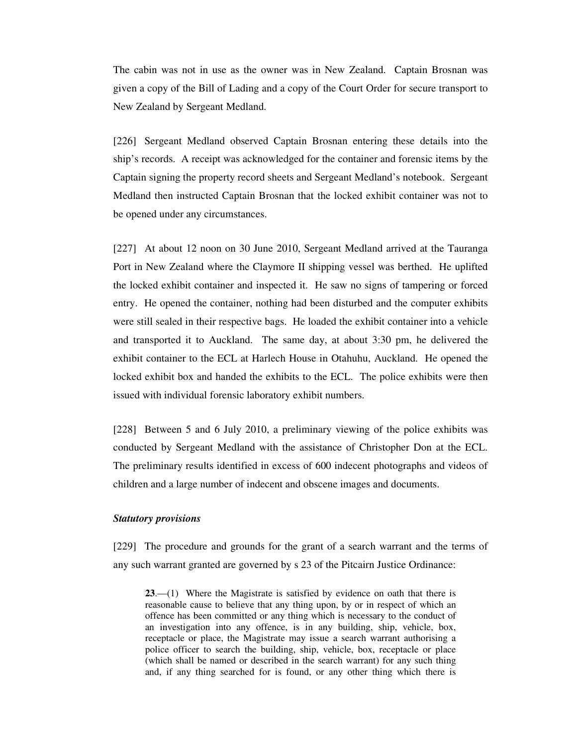The cabin was not in use as the owner was in New Zealand. Captain Brosnan was given a copy of the Bill of Lading and a copy of the Court Order for secure transport to New Zealand by Sergeant Medland.

[226] Sergeant Medland observed Captain Brosnan entering these details into the ship's records. A receipt was acknowledged for the container and forensic items by the Captain signing the property record sheets and Sergeant Medland's notebook. Sergeant Medland then instructed Captain Brosnan that the locked exhibit container was not to be opened under any circumstances.

[227] At about 12 noon on 30 June 2010, Sergeant Medland arrived at the Tauranga Port in New Zealand where the Claymore II shipping vessel was berthed. He uplifted the locked exhibit container and inspected it. He saw no signs of tampering or forced entry. He opened the container, nothing had been disturbed and the computer exhibits were still sealed in their respective bags. He loaded the exhibit container into a vehicle and transported it to Auckland. The same day, at about 3:30 pm, he delivered the exhibit container to the ECL at Harlech House in Otahuhu, Auckland. He opened the locked exhibit box and handed the exhibits to the ECL. The police exhibits were then issued with individual forensic laboratory exhibit numbers.

[228] Between 5 and 6 July 2010, a preliminary viewing of the police exhibits was conducted by Sergeant Medland with the assistance of Christopher Don at the ECL. The preliminary results identified in excess of 600 indecent photographs and videos of children and a large number of indecent and obscene images and documents.

### *Statutory provisions*

[229] The procedure and grounds for the grant of a search warrant and the terms of any such warrant granted are governed by s 23 of the Pitcairn Justice Ordinance:

**23**.—(1) Where the Magistrate is satisfied by evidence on oath that there is reasonable cause to believe that any thing upon, by or in respect of which an offence has been committed or any thing which is necessary to the conduct of an investigation into any offence, is in any building, ship, vehicle, box, receptacle or place, the Magistrate may issue a search warrant authorising a police officer to search the building, ship, vehicle, box, receptacle or place (which shall be named or described in the search warrant) for any such thing and, if any thing searched for is found, or any other thing which there is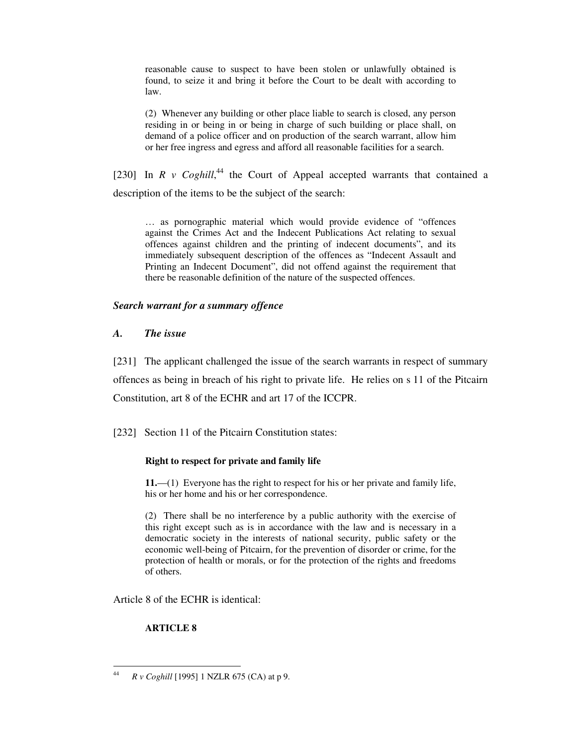reasonable cause to suspect to have been stolen or unlawfully obtained is found, to seize it and bring it before the Court to be dealt with according to law.

(2) Whenever any building or other place liable to search is closed, any person residing in or being in or being in charge of such building or place shall, on demand of a police officer and on production of the search warrant, allow him or her free ingress and egress and afford all reasonable facilities for a search.

[230] In  $R$   $v$  *Coghill*,<sup>44</sup> the Court of Appeal accepted warrants that contained a description of the items to be the subject of the search:

… as pornographic material which would provide evidence of "offences against the Crimes Act and the Indecent Publications Act relating to sexual offences against children and the printing of indecent documents", and its immediately subsequent description of the offences as "Indecent Assault and Printing an Indecent Document", did not offend against the requirement that there be reasonable definition of the nature of the suspected offences.

### *Search warrant for a summary offence*

## *A. The issue*

[231] The applicant challenged the issue of the search warrants in respect of summary offences as being in breach of his right to private life. He relies on s 11 of the Pitcairn Constitution, art 8 of the ECHR and art 17 of the ICCPR.

[232] Section 11 of the Pitcairn Constitution states:

## **Right to respect for private and family life**

**11.**—(1) Everyone has the right to respect for his or her private and family life, his or her home and his or her correspondence.

(2) There shall be no interference by a public authority with the exercise of this right except such as is in accordance with the law and is necessary in a democratic society in the interests of national security, public safety or the economic well-being of Pitcairn, for the prevention of disorder or crime, for the protection of health or morals, or for the protection of the rights and freedoms of others.

Article 8 of the ECHR is identical:

## **ARTICLE 8**

<sup>44</sup> *R v Coghill* [1995] 1 NZLR 675 (CA) at p 9.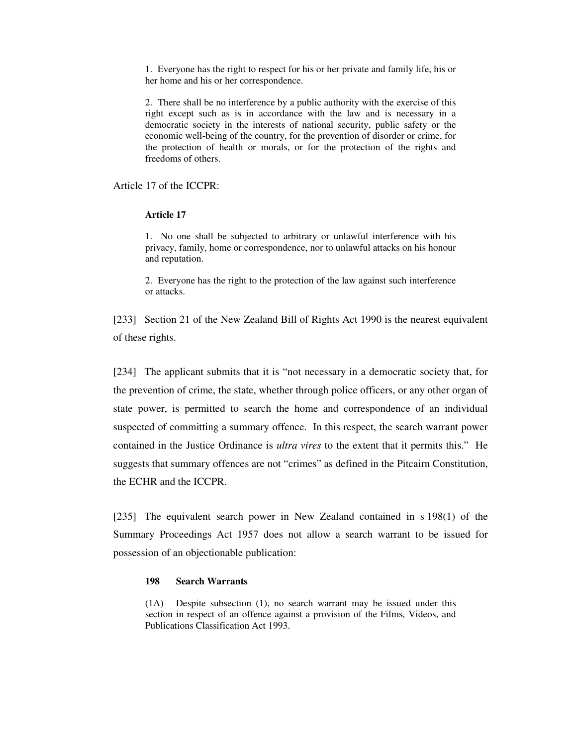1. Everyone has the right to respect for his or her private and family life, his or her home and his or her correspondence.

2. There shall be no interference by a public authority with the exercise of this right except such as is in accordance with the law and is necessary in a democratic society in the interests of national security, public safety or the economic well-being of the country, for the prevention of disorder or crime, for the protection of health or morals, or for the protection of the rights and freedoms of others.

Article 17 of the ICCPR:

#### **Article 17**

1. No one shall be subjected to arbitrary or unlawful interference with his privacy, family, home or correspondence, nor to unlawful attacks on his honour and reputation.

2. Everyone has the right to the protection of the law against such interference or attacks.

[233] Section 21 of the New Zealand Bill of Rights Act 1990 is the nearest equivalent of these rights.

[234] The applicant submits that it is "not necessary in a democratic society that, for the prevention of crime, the state, whether through police officers, or any other organ of state power, is permitted to search the home and correspondence of an individual suspected of committing a summary offence. In this respect, the search warrant power contained in the Justice Ordinance is *ultra vires* to the extent that it permits this." He suggests that summary offences are not "crimes" as defined in the Pitcairn Constitution, the ECHR and the ICCPR.

[235] The equivalent search power in New Zealand contained in s 198(1) of the Summary Proceedings Act 1957 does not allow a search warrant to be issued for possession of an objectionable publication:

#### **198 Search Warrants**

(1A) Despite subsection (1), no search warrant may be issued under this section in respect of an offence against a provision of the Films, Videos, and Publications Classification Act 1993.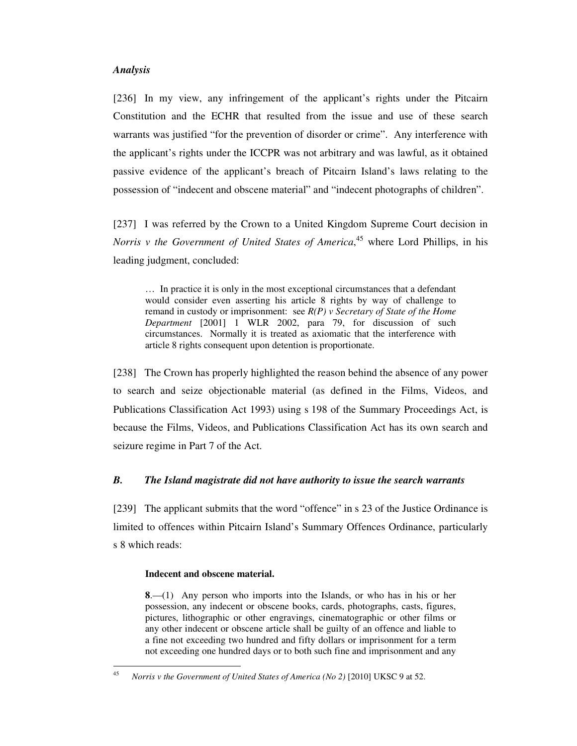## *Analysis*

[236] In my view, any infringement of the applicant's rights under the Pitcairn Constitution and the ECHR that resulted from the issue and use of these search warrants was justified "for the prevention of disorder or crime". Any interference with the applicant's rights under the ICCPR was not arbitrary and was lawful, as it obtained passive evidence of the applicant's breach of Pitcairn Island's laws relating to the possession of "indecent and obscene material" and "indecent photographs of children".

[237] I was referred by the Crown to a United Kingdom Supreme Court decision in *Norris v the Government of United States of America*, <sup>45</sup> where Lord Phillips, in his leading judgment, concluded:

… In practice it is only in the most exceptional circumstances that a defendant would consider even asserting his article 8 rights by way of challenge to remand in custody or imprisonment: see *R(P) v Secretary of State of the Home Department* [2001] 1 WLR 2002, para 79, for discussion of such circumstances. Normally it is treated as axiomatic that the interference with article 8 rights consequent upon detention is proportionate.

[238] The Crown has properly highlighted the reason behind the absence of any power to search and seize objectionable material (as defined in the Films, Videos, and Publications Classification Act 1993) using s 198 of the Summary Proceedings Act, is because the Films, Videos, and Publications Classification Act has its own search and seizure regime in Part 7 of the Act.

### *B. The Island magistrate did not have authority to issue the search warrants*

[239] The applicant submits that the word "offence" in s 23 of the Justice Ordinance is limited to offences within Pitcairn Island's Summary Offences Ordinance, particularly s 8 which reads:

#### **Indecent and obscene material.**

**8**.—(1) Any person who imports into the Islands, or who has in his or her possession, any indecent or obscene books, cards, photographs, casts, figures, pictures, lithographic or other engravings, cinematographic or other films or any other indecent or obscene article shall be guilty of an offence and liable to a fine not exceeding two hundred and fifty dollars or imprisonment for a term not exceeding one hundred days or to both such fine and imprisonment and any

<sup>45</sup> *Norris v the Government of United States of America (No 2)* [2010] UKSC 9 at 52.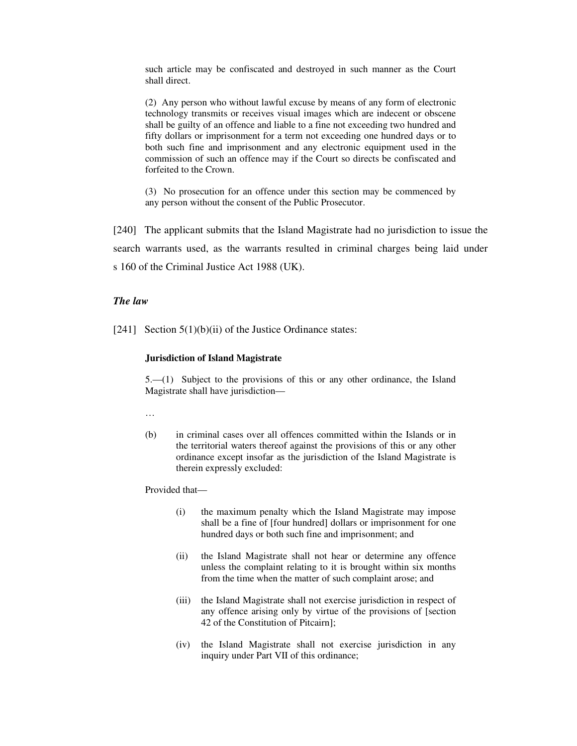such article may be confiscated and destroyed in such manner as the Court shall direct.

(2) Any person who without lawful excuse by means of any form of electronic technology transmits or receives visual images which are indecent or obscene shall be guilty of an offence and liable to a fine not exceeding two hundred and fifty dollars or imprisonment for a term not exceeding one hundred days or to both such fine and imprisonment and any electronic equipment used in the commission of such an offence may if the Court so directs be confiscated and forfeited to the Crown.

(3) No prosecution for an offence under this section may be commenced by any person without the consent of the Public Prosecutor.

[240] The applicant submits that the Island Magistrate had no jurisdiction to issue the search warrants used, as the warrants resulted in criminal charges being laid under s 160 of the Criminal Justice Act 1988 (UK).

### *The law*

[241] Section 5(1)(b)(ii) of the Justice Ordinance states:

#### **Jurisdiction of Island Magistrate**

5.—(1) Subject to the provisions of this or any other ordinance, the Island Magistrate shall have jurisdiction—

…

(b) in criminal cases over all offences committed within the Islands or in the territorial waters thereof against the provisions of this or any other ordinance except insofar as the jurisdiction of the Island Magistrate is therein expressly excluded:

Provided that—

- (i) the maximum penalty which the Island Magistrate may impose shall be a fine of [four hundred] dollars or imprisonment for one hundred days or both such fine and imprisonment; and
- (ii) the Island Magistrate shall not hear or determine any offence unless the complaint relating to it is brought within six months from the time when the matter of such complaint arose; and
- (iii) the Island Magistrate shall not exercise jurisdiction in respect of any offence arising only by virtue of the provisions of [section 42 of the Constitution of Pitcairn];
- (iv) the Island Magistrate shall not exercise jurisdiction in any inquiry under Part VII of this ordinance;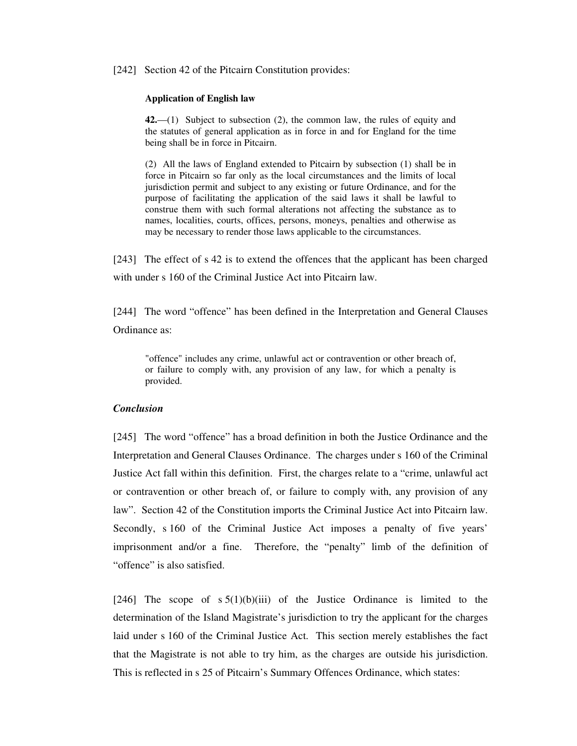#### [242] Section 42 of the Pitcairn Constitution provides:

#### **Application of English law**

**42.**—(1) Subject to subsection (2), the common law, the rules of equity and the statutes of general application as in force in and for England for the time being shall be in force in Pitcairn.

(2) All the laws of England extended to Pitcairn by subsection (1) shall be in force in Pitcairn so far only as the local circumstances and the limits of local jurisdiction permit and subject to any existing or future Ordinance, and for the purpose of facilitating the application of the said laws it shall be lawful to construe them with such formal alterations not affecting the substance as to names, localities, courts, offices, persons, moneys, penalties and otherwise as may be necessary to render those laws applicable to the circumstances.

[243] The effect of s 42 is to extend the offences that the applicant has been charged with under s 160 of the Criminal Justice Act into Pitcairn law.

[244] The word "offence" has been defined in the Interpretation and General Clauses Ordinance as:

"offence" includes any crime, unlawful act or contravention or other breach of, or failure to comply with, any provision of any law, for which a penalty is provided.

## *Conclusion*

[245] The word "offence" has a broad definition in both the Justice Ordinance and the Interpretation and General Clauses Ordinance. The charges under s 160 of the Criminal Justice Act fall within this definition. First, the charges relate to a "crime, unlawful act or contravention or other breach of, or failure to comply with, any provision of any law". Section 42 of the Constitution imports the Criminal Justice Act into Pitcairn law. Secondly, s 160 of the Criminal Justice Act imposes a penalty of five years' imprisonment and/or a fine. Therefore, the "penalty" limb of the definition of "offence" is also satisfied.

[246] The scope of  $s 5(1)(b)(iii)$  of the Justice Ordinance is limited to the determination of the Island Magistrate's jurisdiction to try the applicant for the charges laid under s 160 of the Criminal Justice Act. This section merely establishes the fact that the Magistrate is not able to try him, as the charges are outside his jurisdiction. This is reflected in s 25 of Pitcairn's Summary Offences Ordinance, which states: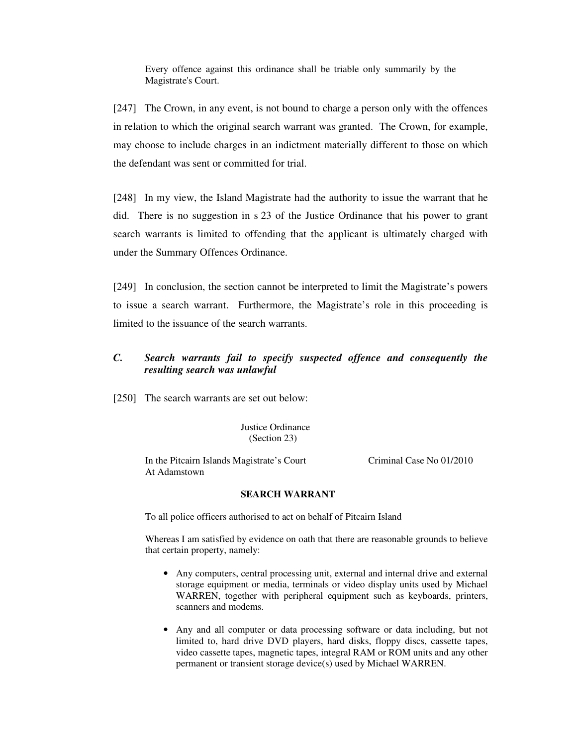Every offence against this ordinance shall be triable only summarily by the Magistrate's Court.

[247] The Crown, in any event, is not bound to charge a person only with the offences in relation to which the original search warrant was granted. The Crown, for example, may choose to include charges in an indictment materially different to those on which the defendant was sent or committed for trial.

[248] In my view, the Island Magistrate had the authority to issue the warrant that he did. There is no suggestion in s 23 of the Justice Ordinance that his power to grant search warrants is limited to offending that the applicant is ultimately charged with under the Summary Offences Ordinance.

[249] In conclusion, the section cannot be interpreted to limit the Magistrate's powers to issue a search warrant. Furthermore, the Magistrate's role in this proceeding is limited to the issuance of the search warrants.

# *C. Search warrants fail to specify suspected offence and consequently the resulting search was unlawful*

[250] The search warrants are set out below:

At Adamstown

Justice Ordinance (Section 23)

In the Pitcairn Islands Magistrate's Court Criminal Case No 01/2010

#### **SEARCH WARRANT**

To all police officers authorised to act on behalf of Pitcairn Island

Whereas I am satisfied by evidence on oath that there are reasonable grounds to believe that certain property, namely:

- Any computers, central processing unit, external and internal drive and external storage equipment or media, terminals or video display units used by Michael WARREN, together with peripheral equipment such as keyboards, printers, scanners and modems.
- Any and all computer or data processing software or data including, but not limited to, hard drive DVD players, hard disks, floppy discs, cassette tapes, video cassette tapes, magnetic tapes, integral RAM or ROM units and any other permanent or transient storage device(s) used by Michael WARREN.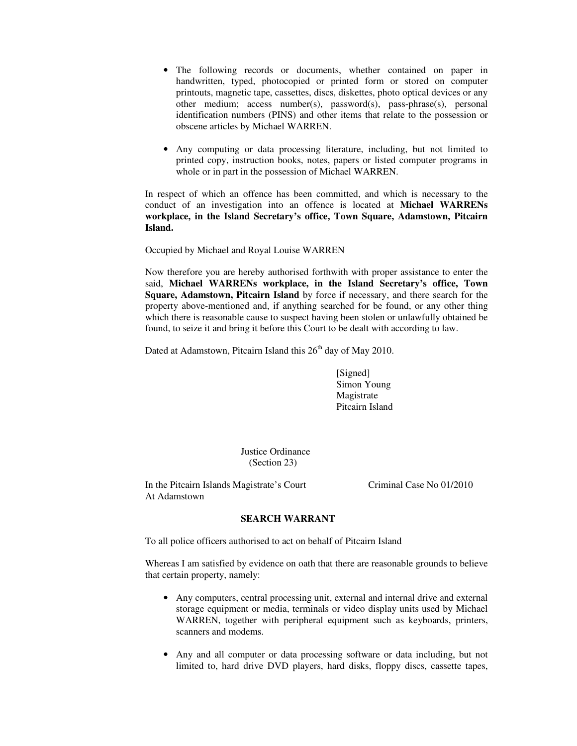- The following records or documents, whether contained on paper in handwritten, typed, photocopied or printed form or stored on computer printouts, magnetic tape, cassettes, discs, diskettes, photo optical devices or any other medium; access number(s), password(s), pass-phrase(s), personal identification numbers (PINS) and other items that relate to the possession or obscene articles by Michael WARREN.
- Any computing or data processing literature, including, but not limited to printed copy, instruction books, notes, papers or listed computer programs in whole or in part in the possession of Michael WARREN.

In respect of which an offence has been committed, and which is necessary to the conduct of an investigation into an offence is located at **Michael WARRENs workplace, in the Island Secretary's office, Town Square, Adamstown, Pitcairn Island.**

Occupied by Michael and Royal Louise WARREN

Now therefore you are hereby authorised forthwith with proper assistance to enter the said, **Michael WARRENs workplace, in the Island Secretary's office, Town Square, Adamstown, Pitcairn Island** by force if necessary, and there search for the property above-mentioned and, if anything searched for be found, or any other thing which there is reasonable cause to suspect having been stolen or unlawfully obtained be found, to seize it and bring it before this Court to be dealt with according to law.

Dated at Adamstown, Pitcairn Island this 26<sup>th</sup> day of May 2010.

[Signed] Simon Young Magistrate Pitcairn Island

Justice Ordinance (Section 23)

In the Pitcairn Islands Magistrate's Court Criminal Case No 01/2010 At Adamstown

### **SEARCH WARRANT**

To all police officers authorised to act on behalf of Pitcairn Island

Whereas I am satisfied by evidence on oath that there are reasonable grounds to believe that certain property, namely:

- Any computers, central processing unit, external and internal drive and external storage equipment or media, terminals or video display units used by Michael WARREN, together with peripheral equipment such as keyboards, printers, scanners and modems.
- Any and all computer or data processing software or data including, but not limited to, hard drive DVD players, hard disks, floppy discs, cassette tapes,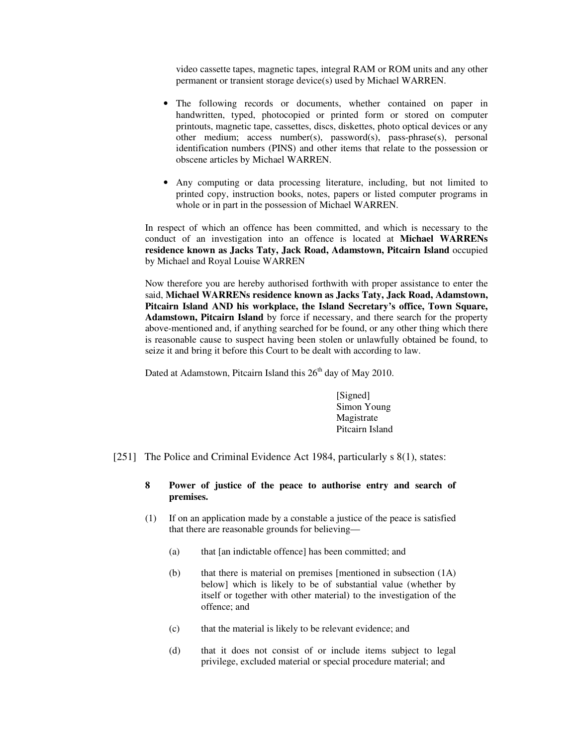video cassette tapes, magnetic tapes, integral RAM or ROM units and any other permanent or transient storage device(s) used by Michael WARREN.

- The following records or documents, whether contained on paper in handwritten, typed, photocopied or printed form or stored on computer printouts, magnetic tape, cassettes, discs, diskettes, photo optical devices or any other medium; access number(s), password(s), pass-phrase(s), personal identification numbers (PINS) and other items that relate to the possession or obscene articles by Michael WARREN.
- Any computing or data processing literature, including, but not limited to printed copy, instruction books, notes, papers or listed computer programs in whole or in part in the possession of Michael WARREN.

In respect of which an offence has been committed, and which is necessary to the conduct of an investigation into an offence is located at **Michael WARRENs residence known as Jacks Taty, Jack Road, Adamstown, Pitcairn Island** occupied by Michael and Royal Louise WARREN

Now therefore you are hereby authorised forthwith with proper assistance to enter the said, **Michael WARRENs residence known as Jacks Taty, Jack Road, Adamstown, Pitcairn Island AND his workplace, the Island Secretary's office, Town Square, Adamstown, Pitcairn Island** by force if necessary, and there search for the property above-mentioned and, if anything searched for be found, or any other thing which there is reasonable cause to suspect having been stolen or unlawfully obtained be found, to seize it and bring it before this Court to be dealt with according to law.

Dated at Adamstown, Pitcairn Island this 26<sup>th</sup> day of May 2010.

[Signed] Simon Young Magistrate Pitcairn Island

[251] The Police and Criminal Evidence Act 1984, particularly s 8(1), states:

### **8 Power of justice of the peace to authorise entry and search of premises.**

- (1) If on an application made by a constable a justice of the peace is satisfied that there are reasonable grounds for believing—
	- (a) that [an indictable offence] has been committed; and
	- (b) that there is material on premises [mentioned in subsection (1A) below] which is likely to be of substantial value (whether by itself or together with other material) to the investigation of the offence; and
	- (c) that the material is likely to be relevant evidence; and
	- (d) that it does not consist of or include items subject to legal privilege, excluded material or special procedure material; and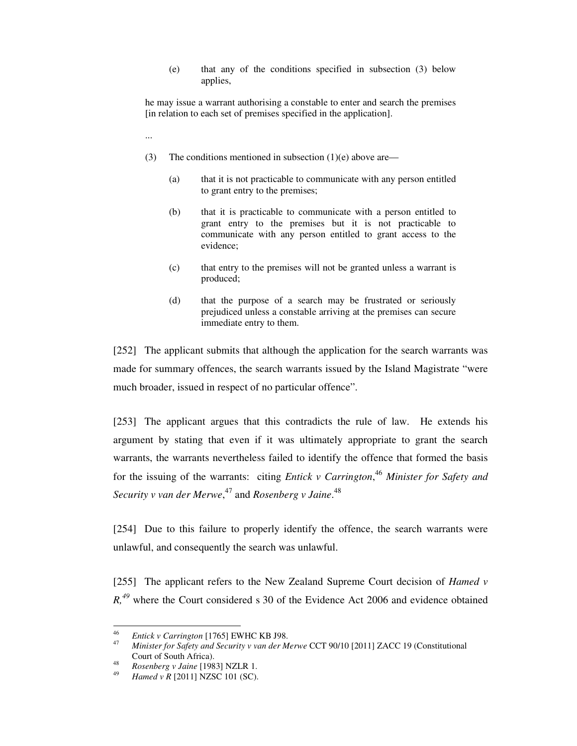(e) that any of the conditions specified in subsection (3) below applies,

he may issue a warrant authorising a constable to enter and search the premises [in relation to each set of premises specified in the application].

(3) The conditions mentioned in subsection  $(1)(e)$  above are—

...

- (a) that it is not practicable to communicate with any person entitled to grant entry to the premises;
- (b) that it is practicable to communicate with a person entitled to grant entry to the premises but it is not practicable to communicate with any person entitled to grant access to the evidence;
- (c) that entry to the premises will not be granted unless a warrant is produced;
- (d) that the purpose of a search may be frustrated or seriously prejudiced unless a constable arriving at the premises can secure immediate entry to them.

[252] The applicant submits that although the application for the search warrants was made for summary offences, the search warrants issued by the Island Magistrate "were much broader, issued in respect of no particular offence".

[253] The applicant argues that this contradicts the rule of law. He extends his argument by stating that even if it was ultimately appropriate to grant the search warrants, the warrants nevertheless failed to identify the offence that formed the basis for the issuing of the warrants: citing *Entick v Carrington*, <sup>46</sup> *Minister for Safety and Security v van der Merwe*, 47 and *Rosenberg v Jaine*. 48

[254] Due to this failure to properly identify the offence, the search warrants were unlawful, and consequently the search was unlawful.

[255] The applicant refers to the New Zealand Supreme Court decision of *Hamed v R*,<sup>49</sup> where the Court considered s 30 of the Evidence Act 2006 and evidence obtained

<sup>46</sup> *Entick v Carrington* [1765] EWHC KB J98.

<sup>47</sup> *Minister for Safety and Security v van der Merwe* CCT 90/10 [2011] ZACC 19 (Constitutional Court of South Africa).

<sup>48</sup> *Rosenberg v Jaine* [1983] NZLR 1.

<sup>49</sup> *Hamed v R* [2011] NZSC 101 (SC).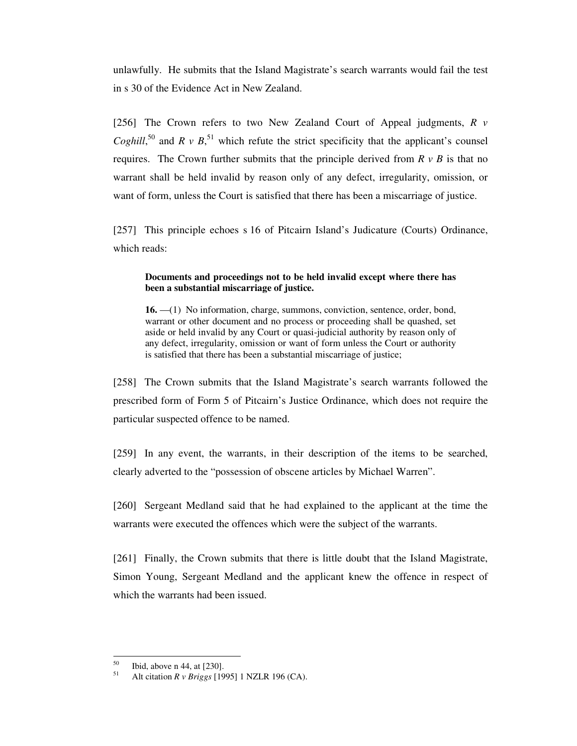unlawfully. He submits that the Island Magistrate's search warrants would fail the test in s 30 of the Evidence Act in New Zealand.

[256] The Crown refers to two New Zealand Court of Appeal judgments, *R v Coghill*,<sup>50</sup> and *R v B*,<sup>51</sup> which refute the strict specificity that the applicant's counsel requires. The Crown further submits that the principle derived from  $R \vee B$  is that no warrant shall be held invalid by reason only of any defect, irregularity, omission, or want of form, unless the Court is satisfied that there has been a miscarriage of justice.

[257] This principle echoes s 16 of Pitcairn Island's Judicature (Courts) Ordinance, which reads:

#### **Documents and proceedings not to be held invalid except where there has been a substantial miscarriage of justice.**

**16.** —(1) No information, charge, summons, conviction, sentence, order, bond, warrant or other document and no process or proceeding shall be quashed, set aside or held invalid by any Court or quasi-judicial authority by reason only of any defect, irregularity, omission or want of form unless the Court or authority is satisfied that there has been a substantial miscarriage of justice;

[258] The Crown submits that the Island Magistrate's search warrants followed the prescribed form of Form 5 of Pitcairn's Justice Ordinance, which does not require the particular suspected offence to be named.

[259] In any event, the warrants, in their description of the items to be searched, clearly adverted to the "possession of obscene articles by Michael Warren".

[260] Sergeant Medland said that he had explained to the applicant at the time the warrants were executed the offences which were the subject of the warrants.

[261] Finally, the Crown submits that there is little doubt that the Island Magistrate, Simon Young, Sergeant Medland and the applicant knew the offence in respect of which the warrants had been issued.

<sup>50</sup> Ibid, above n 44, at [230].

<sup>51</sup> Alt citation *R v Briggs* [1995] 1 NZLR 196 (CA).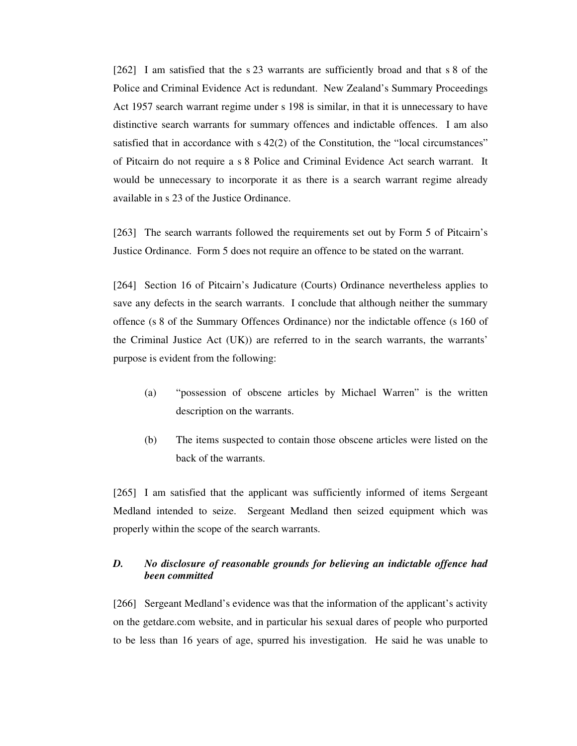[262] I am satisfied that the s 23 warrants are sufficiently broad and that s 8 of the Police and Criminal Evidence Act is redundant. New Zealand's Summary Proceedings Act 1957 search warrant regime under s 198 is similar, in that it is unnecessary to have distinctive search warrants for summary offences and indictable offences. I am also satisfied that in accordance with s 42(2) of the Constitution, the "local circumstances" of Pitcairn do not require a s 8 Police and Criminal Evidence Act search warrant. It would be unnecessary to incorporate it as there is a search warrant regime already available in s 23 of the Justice Ordinance.

[263] The search warrants followed the requirements set out by Form 5 of Pitcairn's Justice Ordinance. Form 5 does not require an offence to be stated on the warrant.

[264] Section 16 of Pitcairn's Judicature (Courts) Ordinance nevertheless applies to save any defects in the search warrants. I conclude that although neither the summary offence (s 8 of the Summary Offences Ordinance) nor the indictable offence (s 160 of the Criminal Justice Act (UK)) are referred to in the search warrants, the warrants' purpose is evident from the following:

- (a) "possession of obscene articles by Michael Warren" is the written description on the warrants.
- (b) The items suspected to contain those obscene articles were listed on the back of the warrants.

[265] I am satisfied that the applicant was sufficiently informed of items Sergeant Medland intended to seize. Sergeant Medland then seized equipment which was properly within the scope of the search warrants.

# *D. No disclosure of reasonable grounds for believing an indictable offence had been committed*

[266] Sergeant Medland's evidence was that the information of the applicant's activity on the getdare.com website, and in particular his sexual dares of people who purported to be less than 16 years of age, spurred his investigation. He said he was unable to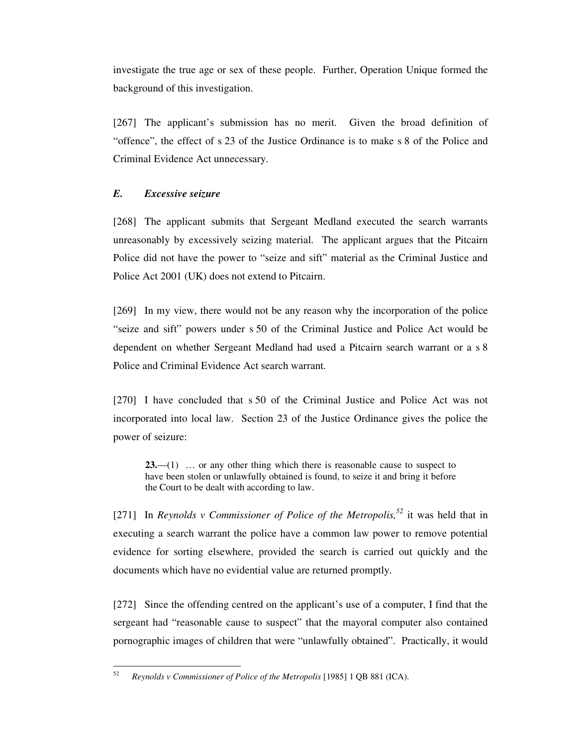investigate the true age or sex of these people. Further, Operation Unique formed the background of this investigation.

[267] The applicant's submission has no merit. Given the broad definition of "offence", the effect of s 23 of the Justice Ordinance is to make s 8 of the Police and Criminal Evidence Act unnecessary.

# *E. Excessive seizure*

[268] The applicant submits that Sergeant Medland executed the search warrants unreasonably by excessively seizing material. The applicant argues that the Pitcairn Police did not have the power to "seize and sift" material as the Criminal Justice and Police Act 2001 (UK) does not extend to Pitcairn.

[269] In my view, there would not be any reason why the incorporation of the police "seize and sift" powers under s 50 of the Criminal Justice and Police Act would be dependent on whether Sergeant Medland had used a Pitcairn search warrant or a s 8 Police and Criminal Evidence Act search warrant.

[270] I have concluded that s 50 of the Criminal Justice and Police Act was not incorporated into local law. Section 23 of the Justice Ordinance gives the police the power of seizure:

**23.**—(1) … or any other thing which there is reasonable cause to suspect to have been stolen or unlawfully obtained is found, to seize it and bring it before the Court to be dealt with according to law.

[271] In *Reynolds v Commissioner of Police of the Metropolis, 52* it was held that in executing a search warrant the police have a common law power to remove potential evidence for sorting elsewhere, provided the search is carried out quickly and the documents which have no evidential value are returned promptly.

[272] Since the offending centred on the applicant's use of a computer, I find that the sergeant had "reasonable cause to suspect" that the mayoral computer also contained pornographic images of children that were "unlawfully obtained". Practically, it would

<sup>52</sup> *Reynolds v Commissioner of Police of the Metropolis* [1985] 1 QB 881 (ICA).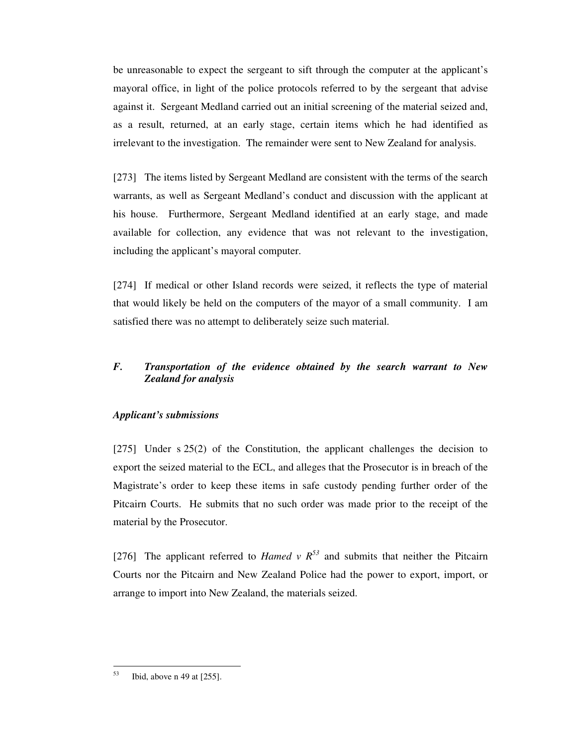be unreasonable to expect the sergeant to sift through the computer at the applicant's mayoral office, in light of the police protocols referred to by the sergeant that advise against it. Sergeant Medland carried out an initial screening of the material seized and, as a result, returned, at an early stage, certain items which he had identified as irrelevant to the investigation. The remainder were sent to New Zealand for analysis.

[273] The items listed by Sergeant Medland are consistent with the terms of the search warrants, as well as Sergeant Medland's conduct and discussion with the applicant at his house. Furthermore, Sergeant Medland identified at an early stage, and made available for collection, any evidence that was not relevant to the investigation, including the applicant's mayoral computer.

[274] If medical or other Island records were seized, it reflects the type of material that would likely be held on the computers of the mayor of a small community. I am satisfied there was no attempt to deliberately seize such material.

# *F. Transportation of the evidence obtained by the search warrant to New Zealand for analysis*

### *Applicant's submissions*

[275] Under s 25(2) of the Constitution, the applicant challenges the decision to export the seized material to the ECL, and alleges that the Prosecutor is in breach of the Magistrate's order to keep these items in safe custody pending further order of the Pitcairn Courts. He submits that no such order was made prior to the receipt of the material by the Prosecutor.

[276] The applicant referred to *Hamed*  $v \, R^{53}$  and submits that neither the Pitcairn Courts nor the Pitcairn and New Zealand Police had the power to export, import, or arrange to import into New Zealand, the materials seized.

<sup>53</sup> Ibid, above n 49 at [255].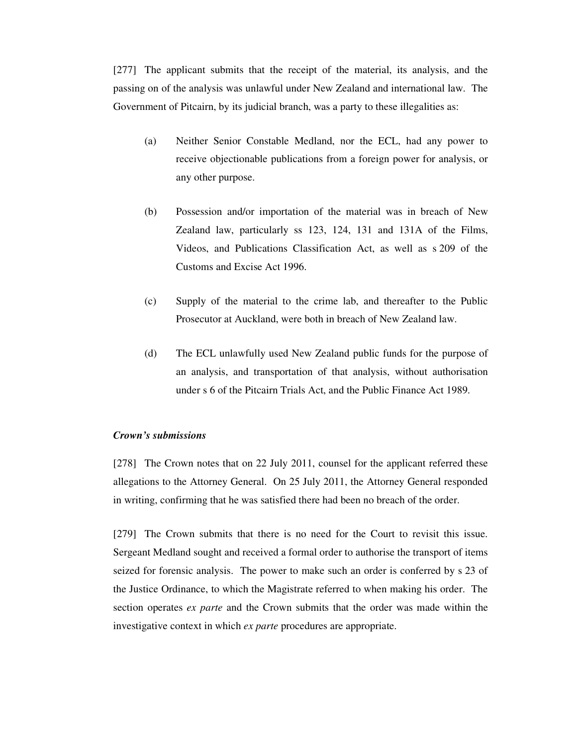[277] The applicant submits that the receipt of the material, its analysis, and the passing on of the analysis was unlawful under New Zealand and international law. The Government of Pitcairn, by its judicial branch, was a party to these illegalities as:

- (a) Neither Senior Constable Medland, nor the ECL, had any power to receive objectionable publications from a foreign power for analysis, or any other purpose.
- (b) Possession and/or importation of the material was in breach of New Zealand law, particularly ss 123, 124, 131 and 131A of the Films, Videos, and Publications Classification Act, as well as s 209 of the Customs and Excise Act 1996.
- (c) Supply of the material to the crime lab, and thereafter to the Public Prosecutor at Auckland, were both in breach of New Zealand law.
- (d) The ECL unlawfully used New Zealand public funds for the purpose of an analysis, and transportation of that analysis, without authorisation under s 6 of the Pitcairn Trials Act, and the Public Finance Act 1989.

### *Crown's submissions*

[278] The Crown notes that on 22 July 2011, counsel for the applicant referred these allegations to the Attorney General. On 25 July 2011, the Attorney General responded in writing, confirming that he was satisfied there had been no breach of the order.

[279] The Crown submits that there is no need for the Court to revisit this issue. Sergeant Medland sought and received a formal order to authorise the transport of items seized for forensic analysis. The power to make such an order is conferred by s 23 of the Justice Ordinance, to which the Magistrate referred to when making his order. The section operates *ex parte* and the Crown submits that the order was made within the investigative context in which *ex parte* procedures are appropriate.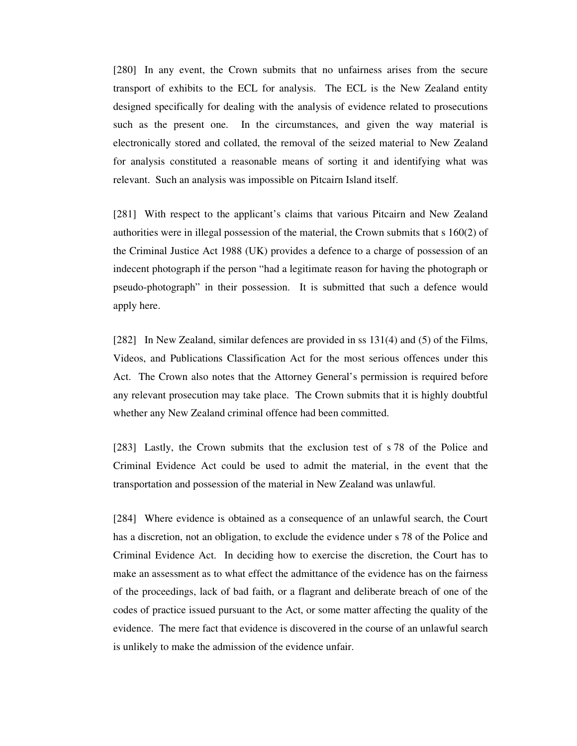[280] In any event, the Crown submits that no unfairness arises from the secure transport of exhibits to the ECL for analysis. The ECL is the New Zealand entity designed specifically for dealing with the analysis of evidence related to prosecutions such as the present one. In the circumstances, and given the way material is electronically stored and collated, the removal of the seized material to New Zealand for analysis constituted a reasonable means of sorting it and identifying what was relevant. Such an analysis was impossible on Pitcairn Island itself.

[281] With respect to the applicant's claims that various Pitcairn and New Zealand authorities were in illegal possession of the material, the Crown submits that s 160(2) of the Criminal Justice Act 1988 (UK) provides a defence to a charge of possession of an indecent photograph if the person "had a legitimate reason for having the photograph or pseudo-photograph" in their possession. It is submitted that such a defence would apply here.

[282] In New Zealand, similar defences are provided in ss 131(4) and (5) of the Films, Videos, and Publications Classification Act for the most serious offences under this Act. The Crown also notes that the Attorney General's permission is required before any relevant prosecution may take place. The Crown submits that it is highly doubtful whether any New Zealand criminal offence had been committed.

[283] Lastly, the Crown submits that the exclusion test of s 78 of the Police and Criminal Evidence Act could be used to admit the material, in the event that the transportation and possession of the material in New Zealand was unlawful.

[284] Where evidence is obtained as a consequence of an unlawful search, the Court has a discretion, not an obligation, to exclude the evidence under s 78 of the Police and Criminal Evidence Act. In deciding how to exercise the discretion, the Court has to make an assessment as to what effect the admittance of the evidence has on the fairness of the proceedings, lack of bad faith, or a flagrant and deliberate breach of one of the codes of practice issued pursuant to the Act, or some matter affecting the quality of the evidence. The mere fact that evidence is discovered in the course of an unlawful search is unlikely to make the admission of the evidence unfair.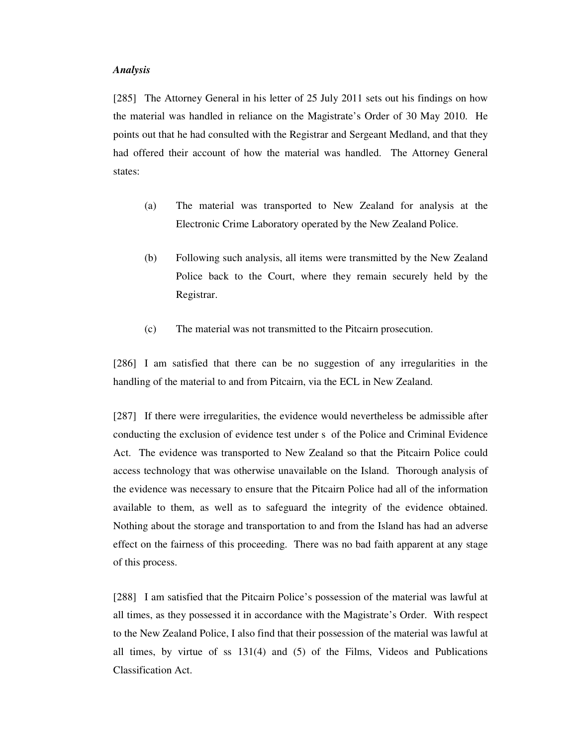#### *Analysis*

[285] The Attorney General in his letter of 25 July 2011 sets out his findings on how the material was handled in reliance on the Magistrate's Order of 30 May 2010. He points out that he had consulted with the Registrar and Sergeant Medland, and that they had offered their account of how the material was handled. The Attorney General states:

- (a) The material was transported to New Zealand for analysis at the Electronic Crime Laboratory operated by the New Zealand Police.
- (b) Following such analysis, all items were transmitted by the New Zealand Police back to the Court, where they remain securely held by the Registrar.
- (c) The material was not transmitted to the Pitcairn prosecution.

[286] I am satisfied that there can be no suggestion of any irregularities in the handling of the material to and from Pitcairn, via the ECL in New Zealand.

[287] If there were irregularities, the evidence would nevertheless be admissible after conducting the exclusion of evidence test under s of the Police and Criminal Evidence Act. The evidence was transported to New Zealand so that the Pitcairn Police could access technology that was otherwise unavailable on the Island. Thorough analysis of the evidence was necessary to ensure that the Pitcairn Police had all of the information available to them, as well as to safeguard the integrity of the evidence obtained. Nothing about the storage and transportation to and from the Island has had an adverse effect on the fairness of this proceeding. There was no bad faith apparent at any stage of this process.

[288] I am satisfied that the Pitcairn Police's possession of the material was lawful at all times, as they possessed it in accordance with the Magistrate's Order. With respect to the New Zealand Police, I also find that their possession of the material was lawful at all times, by virtue of ss 131(4) and (5) of the Films, Videos and Publications Classification Act.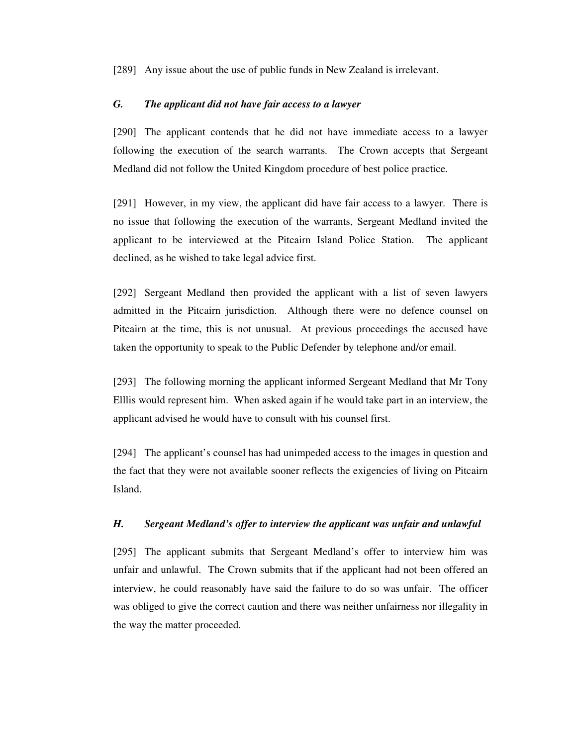[289] Any issue about the use of public funds in New Zealand is irrelevant.

### *G. The applicant did not have fair access to a lawyer*

[290] The applicant contends that he did not have immediate access to a lawyer following the execution of the search warrants. The Crown accepts that Sergeant Medland did not follow the United Kingdom procedure of best police practice.

[291] However, in my view, the applicant did have fair access to a lawyer. There is no issue that following the execution of the warrants, Sergeant Medland invited the applicant to be interviewed at the Pitcairn Island Police Station. The applicant declined, as he wished to take legal advice first.

[292] Sergeant Medland then provided the applicant with a list of seven lawyers admitted in the Pitcairn jurisdiction. Although there were no defence counsel on Pitcairn at the time, this is not unusual. At previous proceedings the accused have taken the opportunity to speak to the Public Defender by telephone and/or email.

[293] The following morning the applicant informed Sergeant Medland that Mr Tony Elllis would represent him. When asked again if he would take part in an interview, the applicant advised he would have to consult with his counsel first.

[294] The applicant's counsel has had unimpeded access to the images in question and the fact that they were not available sooner reflects the exigencies of living on Pitcairn Island.

# *H. Sergeant Medland's offer to interview the applicant was unfair and unlawful*

[295] The applicant submits that Sergeant Medland's offer to interview him was unfair and unlawful. The Crown submits that if the applicant had not been offered an interview, he could reasonably have said the failure to do so was unfair. The officer was obliged to give the correct caution and there was neither unfairness nor illegality in the way the matter proceeded.